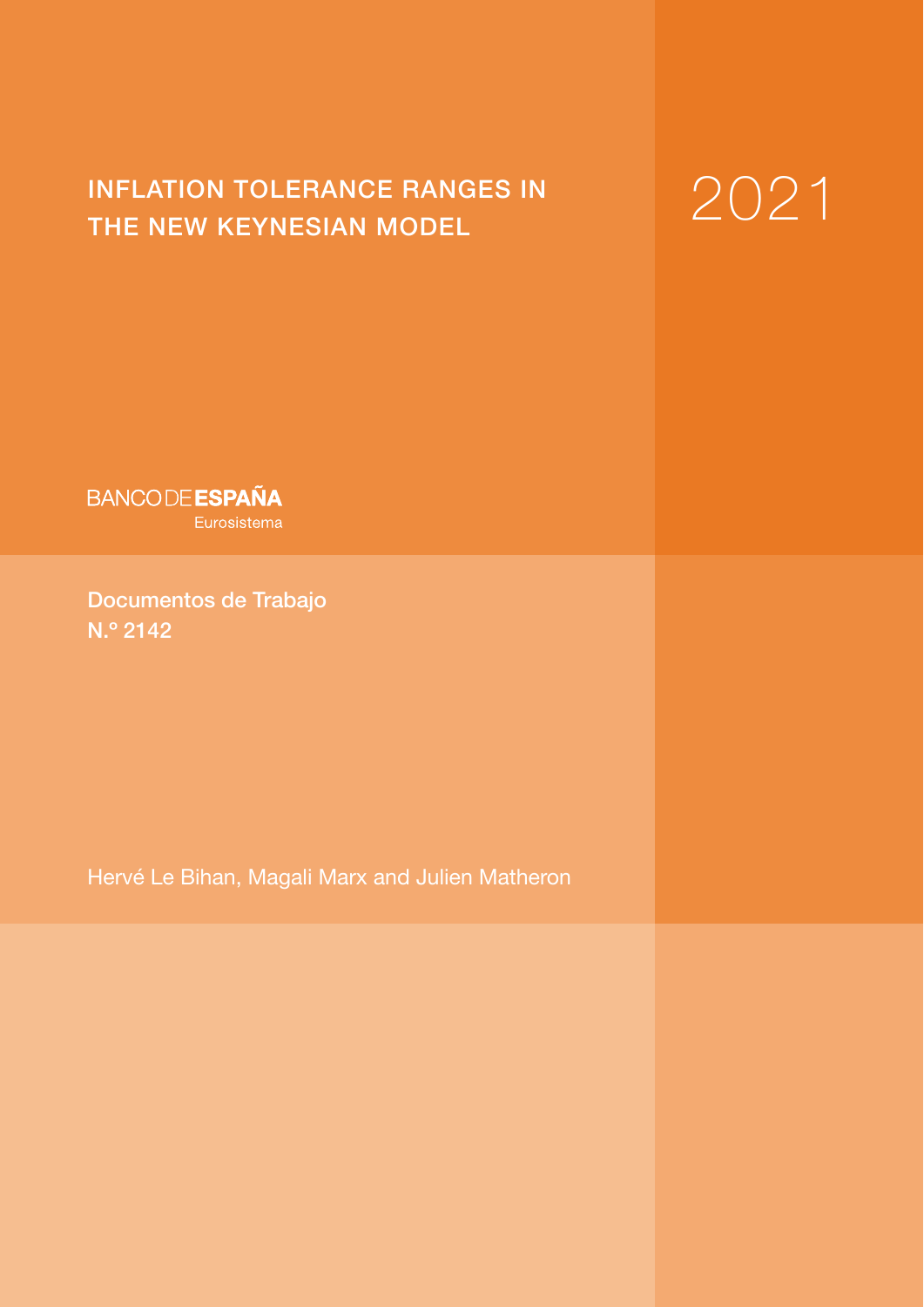# INFLATION TOLERANCE RANGES IN  $2021$

**BANCODE ESPAÑA** Eurosistema

Documentos de Trabajo N.º 2142

Hervé Le Bihan, Magali Marx and Julien Matheron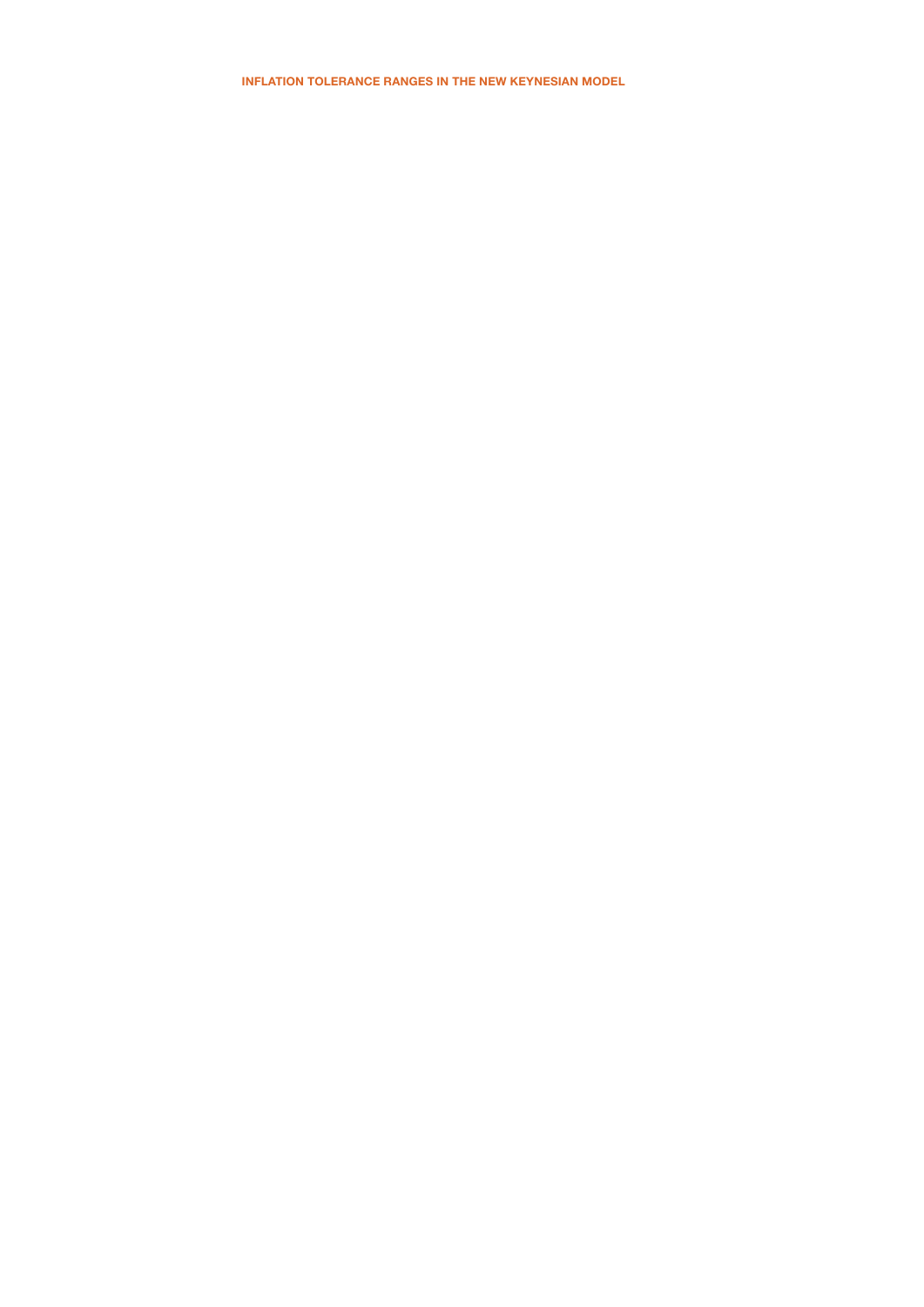INFLATION TOLERANCE RANGES IN THE NEW KEYNESIAN MODEL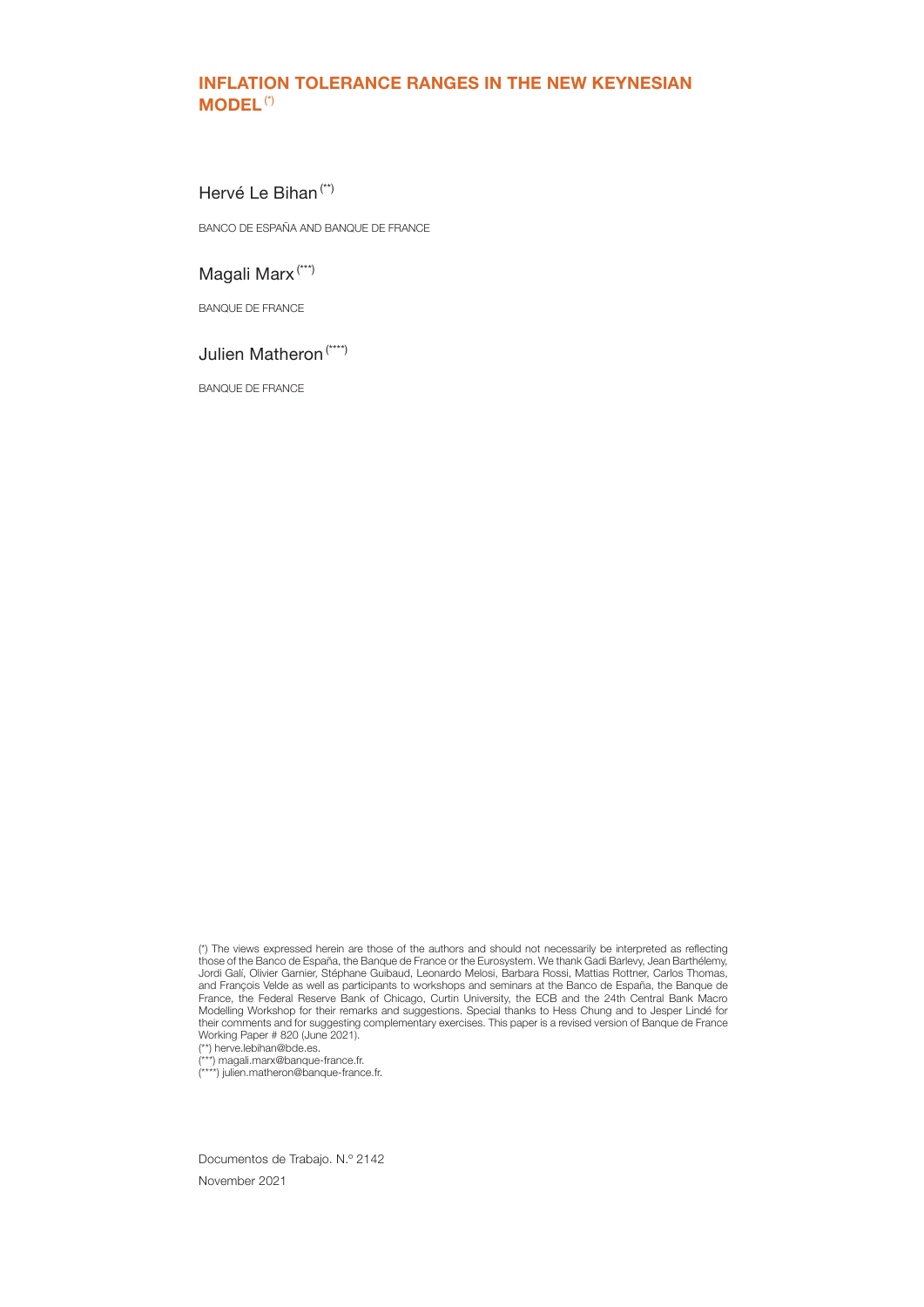# INFLATION TOLERANCE RANGES IN THE NEW KEYNESIAN MODEL(\*)

# Hervé Le Bihan (\*\*)

BANCO DE ESPAÑA AND BANQUE DE FRANCE

# Magali Marx (\*\*\*)

BANQUE DE FRANCE

# Julien Matheron (\*\*\*\*)

BANQUE DE FRANCE

(\*\*) herve.lebihan@bde.es.

(\*\*\*) magali.marx@banque-france.fr. (\*\*\*\*) julien.matheron@banque-france.fr.

Documentos de Trabajo. N.º 2142 November 2021

<sup>(\*)</sup> The views expressed herein are those of the authors and should not necessarily be interpreted as reflecting those of the Banco de España, the Banque de France or the Eurosystem. We thank Gadi Barlevy, Jean Barthélemy, Jordi Galí, Olivier Garnier, Stéphane Guibaud, Leonardo Melosi, Barbara Rossi, Mattias Rottner, Carlos Thomas, and François Velde as well as participants to workshops and seminars at the Banco de España, the Banque de France, the Federal Reserve Bank of Chicago, Curtin University, the ECB and the 24th Central Bank Macro Modelling Workshop for their remarks and suggestions. Special thanks to Hess Chung and to Jesper Lindé for their comments and for suggesting complementary exercises. This paper is a revised version of Banque de France Working Paper # 820 (June 2021).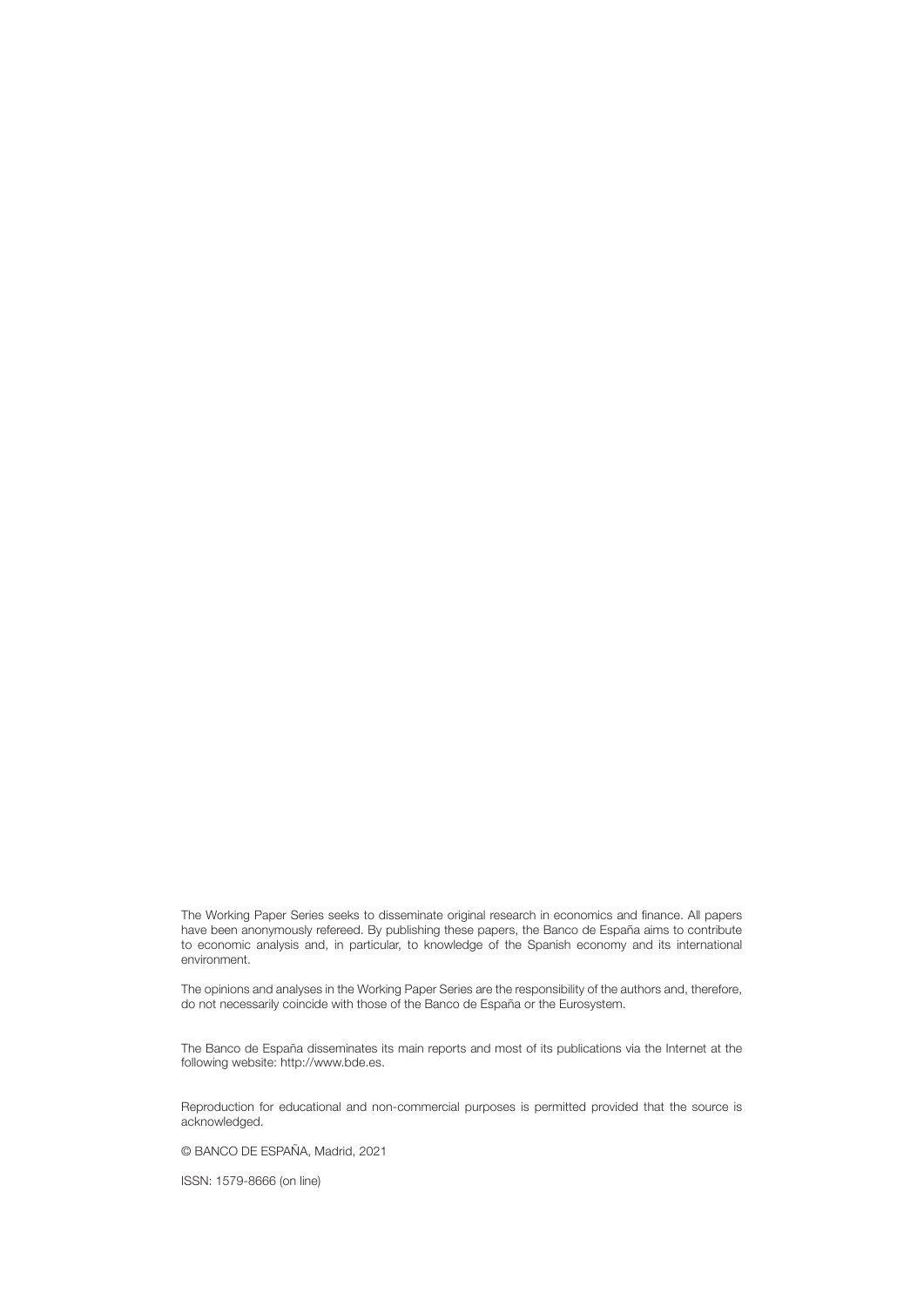The Working Paper Series seeks to disseminate original research in economics and finance. All papers have been anonymously refereed. By publishing these papers, the Banco de España aims to contribute to economic analysis and, in particular, to knowledge of the Spanish economy and its international environment.

The opinions and analyses in the Working Paper Series are the responsibility of the authors and, therefore, do not necessarily coincide with those of the Banco de España or the Eurosystem.

The Banco de España disseminates its main reports and most of its publications via the Internet at the following website: http://www.bde.es.

Reproduction for educational and non-commercial purposes is permitted provided that the source is acknowledged.

© BANCO DE ESPAÑA, Madrid, 2021

ISSN: 1579-8666 (on line)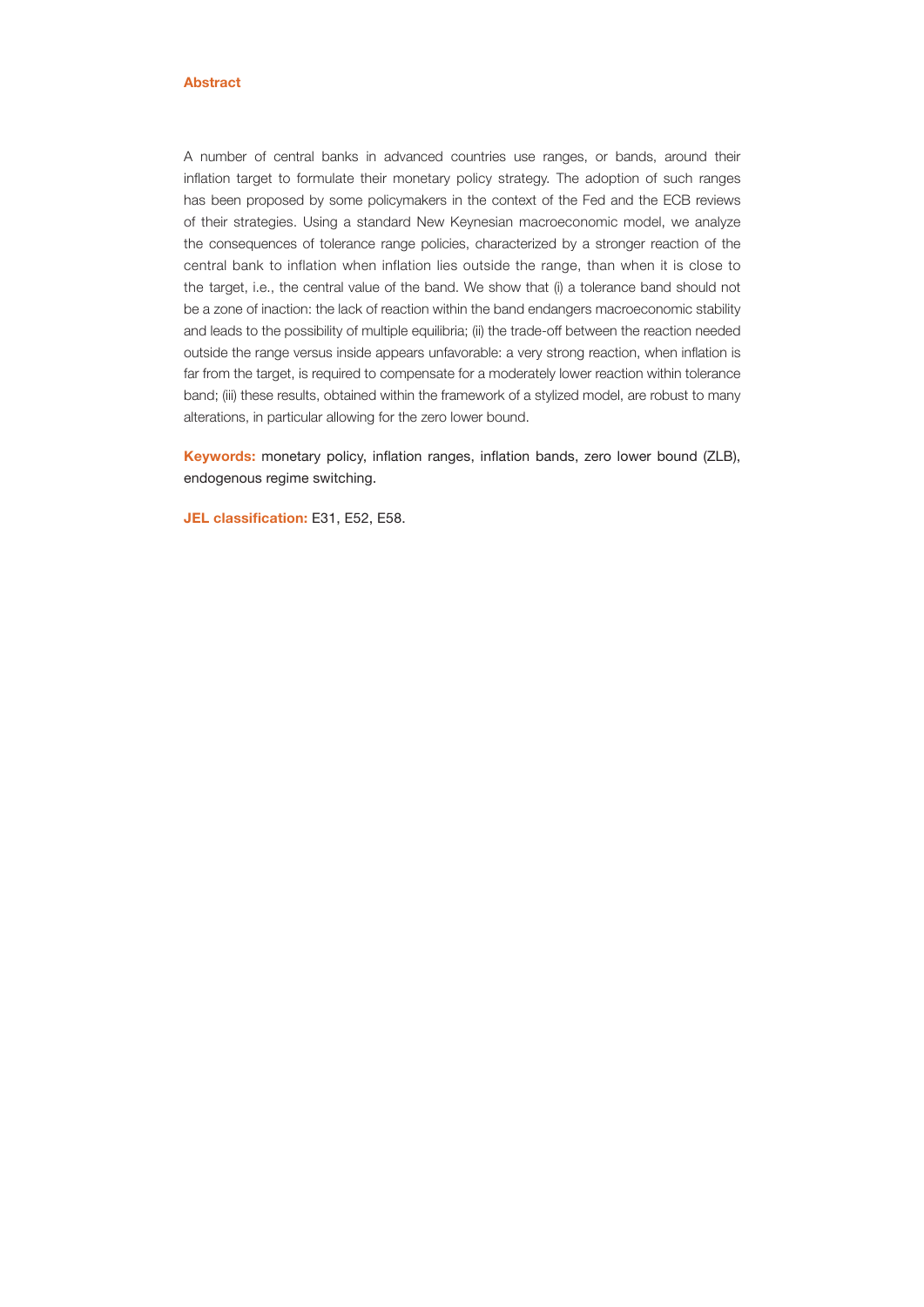#### Abstract

A number of central banks in advanced countries use ranges, or bands, around their inflation target to formulate their monetary policy strategy. The adoption of such ranges has been proposed by some policymakers in the context of the Fed and the ECB reviews of their strategies. Using a standard New Keynesian macroeconomic model, we analyze the consequences of tolerance range policies, characterized by a stronger reaction of the central bank to inflation when inflation lies outside the range, than when it is close to the target, i.e., the central value of the band. We show that (i) a tolerance band should not be a zone of inaction: the lack of reaction within the band endangers macroeconomic stability and leads to the possibility of multiple equilibria; (ii) the trade-off between the reaction needed outside the range versus inside appears unfavorable: a very strong reaction, when inflation is far from the target, is required to compensate for a moderately lower reaction within tolerance band; (iii) these results, obtained within the framework of a stylized model, are robust to many alterations, in particular allowing for the zero lower bound.

Keywords: monetary policy, inflation ranges, inflation bands, zero lower bound (ZLB), endogenous regime switching.

JEL classification: E31, E52, E58.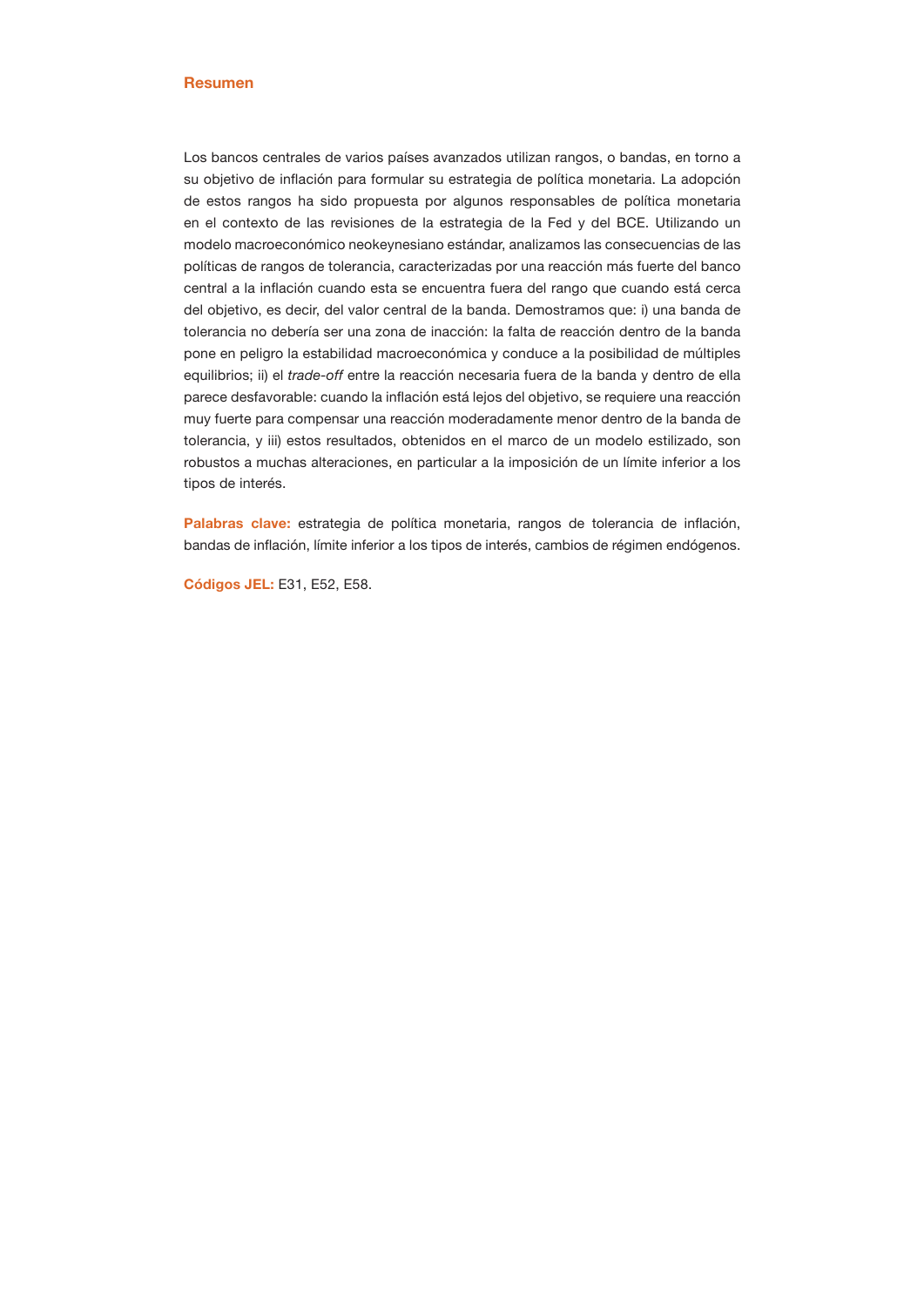#### Resumen

Los bancos centrales de varios países avanzados utilizan rangos, o bandas, en torno a su objetivo de inflación para formular su estrategia de política monetaria. La adopción de estos rangos ha sido propuesta por algunos responsables de política monetaria en el contexto de las revisiones de la estrategia de la Fed y del BCE. Utilizando un modelo macroeconómico neokeynesiano estándar, analizamos las consecuencias de las políticas de rangos de tolerancia, caracterizadas por una reacción más fuerte del banco central a la inflación cuando esta se encuentra fuera del rango que cuando está cerca del objetivo, es decir, del valor central de la banda. Demostramos que: i) una banda de tolerancia no debería ser una zona de inacción: la falta de reacción dentro de la banda pone en peligro la estabilidad macroeconómica y conduce a la posibilidad de múltiples equilibrios; ii) el *trade-off* entre la reacción necesaria fuera de la banda y dentro de ella parece desfavorable: cuando la inflación está lejos del objetivo, se requiere una reacción muy fuerte para compensar una reacción moderadamente menor dentro de la banda de tolerancia, y iii) estos resultados, obtenidos en el marco de un modelo estilizado, son robustos a muchas alteraciones, en particular a la imposición de un límite inferior a los tipos de interés.

Palabras clave: estrategia de política monetaria, rangos de tolerancia de inflación, bandas de inflación, límite inferior a los tipos de interés, cambios de régimen endógenos.

Códigos JEL: E31, E52, E58.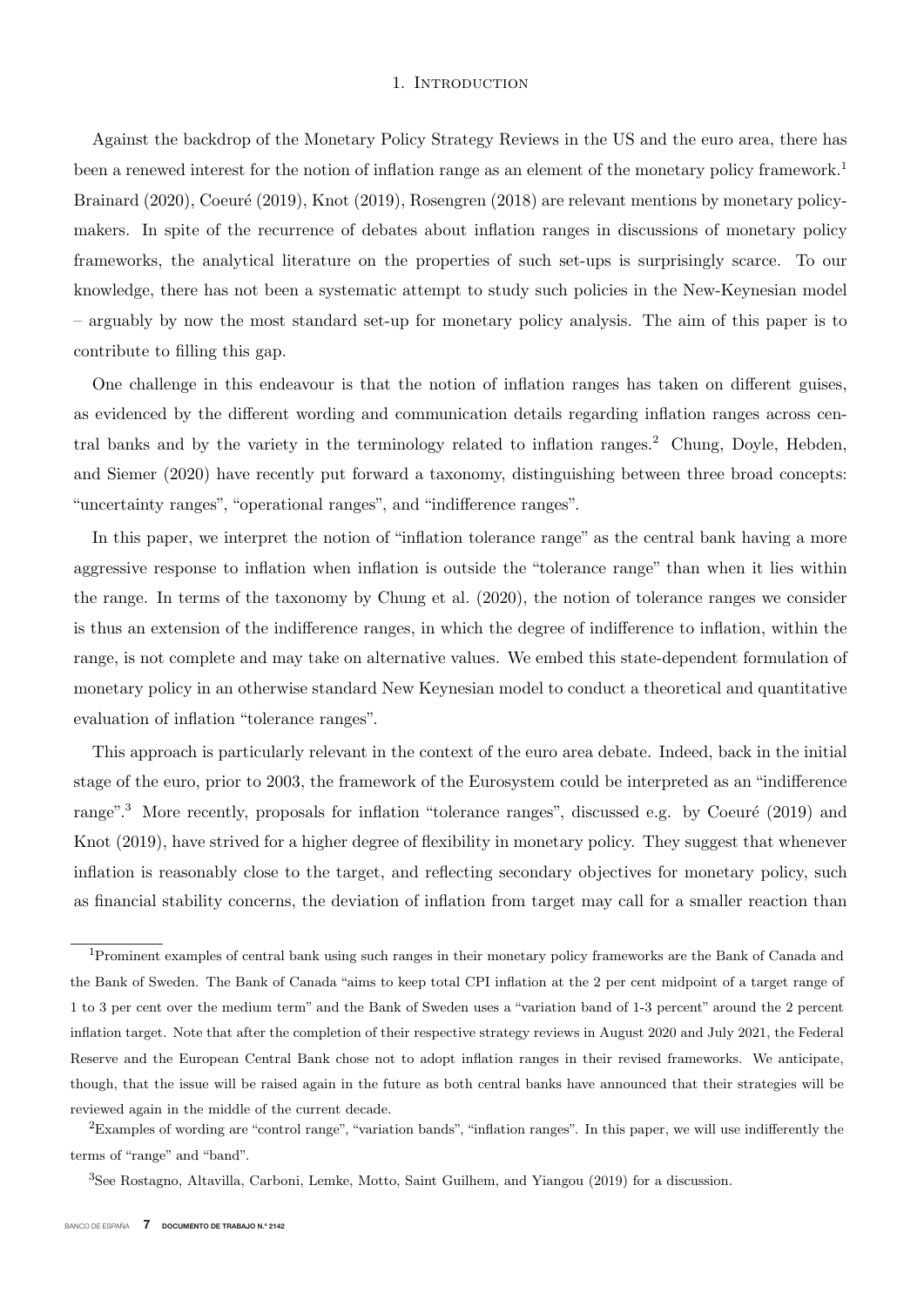#### 1. INTRODUCTION

Against the backdrop of the Monetary Policy Strategy Reviews in the US and the euro area, there has been a renewed interest for the notion of inflation range as an element of the monetary policy framework.<sup>1</sup> Brainard  $(2020)$ , Coeuré  $(2019)$ , Knot  $(2019)$ , Rosengren  $(2018)$  are relevant mentions by monetary policymakers. In spite of the recurrence of debates about inflation ranges in discussions of monetary policy frameworks, the analytical literature on the properties of such set-ups is surprisingly scarce. To our knowledge, there has not been a systematic attempt to study such policies in the New-Keynesian model – arguably by now the most standard set-up for monetary policy analysis. The aim of this paper is to contribute to filling this gap.

One challenge in this endeavour is that the notion of inflation ranges has taken on different guises, as evidenced by the different wording and communication details regarding inflation ranges across central banks and by the variety in the terminology related to inflation ranges.<sup>2</sup> Chung, Doyle, Hebden, and Siemer (2020) have recently put forward a taxonomy, distinguishing between three broad concepts: "uncertainty ranges", "operational ranges", and "indifference ranges".

In this paper, we interpret the notion of "inflation tolerance range" as the central bank having a more aggressive response to inflation when inflation is outside the "tolerance range" than when it lies within the range. In terms of the taxonomy by Chung et al. (2020), the notion of tolerance ranges we consider is thus an extension of the indifference ranges, in which the degree of indifference to inflation, within the range, is not complete and may take on alternative values. We embed this state-dependent formulation of monetary policy in an otherwise standard New Keynesian model to conduct a theoretical and quantitative evaluation of inflation "tolerance ranges".

This approach is particularly relevant in the context of the euro area debate. Indeed, back in the initial stage of the euro, prior to 2003, the framework of the Eurosystem could be interpreted as an "indifference range".<sup>3</sup> More recently, proposals for inflation "tolerance ranges", discussed e.g. by Coeuré (2019) and Knot (2019), have strived for a higher degree of flexibility in monetary policy. They suggest that whenever inflation is reasonably close to the target, and reflecting secondary objectives for monetary policy, such as financial stability concerns, the deviation of inflation from target may call for a smaller reaction than

<sup>1</sup>Prominent examples of central bank using such ranges in their monetary policy frameworks are the Bank of Canada and the Bank of Sweden. The Bank of Canada "aims to keep total CPI inflation at the 2 per cent midpoint of a target range of 1 to 3 per cent over the medium term" and the Bank of Sweden uses a "variation band of 1-3 percent" around the 2 percent inflation target. Note that after the completion of their respective strategy reviews in August 2020 and July 2021, the Federal Reserve and the European Central Bank chose not to adopt inflation ranges in their revised frameworks. We anticipate, though, that the issue will be raised again in the future as both central banks have announced that their strategies will be reviewed again in the middle of the current decade.

 ${}^{2}$ Examples of wording are "control range", "variation bands", "inflation ranges". In this paper, we will use indifferently the terms of "range" and "band".

<sup>3</sup>See Rostagno, Altavilla, Carboni, Lemke, Motto, Saint Guilhem, and Yiangou (2019) for a discussion.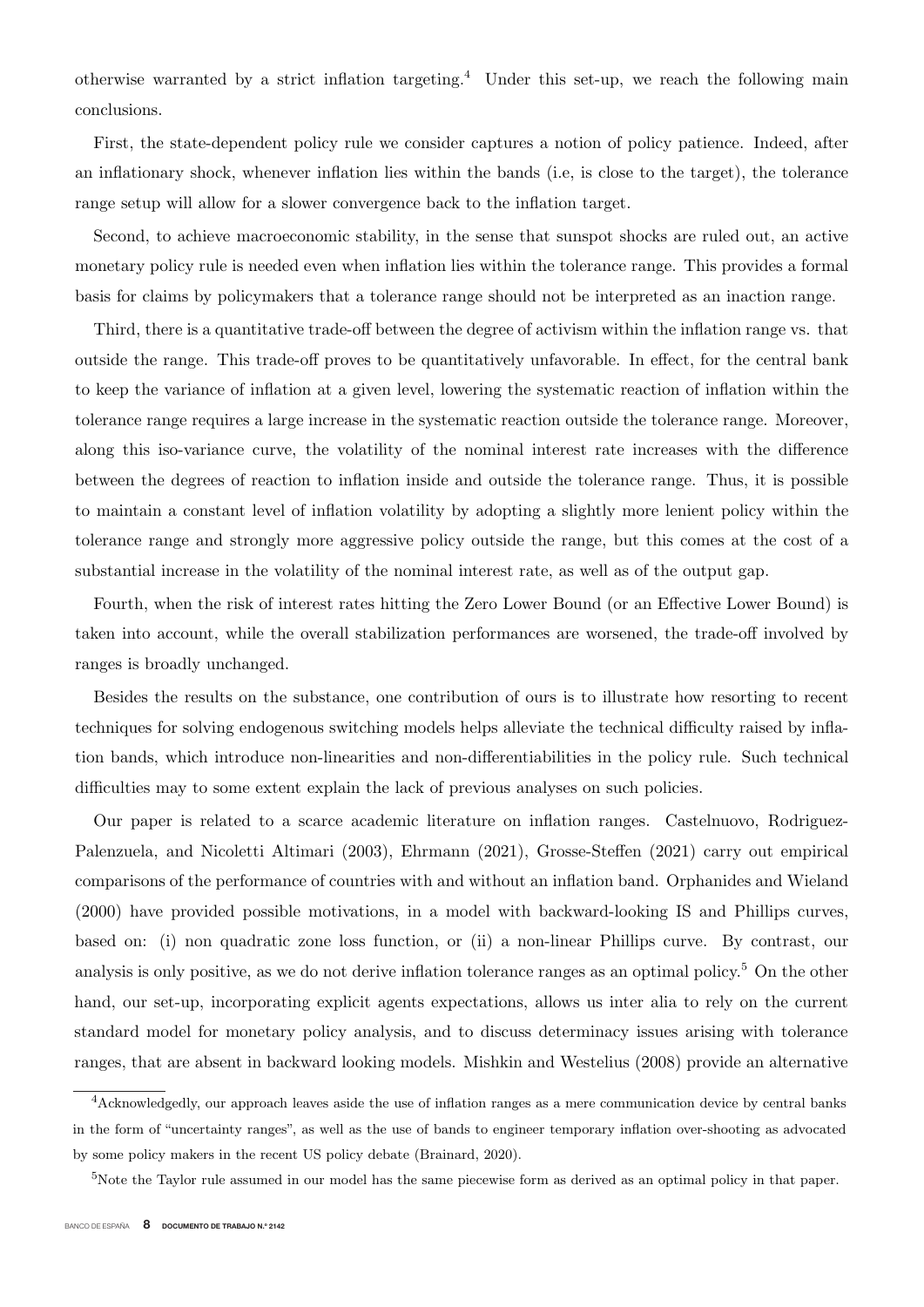otherwise warranted by a strict inflation targeting.<sup>4</sup> Under this set-up, we reach the following main conclusions.

First, the state-dependent policy rule we consider captures a notion of policy patience. Indeed, after an inflationary shock, whenever inflation lies within the bands (i.e, is close to the target), the tolerance range setup will allow for a slower convergence back to the inflation target.

Second, to achieve macroeconomic stability, in the sense that sunspot shocks are ruled out, an active monetary policy rule is needed even when inflation lies within the tolerance range. This provides a formal basis for claims by policymakers that a tolerance range should not be interpreted as an inaction range.

Third, there is a quantitative trade-off between the degree of activism within the inflation range vs. that outside the range. This trade-off proves to be quantitatively unfavorable. In effect, for the central bank to keep the variance of inflation at a given level, lowering the systematic reaction of inflation within the tolerance range requires a large increase in the systematic reaction outside the tolerance range. Moreover, along this iso-variance curve, the volatility of the nominal interest rate increases with the difference between the degrees of reaction to inflation inside and outside the tolerance range. Thus, it is possible to maintain a constant level of inflation volatility by adopting a slightly more lenient policy within the tolerance range and strongly more aggressive policy outside the range, but this comes at the cost of a substantial increase in the volatility of the nominal interest rate, as well as of the output gap.

Fourth, when the risk of interest rates hitting the Zero Lower Bound (or an Effective Lower Bound) is taken into account, while the overall stabilization performances are worsened, the trade-off involved by ranges is broadly unchanged.

Besides the results on the substance, one contribution of ours is to illustrate how resorting to recent techniques for solving endogenous switching models helps alleviate the technical difficulty raised by inflation bands, which introduce non-linearities and non-differentiabilities in the policy rule. Such technical difficulties may to some extent explain the lack of previous analyses on such policies.

Our paper is related to a scarce academic literature on inflation ranges. Castelnuovo, Rodriguez-Palenzuela, and Nicoletti Altimari (2003), Ehrmann (2021), Grosse-Steffen (2021) carry out empirical comparisons of the performance of countries with and without an inflation band. Orphanides and Wieland (2000) have provided possible motivations, in a model with backward-looking IS and Phillips curves, based on: (i) non quadratic zone loss function, or (ii) a non-linear Phillips curve. By contrast, our analysis is only positive, as we do not derive inflation tolerance ranges as an optimal policy.<sup>5</sup> On the other hand, our set-up, incorporating explicit agents expectations, allows us inter alia to rely on the current standard model for monetary policy analysis, and to discuss determinacy issues arising with tolerance ranges, that are absent in backward looking models. Mishkin and Westelius (2008) provide an alternative

<sup>4</sup>Acknowledgedly, our approach leaves aside the use of inflation ranges as a mere communication device by central banks in the form of "uncertainty ranges", as well as the use of bands to engineer temporary inflation over-shooting as advocated by some policy makers in the recent US policy debate (Brainard, 2020).

 $5$ Note the Taylor rule assumed in our model has the same piecewise form as derived as an optimal policy in that paper.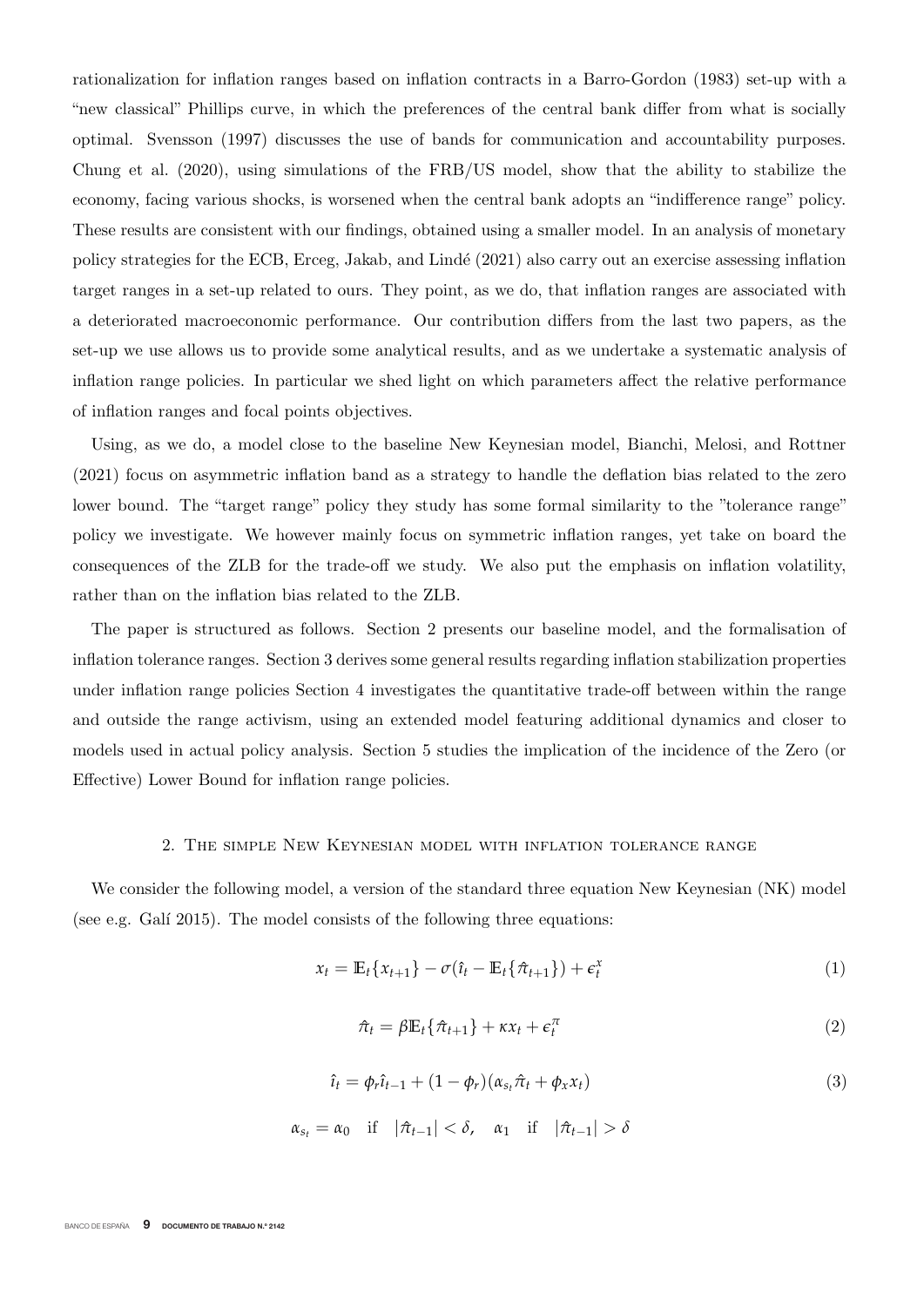rationalization for inflation ranges based on inflation contracts in a Barro-Gordon (1983) set-up with a "new classical" Phillips curve, in which the preferences of the central bank differ from what is socially optimal. Svensson (1997) discusses the use of bands for communication and accountability purposes. Chung et al. (2020), using simulations of the FRB/US model, show that the ability to stabilize the economy, facing various shocks, is worsened when the central bank adopts an "indifference range" policy. These results are consistent with our findings, obtained using a smaller model. In an analysis of monetary policy strategies for the ECB, Erceg, Jakab, and Lind´e (2021) also carry out an exercise assessing inflation target ranges in a set-up related to ours. They point, as we do, that inflation ranges are associated with a deteriorated macroeconomic performance. Our contribution differs from the last two papers, as the set-up we use allows us to provide some analytical results, and as we undertake a systematic analysis of inflation range policies. In particular we shed light on which parameters affect the relative performance of inflation ranges and focal points objectives.

Using, as we do, a model close to the baseline New Keynesian model, Bianchi, Melosi, and Rottner (2021) focus on asymmetric inflation band as a strategy to handle the deflation bias related to the zero lower bound. The "target range" policy they study has some formal similarity to the "tolerance range" policy we investigate. We however mainly focus on symmetric inflation ranges, yet take on board the consequences of the ZLB for the trade-off we study. We also put the emphasis on inflation volatility, rather than on the inflation bias related to the ZLB.

The paper is structured as follows. Section 2 presents our baseline model, and the formalisation of inflation tolerance ranges. Section 3 derives some general results regarding inflation stabilization properties under inflation range policies Section 4 investigates the quantitative trade-off between within the range and outside the range activism, using an extended model featuring additional dynamics and closer to models used in actual policy analysis. Section 5 studies the implication of the incidence of the Zero (or Effective) Lower Bound for inflation range policies.

#### 2. The simple New Keynesian model with inflation tolerance range

We consider the following model, a version of the standard three equation New Keynesian (NK) model (see e.g. Galí 2015). The model consists of the following three equations:

$$
x_t = \mathbb{E}_t \{x_{t+1}\} - \sigma(\hat{\iota}_t - \mathbb{E}_t \{\hat{\pi}_{t+1}\}) + \epsilon_t^x
$$
\n<sup>(1)</sup>

$$
\hat{\pi}_t = \beta \mathbb{E}_t \{ \hat{\pi}_{t+1} \} + \kappa x_t + \epsilon_t^{\pi}
$$
\n(2)

$$
\hat{\iota}_t = \phi_r \hat{\iota}_{t-1} + (1 - \phi_r)(\alpha_{s_t} \hat{\pi}_t + \phi_x x_t)
$$
\n(3)

$$
\alpha_{s_t} = \alpha_0 \quad \text{if} \quad |\hat{\pi}_{t-1}| < \delta, \quad \alpha_1 \quad \text{if} \quad |\hat{\pi}_{t-1}| > \delta
$$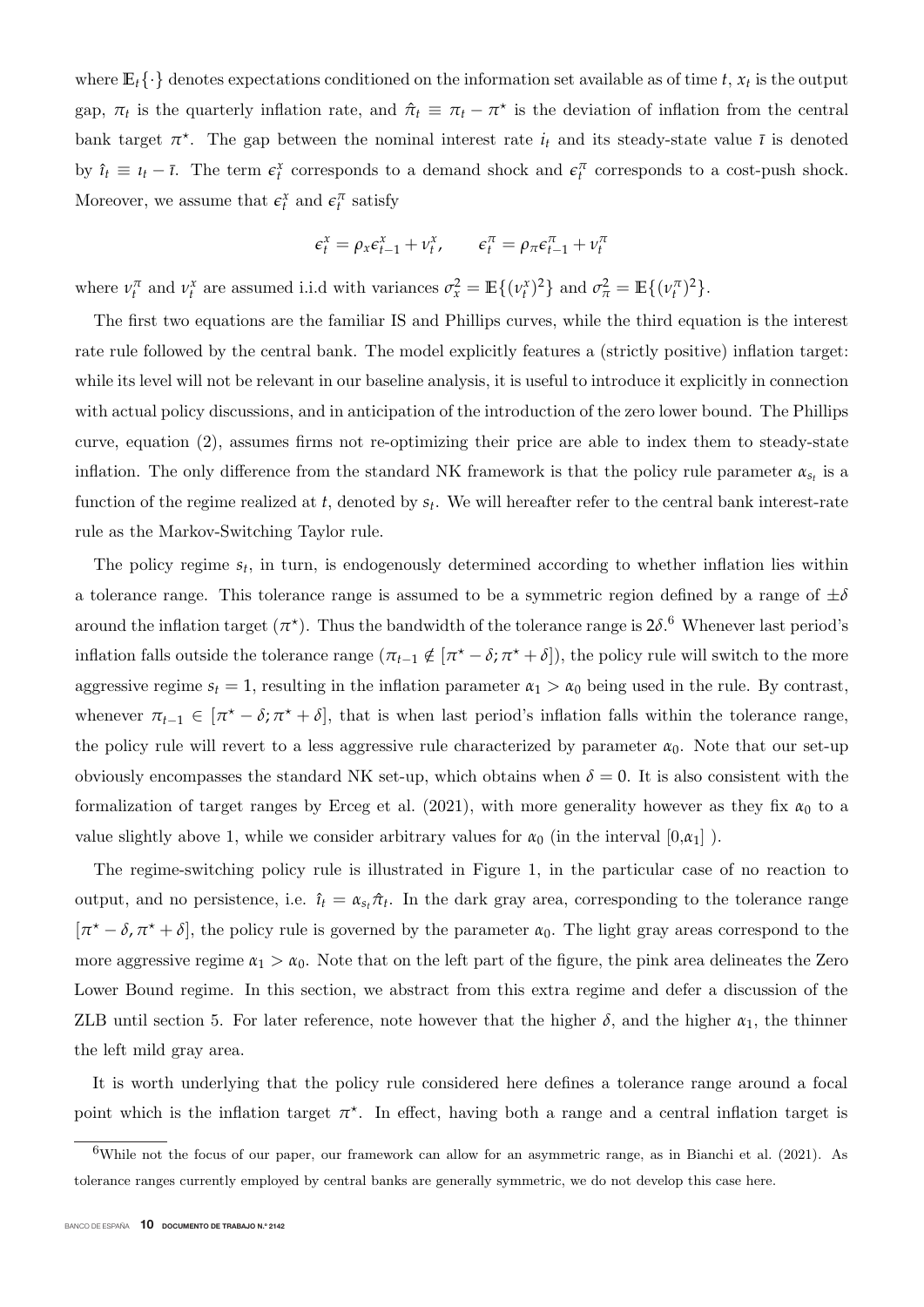where  $\mathbb{E}_{t} \{\cdot\}$  denotes expectations conditioned on the information set available as of time *t*,  $x_t$  is the output gap,  $\pi_t$  is the quarterly inflation rate, and  $\hat{\pi}_t \equiv \pi_t - \pi^*$  is the deviation of inflation from the central bank target  $\pi^*$ . The gap between the nominal interest rate  $i_t$  and its steady-state value  $\bar{\iota}$  is denoted by  $\hat{i}_t \equiv i_t - \bar{i}$ . The term  $\epsilon_t^x$  corresponds to a demand shock and  $\epsilon_t^{\pi}$  corresponds to a cost-push shock. Moreover, we assume that  $\epsilon_t^x$  and  $\epsilon_t^{\pi}$  satisfy

$$
\epsilon_t^x = \rho_x \epsilon_{t-1}^x + \nu_t^x, \qquad \epsilon_t^{\pi} = \rho_{\pi} \epsilon_{t-1}^{\pi} + \nu_t^{\pi}
$$

where  $\nu_t^{\pi}$  and  $\nu_t^{\chi}$  are assumed i.i.d with variances  $\sigma_x^2 = \mathbb{E}\{(\nu_t^{\chi})^2\}$  and  $\sigma_{\pi}^2 = \mathbb{E}\{(\nu_t^{\pi})^2\}$ .

The first two equations are the familiar IS and Phillips curves, while the third equation is the interest rate rule followed by the central bank. The model explicitly features a (strictly positive) inflation target: while its level will not be relevant in our baseline analysis, it is useful to introduce it explicitly in connection with actual policy discussions, and in anticipation of the introduction of the zero lower bound. The Phillips curve, equation (2), assumes firms not re-optimizing their price are able to index them to steady-state inflation. The only difference from the standard NK framework is that the policy rule parameter  $\alpha_{s_t}$  is a function of the regime realized at *t*, denoted by *st*. We will hereafter refer to the central bank interest-rate rule as the Markov-Switching Taylor rule.

The policy regime *st*, in turn, is endogenously determined according to whether inflation lies within a tolerance range. This tolerance range is assumed to be a symmetric region defined by a range of  $\pm \delta$ around the inflation target  $(\pi^*)$ . Thus the bandwidth of the tolerance range is  $2\delta$ .<sup>6</sup> Whenever last period's inflation falls outside the tolerance range  $(\pi_{t-1} \notin [\pi^* - \delta; \pi^* + \delta])$ , the policy rule will switch to the more aggressive regime  $s_t = 1$ , resulting in the inflation parameter  $\alpha_1 > \alpha_0$  being used in the rule. By contrast, whenever  $\pi_{t-1} \in [\pi^* - \delta; \pi^* + \delta]$ , that is when last period's inflation falls within the tolerance range, the policy rule will revert to a less aggressive rule characterized by parameter  $\alpha_0$ . Note that our set-up obviously encompasses the standard NK set-up, which obtains when  $\delta = 0$ . It is also consistent with the formalization of target ranges by Erceg et al. (2021), with more generality however as they fix  $\alpha_0$  to a value slightly above 1, while we consider arbitrary values for  $\alpha_0$  (in the interval  $[0,\alpha_1]$ ).

The regime-switching policy rule is illustrated in Figure 1, in the particular case of no reaction to output, and no persistence, i.e.  $\hat{\imath}_t = \alpha_{s_t} \hat{\pi}_t$ . In the dark gray area, corresponding to the tolerance range  $[\pi^* - \delta, \pi^* + \delta]$ , the policy rule is governed by the parameter  $\alpha_0$ . The light gray areas correspond to the more aggressive regime  $\alpha_1 > \alpha_0$ . Note that on the left part of the figure, the pink area delineates the Zero Lower Bound regime. In this section, we abstract from this extra regime and defer a discussion of the ZLB until section 5. For later reference, note however that the higher  $\delta$ , and the higher  $\alpha_1$ , the thinner the left mild gray area.

It is worth underlying that the policy rule considered here defines a tolerance range around a focal point which is the inflation target  $\pi^*$ . In effect, having both a range and a central inflation target is

<sup>&</sup>lt;sup>6</sup>While not the focus of our paper, our framework can allow for an asymmetric range, as in Bianchi et al. (2021). As tolerance ranges currently employed by central banks are generally symmetric, we do not develop this case here.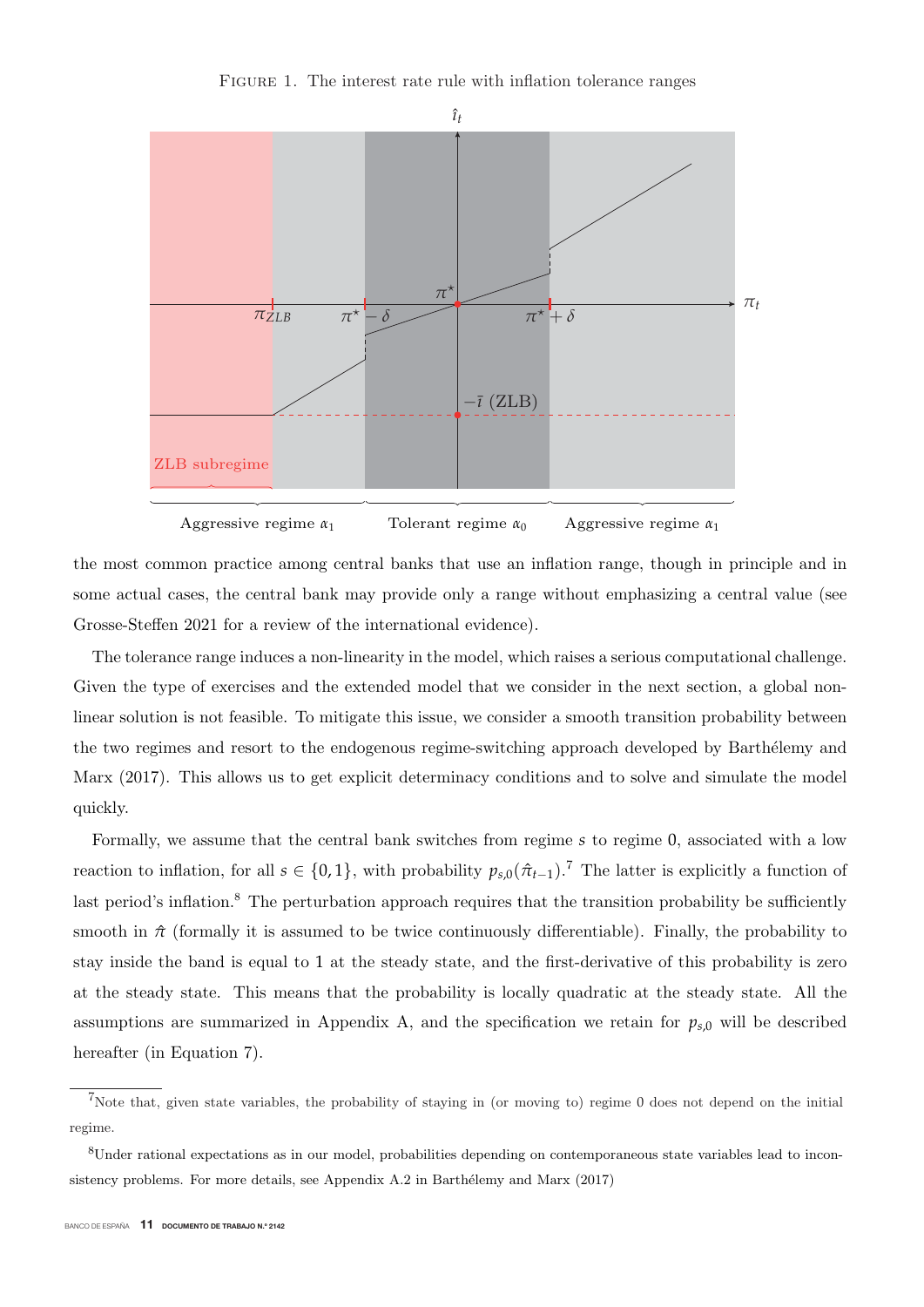FIGURE 1. The interest rate rule with inflation tolerance ranges



the most common practice among central banks that use an inflation range, though in principle and in some actual cases, the central bank may provide only a range without emphasizing a central value (see Grosse-Steffen 2021 for a review of the international evidence).

The tolerance range induces a non-linearity in the model, which raises a serious computational challenge. Given the type of exercises and the extended model that we consider in the next section, a global nonlinear solution is not feasible. To mitigate this issue, we consider a smooth transition probability between the two regimes and resort to the endogenous regime-switching approach developed by Barthélemy and Marx (2017). This allows us to get explicit determinacy conditions and to solve and simulate the model quickly.

Formally, we assume that the central bank switches from regime *<sup>s</sup>* to regime 0, associated with a low reaction to inflation, for all  $s \in \{0,1\}$ , with probability  $p_{s,0}(\hat{\pi}_{t-1})$ .<sup>7</sup> The latter is explicitly a function of last period's inflation.<sup>8</sup> The perturbation approach requires that the transition probability be sufficiently smooth in  $\hat{\pi}$  (formally it is assumed to be twice continuously differentiable). Finally, the probability to stay inside the band is equal to 1 at the steady state, and the first-derivative of this probability is zero at the steady state. This means that the probability is locally quadratic at the steady state. All the assumptions are summarized in Appendix A, and the specification we retain for  $p_{s,0}$  will be described hereafter (in Equation 7).

<sup>7</sup>Note that, given state variables, the probability of staying in (or moving to) regime 0 does not depend on the initial regime.

<sup>8</sup>Under rational expectations as in our model, probabilities depending on contemporaneous state variables lead to inconsistency problems. For more details, see Appendix A.2 in Barthélemy and Marx (2017)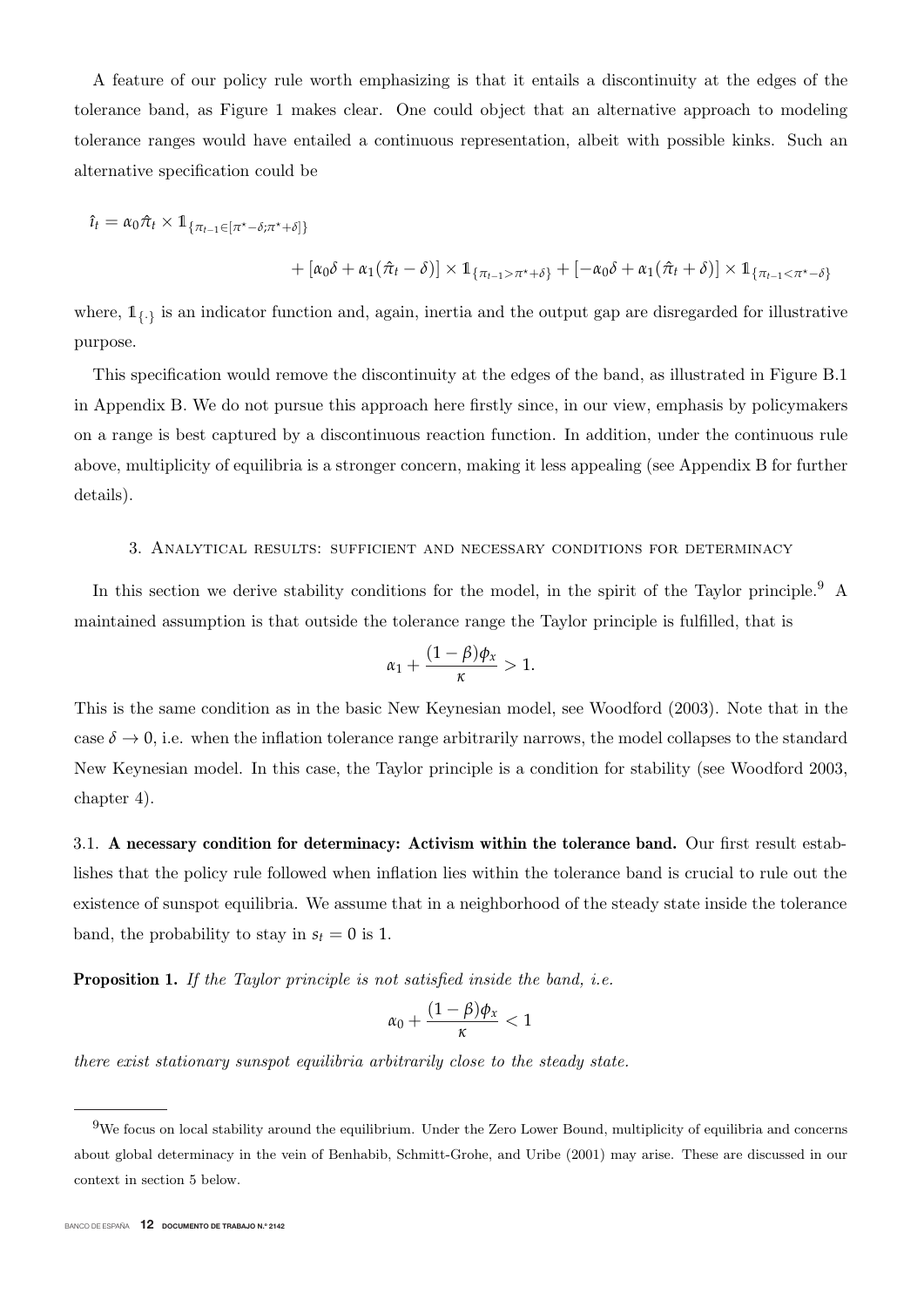A feature of our policy rule worth emphasizing is that it entails a discontinuity at the edges of the tolerance band, as Figure 1 makes clear. One could object that an alternative approach to modeling tolerance ranges would have entailed a continuous representation, albeit with possible kinks. Such an alternative specification could be

$$
\hat{\iota}_t = \alpha_0 \hat{\pi}_t \times \mathbb{1}_{\{\pi_{t-1} \in [\pi^* - \delta; \pi^* + \delta]\}} \n+ [\alpha_0 \delta + \alpha_1 (\hat{\pi}_t - \delta)] \times \mathbb{1}_{\{\pi_{t-1} > \pi^* + \delta\}} + [-\alpha_0 \delta + \alpha_1 (\hat{\pi}_t + \delta)] \times \mathbb{1}_{\{\pi_{t-1} < \pi^* - \delta\}}
$$

where,  $1_{\{.\}}$  is an indicator function and, again, inertia and the output gap are disregarded for illustrative purpose.

This specification would remove the discontinuity at the edges of the band, as illustrated in Figure B.1 in Appendix B. We do not pursue this approach here firstly since, in our view, emphasis by policymakers on a range is best captured by a discontinuous reaction function. In addition, under the continuous rule above, multiplicity of equilibria is a stronger concern, making it less appealing (see Appendix B for further details).

#### 3. Analytical results: sufficient and necessary conditions for determinacy

In this section we derive stability conditions for the model, in the spirit of the Taylor principle.<sup>9</sup> A maintained assumption is that outside the tolerance range the Taylor principle is fulfilled, that is

$$
\alpha_1+\frac{(1-\beta)\phi_x}{\kappa}>1.
$$

This is the same condition as in the basic New Keynesian model, see Woodford (2003). Note that in the case  $\delta \to 0$ , i.e. when the inflation tolerance range arbitrarily narrows, the model collapses to the standard New Keynesian model. In this case, the Taylor principle is a condition for stability (see Woodford 2003, chapter 4).

3.1. **A necessary condition for determinacy: Activism within the tolerance band.** Our first result establishes that the policy rule followed when inflation lies within the tolerance band is crucial to rule out the existence of sunspot equilibria. We assume that in a neighborhood of the steady state inside the tolerance band, the probability to stay in  $s_t = 0$  is 1.

**Proposition 1.** If the Taylor principle is not satisfied inside the band, *i.e.* 

$$
\alpha_0+\frac{(1-\beta)\phi_x}{\kappa}<1
$$

there exist stationary sunspot equilibria arbitrarily close to the steady state.

 $9W$ e focus on local stability around the equilibrium. Under the Zero Lower Bound, multiplicity of equilibria and concerns about global determinacy in the vein of Benhabib, Schmitt-Grohe, and Uribe (2001) may arise. These are discussed in our context in section 5 below.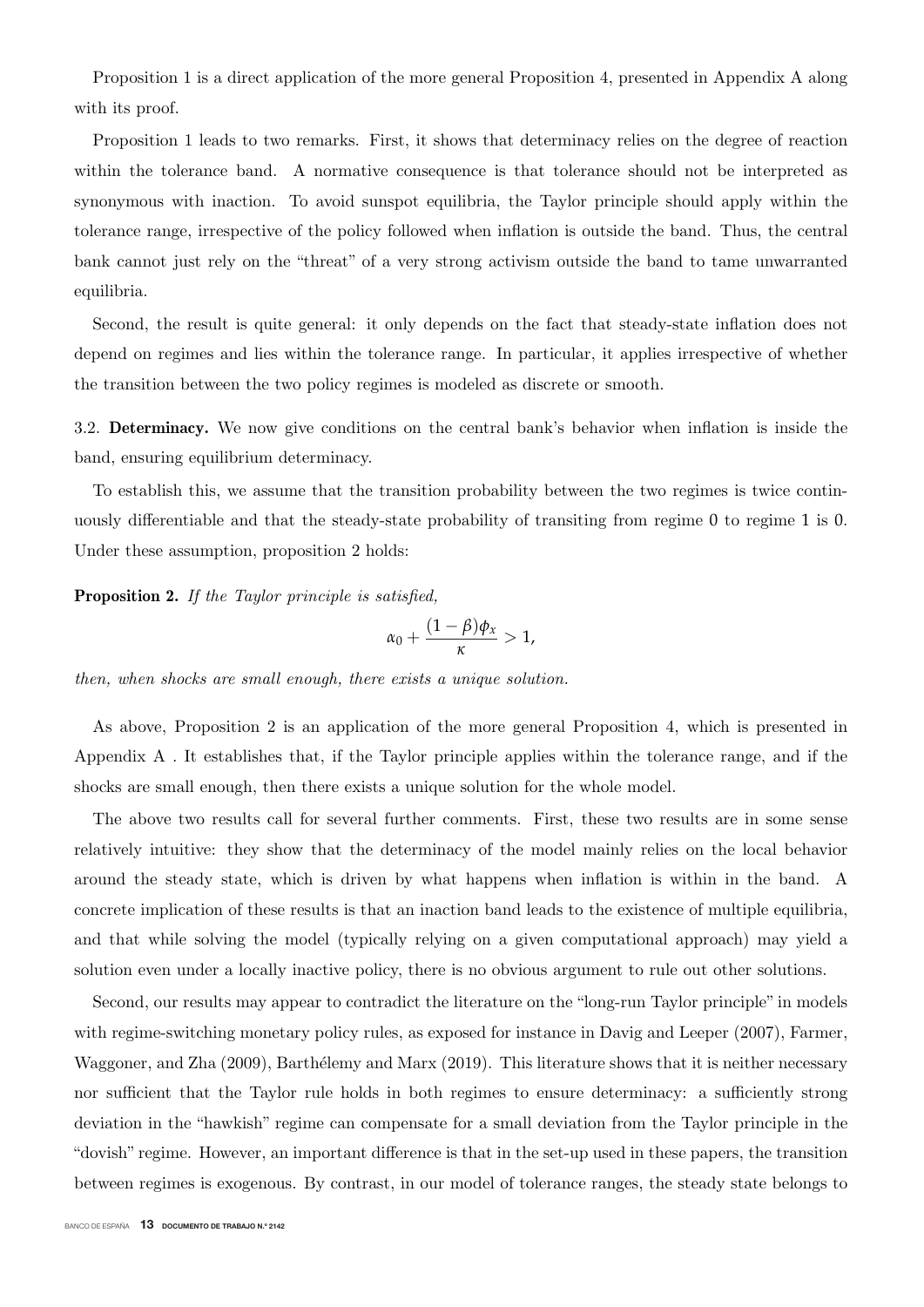Proposition 1 is a direct application of the more general Proposition 4, presented in Appendix A along with its proof.

Proposition 1 leads to two remarks. First, it shows that determinacy relies on the degree of reaction within the tolerance band. A normative consequence is that tolerance should not be interpreted as synonymous with inaction. To avoid sunspot equilibria, the Taylor principle should apply within the tolerance range, irrespective of the policy followed when inflation is outside the band. Thus, the central bank cannot just rely on the "threat" of a very strong activism outside the band to tame unwarranted equilibria.

Second, the result is quite general: it only depends on the fact that steady-state inflation does not depend on regimes and lies within the tolerance range. In particular, it applies irrespective of whether the transition between the two policy regimes is modeled as discrete or smooth.

3.2. **Determinacy.** We now give conditions on the central bank's behavior when inflation is inside the band, ensuring equilibrium determinacy.

To establish this, we assume that the transition probability between the two regimes is twice continuously differentiable and that the steady-state probability of transiting from regime 0 to regime 1 is 0. Under these assumption, proposition 2 holds:

**Proposition 2.** If the Taylor principle is satisfied,

$$
\alpha_0+\frac{(1-\beta)\phi_x}{\kappa}>1,
$$

then, when shocks are small enough, there exists a unique solution.

As above, Proposition 2 is an application of the more general Proposition 4, which is presented in Appendix A . It establishes that, if the Taylor principle applies within the tolerance range, and if the shocks are small enough, then there exists a unique solution for the whole model.

The above two results call for several further comments. First, these two results are in some sense relatively intuitive: they show that the determinacy of the model mainly relies on the local behavior around the steady state, which is driven by what happens when inflation is within in the band. A concrete implication of these results is that an inaction band leads to the existence of multiple equilibria, and that while solving the model (typically relying on a given computational approach) may yield a solution even under a locally inactive policy, there is no obvious argument to rule out other solutions.

Second, our results may appear to contradict the literature on the "long-run Taylor principle" in models with regime-switching monetary policy rules, as exposed for instance in Davig and Leeper (2007), Farmer, Waggoner, and Zha (2009), Barthélemy and Marx (2019). This literature shows that it is neither necessary nor sufficient that the Taylor rule holds in both regimes to ensure determinacy: a sufficiently strong deviation in the "hawkish" regime can compensate for a small deviation from the Taylor principle in the "dovish" regime. However, an important difference is that in the set-up used in these papers, the transition between regimes is exogenous. By contrast, in our model of tolerance ranges, the steady state belongs to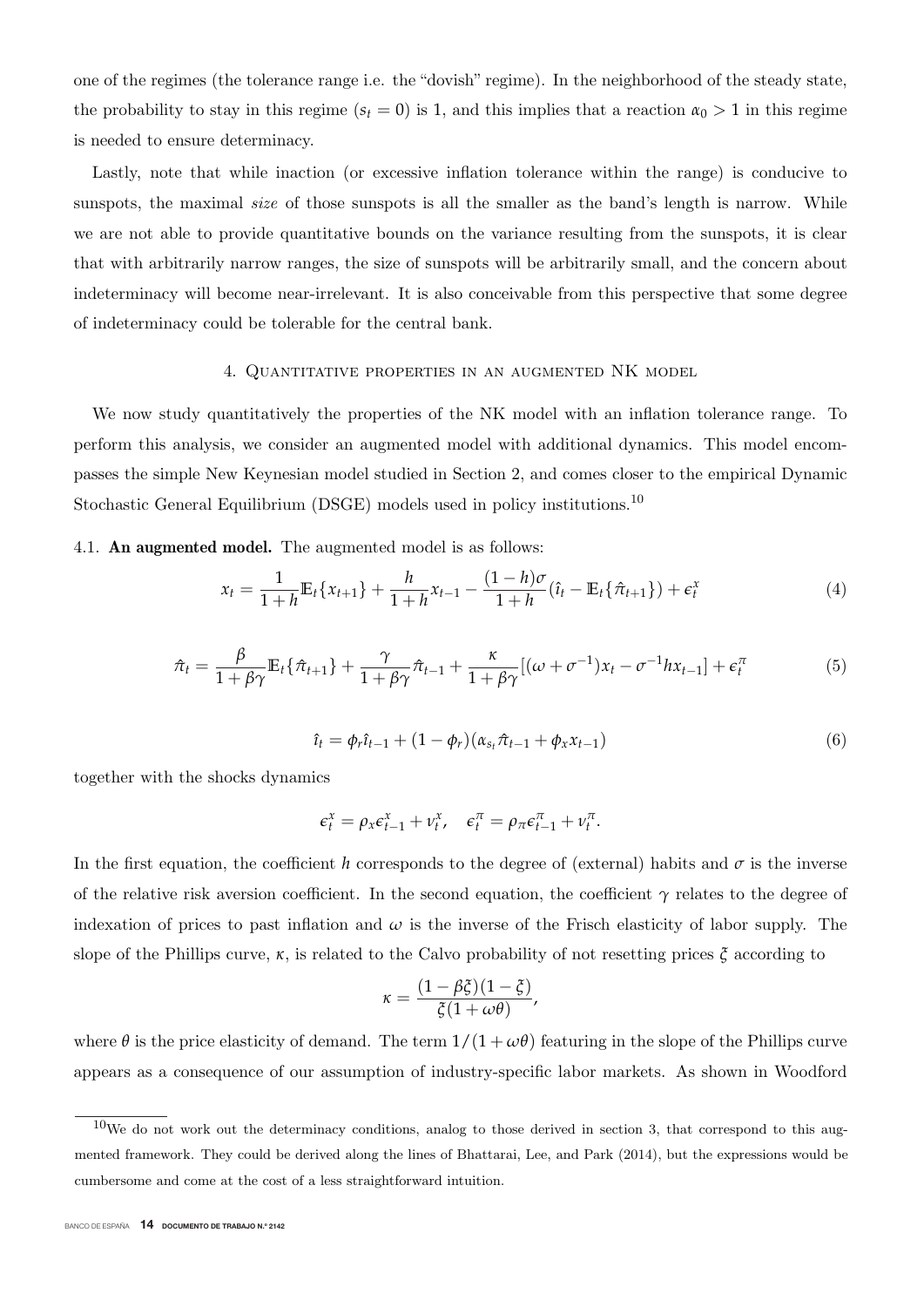one of the regimes (the tolerance range i.e. the "dovish" regime). In the neighborhood of the steady state, the probability to stay in this regime  $(s_t = 0)$  is 1, and this implies that a reaction  $\alpha_0 > 1$  in this regime is needed to ensure determinacy.

Lastly, note that while inaction (or excessive inflation tolerance within the range) is conducive to sunspots, the maximal *size* of those sunspots is all the smaller as the band's length is narrow. While we are not able to provide quantitative bounds on the variance resulting from the sunspots, it is clear that with arbitrarily narrow ranges, the size of sunspots will be arbitrarily small, and the concern about indeterminacy will become near-irrelevant. It is also conceivable from this perspective that some degree of indeterminacy could be tolerable for the central bank.

### 4. Quantitative properties in an augmented NK model

We now study quantitatively the properties of the NK model with an inflation tolerance range. To perform this analysis, we consider an augmented model with additional dynamics. This model encompasses the simple New Keynesian model studied in Section 2, and comes closer to the empirical Dynamic Stochastic General Equilibrium (DSGE) models used in policy institutions.<sup>10</sup>

#### 4.1. **An augmented model.** The augmented model is as follows:

$$
x_t = \frac{1}{1+h} \mathbb{E}_t \{ x_{t+1} \} + \frac{h}{1+h} x_{t-1} - \frac{(1-h)\sigma}{1+h} (\hat{t}_t - \mathbb{E}_t \{ \hat{\pi}_{t+1} \}) + \epsilon_t^x
$$
(4)

$$
\hat{\pi}_t = \frac{\beta}{1 + \beta \gamma} \mathbb{E}_t \{ \hat{\pi}_{t+1} \} + \frac{\gamma}{1 + \beta \gamma} \hat{\pi}_{t-1} + \frac{\kappa}{1 + \beta \gamma} [(\omega + \sigma^{-1}) x_t - \sigma^{-1} h x_{t-1}] + \epsilon_t^{\pi}
$$
(5)

$$
\hat{\iota}_t = \phi_r \hat{\iota}_{t-1} + (1 - \phi_r)(\alpha_{s_t} \hat{\pi}_{t-1} + \phi_x x_{t-1})
$$
\n(6)

together with the shocks dynamics

$$
\epsilon_t^x = \rho_x \epsilon_{t-1}^x + \nu_t^x, \quad \epsilon_t^{\pi} = \rho_{\pi} \epsilon_{t-1}^{\pi} + \nu_t^{\pi}.
$$

In the first equation, the coefficient *h* corresponds to the degree of (external) habits and  $\sigma$  is the inverse of the relative risk aversion coefficient. In the second equation, the coefficient  $\gamma$  relates to the degree of indexation of prices to past inflation and  $\omega$  is the inverse of the Frisch elasticity of labor supply. The slope of the Phillips curve, *κ*, is related to the Calvo probability of not resetting prices *ξ* according to

$$
\kappa = \frac{(1 - \beta \xi)(1 - \xi)}{\xi(1 + \omega \theta)},
$$

where  $\theta$  is the price elasticity of demand. The term  $1/(1 + \omega \theta)$  featuring in the slope of the Phillips curve appears as a consequence of our assumption of industry-specific labor markets. As shown in Woodford

 $10$ We do not work out the determinacy conditions, analog to those derived in section 3, that correspond to this augmented framework. They could be derived along the lines of Bhattarai, Lee, and Park (2014), but the expressions would be cumbersome and come at the cost of a less straightforward intuition.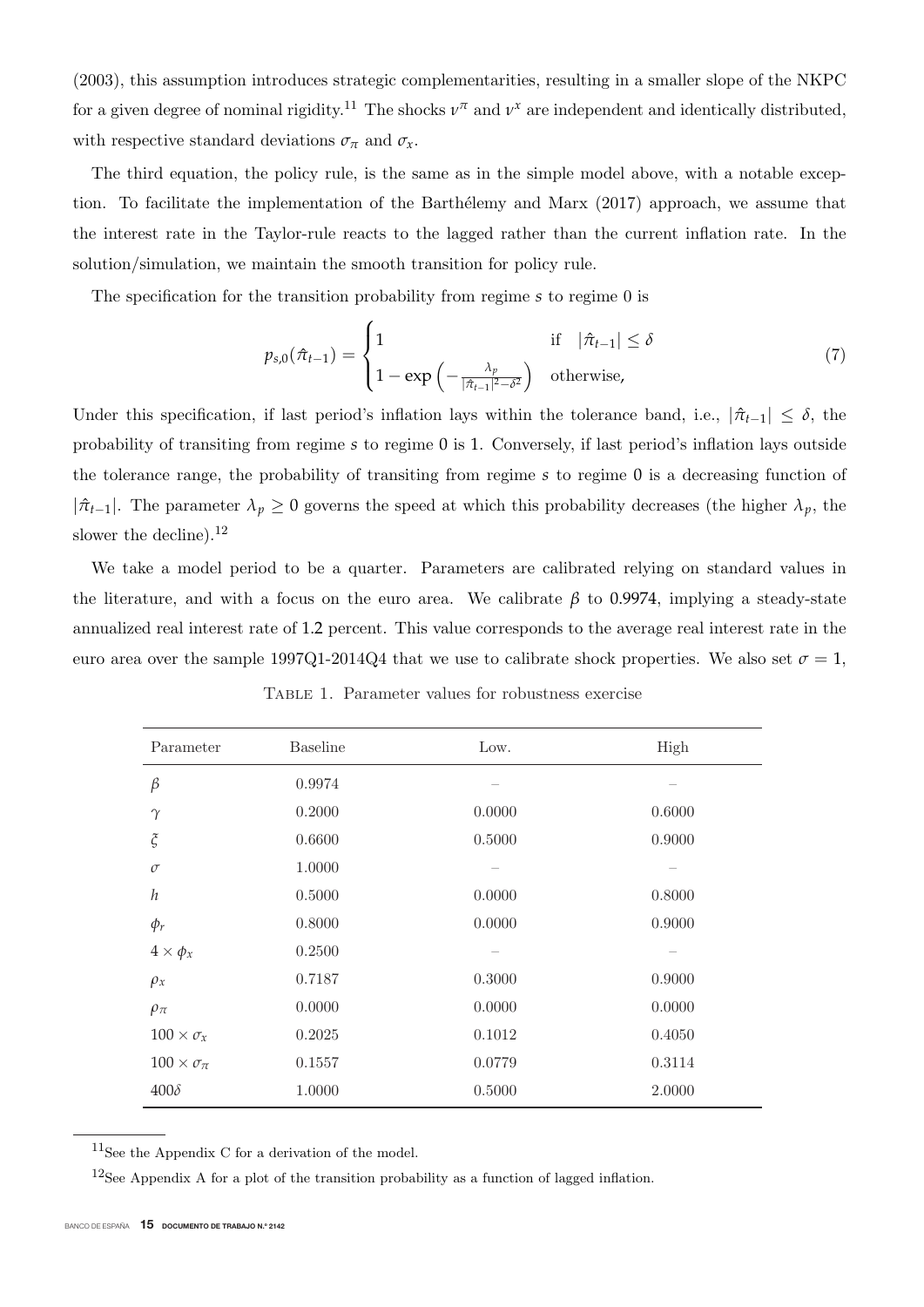(2003), this assumption introduces strategic complementarities, resulting in a smaller slope of the NKPC for a given degree of nominal rigidity.<sup>11</sup> The shocks  $v^{\pi}$  and  $v^x$  are independent and identically distributed, with respective standard deviations  $\sigma_{\pi}$  and  $\sigma_{x}$ .

The third equation, the policy rule, is the same as in the simple model above, with a notable exception. To facilitate the implementation of the Barthélemy and Marx  $(2017)$  approach, we assume that the interest rate in the Taylor-rule reacts to the lagged rather than the current inflation rate. In the solution/simulation, we maintain the smooth transition for policy rule.

The specification for the transition probability from regime *s* to regime 0 is

$$
p_{s,0}(\hat{\pi}_{t-1}) = \begin{cases} 1 & \text{if } |\hat{\pi}_{t-1}| \le \delta \\ 1 - \exp\left(-\frac{\lambda_p}{|\hat{\pi}_{t-1}|^2 - \delta^2}\right) & \text{otherwise,} \end{cases}
$$
(7)

Under this specification, if last period's inflation lays within the tolerance band, i.e.,  $|\hat{\pi}_{t-1}| \leq \delta$ , the probability of transiting from regime *<sup>s</sup>* to regime 0 is 1. Conversely, if last period's inflation lays outside the tolerance range, the probability of transiting from regime *<sup>s</sup>* to regime 0 is a decreasing function of  $|\hat{\pi}_{t-1}|$ . The parameter  $\lambda_p \geq 0$  governs the speed at which this probability decreases (the higher  $\lambda_p$ , the slower the decline). $^{12}$ 

We take a model period to be a quarter. Parameters are calibrated relying on standard values in the literature, and with a focus on the euro area. We calibrate *<sup>β</sup>* to 0.9974, implying a steady-state annualized real interest rate of 1.2 percent. This value corresponds to the average real interest rate in the euro area over the sample 1997Q1-2014Q4 that we use to calibrate shock properties. We also set  $\sigma = 1$ ,

| Parameter                 | Baseline | Low.   | High   |
|---------------------------|----------|--------|--------|
| $\beta$                   | 0.9974   |        |        |
| $\gamma$                  | 0.2000   | 0.0000 | 0.6000 |
| $\boldsymbol{\xi}$        | 0.6600   | 0.5000 | 0.9000 |
| $\sigma$                  | 1.0000   |        |        |
| $\boldsymbol{h}$          | 0.5000   | 0.0000 | 0.8000 |
| $\phi_r$                  | 0.8000   | 0.0000 | 0.9000 |
| $4 \times \phi_x$         | 0.2500   |        |        |
| $\rho_x$                  | 0.7187   | 0.3000 | 0.9000 |
| $\rho_\pi$                | 0.0000   | 0.0000 | 0.0000 |
| $100 \times \sigma_x$     | 0.2025   | 0.1012 | 0.4050 |
| $100 \times \sigma_{\pi}$ | 0.1557   | 0.0779 | 0.3114 |
| $400\delta$               | 1.0000   | 0.5000 | 2.0000 |

Table 1. Parameter values for robustness exercise

 $11$ See the Appendix C for a derivation of the model.

<sup>12</sup>See Appendix A for a plot of the transition probability as a function of lagged inflation.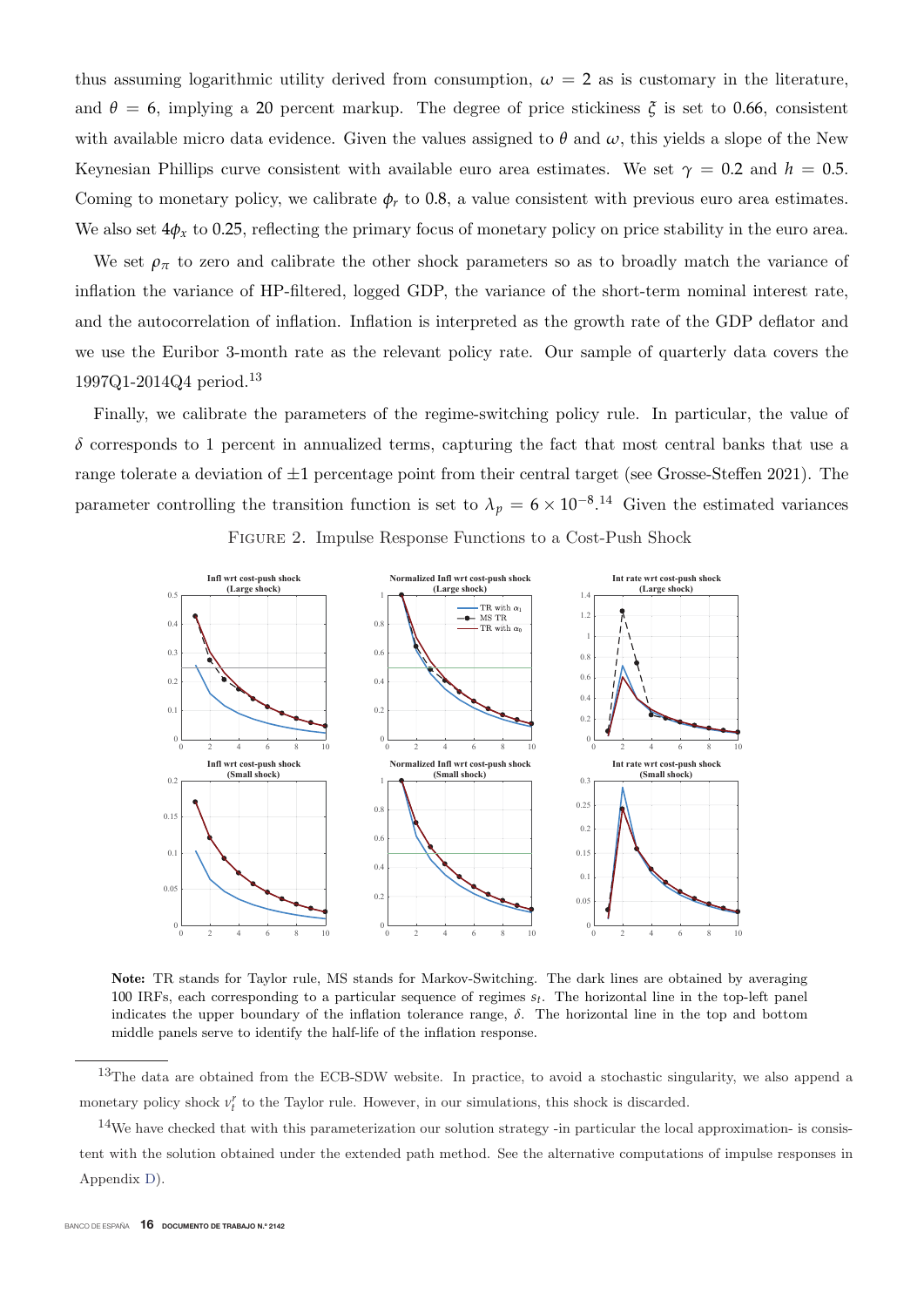and  $\theta = 6$ , implying a 20 percent markup. The degree of price stickiness  $\zeta$  is set to 0.66, consistent with available micro data evidence. Given the values assigned to  $\theta$  and  $\omega$ , this yields a slope of the New Keynesian Phillips curve consistent with available euro area estimates. We set  $\gamma = 0.2$  and  $h = 0.5$ . Coming to monetary policy, we calibrate  $\phi_r$  to 0.8, a value consistent with previous euro area estimates. We also set  $4\phi_x$  to 0.25, reflecting the primary focus of monetary policy on price stability in the euro area. thus assuming logarithmic utility derived from consumption,  $\omega = 2$  as is customary in the literature,

We set  $\rho_{\pi}$  to zero and calibrate the other shock parameters so as to broadly match the variance of inflation the variance of HP-filtered, logged GDP, the variance of the short-term nominal interest rate, and the autocorrelation of inflation. Inflation is interpreted as the growth rate of the GDP deflator and we use the Euribor 3-month rate as the relevant policy rate. Our sample of quarterly data covers the 1997Q1-2014Q4 period.<sup>13</sup>

Finally, we calibrate the parameters of the regime-switching policy rule. In particular, the value of  $\delta$  corresponds to 1 percent in annualized terms, capturing the fact that most central banks that use a range tolerate a deviation of  $\pm 1$  percentage point from their central target (see Grosse-Steffen 2021). The parameter controlling the transition function is set to  $\lambda_p = 6 \times 10^{-8}$ .<sup>14</sup> Given the estimated variances



Figure 2. Impulse Response Functions to a Cost-Push Shock

**Note:** TR stands for Taylor rule, MS stands for Markov-Switching. The dark lines are obtained by averaging <sup>100</sup> IRFs, each corresponding to a particular sequence of regimes *st*. The horizontal line in the top-left panel indicates the upper boundary of the inflation tolerance range,  $\delta$ . The horizontal line in the top and bottom middle panels serve to identify the half-life of the inflation response.

 $13$ The data are obtained from the ECB-SDW website. In practice, to avoid a stochastic singularity, we also append a monetary policy shock  $v_t^r$  to the Taylor rule. However, in our simulations, this shock is discarded.

 $14$ We have checked that with this parameterization our solution strategy -in particular the local approximation- is consistent with the solution obtained under the extended path method. See the alternative computations of impulse responses in Appendix D).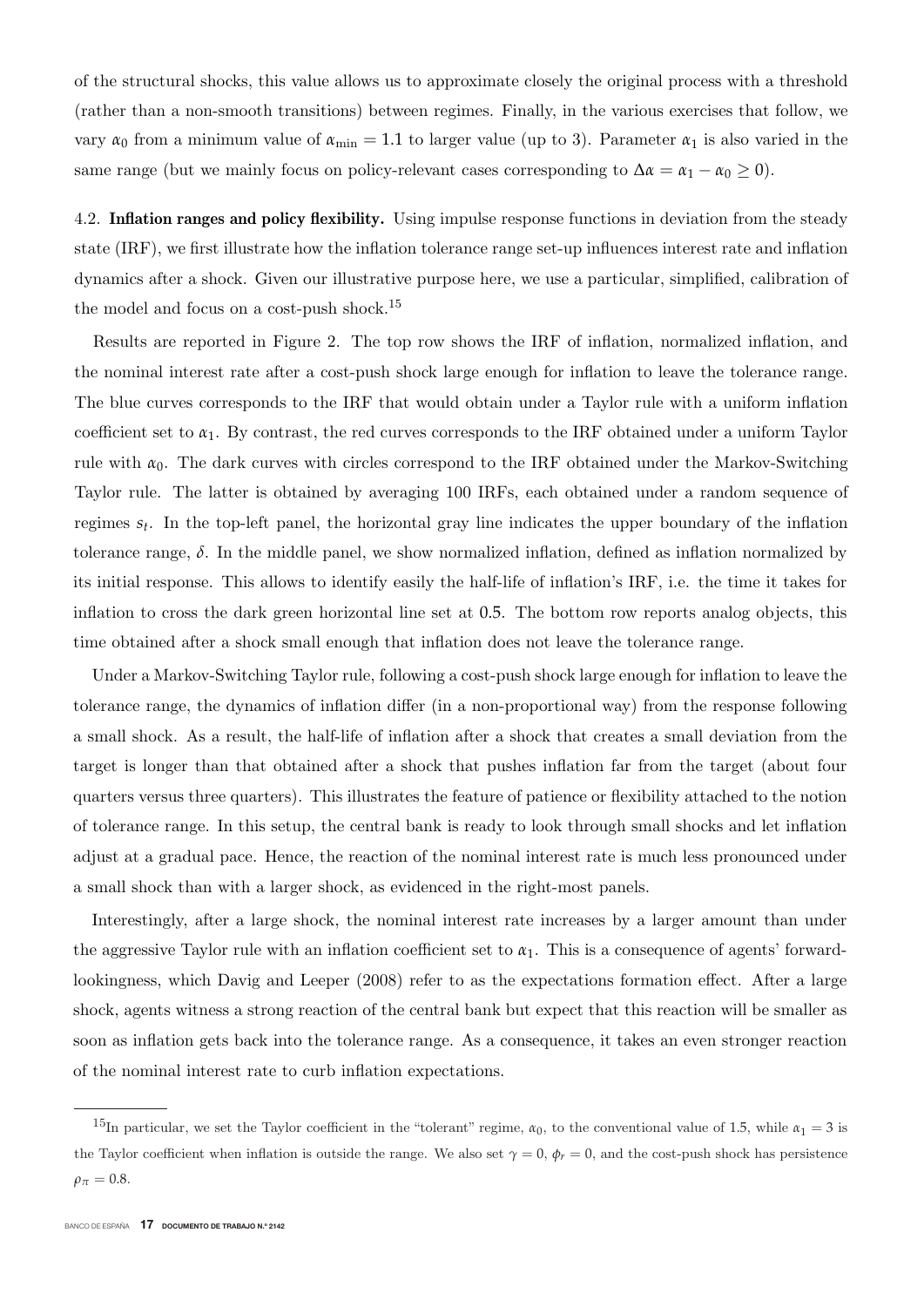vary  $\alpha_0$  from a minimum value of  $\alpha_{\min} = 1.1$  to larger value (up to 3). Parameter  $\alpha_1$  is also varied in the same range (but we mainly focus on policy-relevant cases corresponding to  $\Delta \alpha = \alpha_1 - \alpha_0 \ge 0$ ). of the structural shocks, this value allows us to approximate closely the original process with a threshold (rather than a non-smooth transitions) between regimes. Finally, in the various exercises that follow, we

4.2. **Inflation ranges and policy flexibility.** Using impulse response functions in deviation from the steady state (IRF), we first illustrate how the inflation tolerance range set-up influences interest rate and inflation dynamics after a shock. Given our illustrative purpose here, we use a particular, simplified, calibration of the model and focus on a cost-push shock.<sup>15</sup>

Results are reported in Figure 2. The top row shows the IRF of inflation, normalized inflation, and the nominal interest rate after a cost-push shock large enough for inflation to leave the tolerance range. The blue curves corresponds to the IRF that would obtain under a Taylor rule with a uniform inflation coefficient set to *<sup>α</sup>*1. By contrast, the red curves corresponds to the IRF obtained under a uniform Taylor rule with  $\alpha_0$ . The dark curves with circles correspond to the IRF obtained under the Markov-Switching Taylor rule. The latter is obtained by averaging 100 IRFs, each obtained under a random sequence of regimes *st*. In the top-left panel, the horizontal gray line indicates the upper boundary of the inflation tolerance range,  $\delta$ . In the middle panel, we show normalized inflation, defined as inflation normalized by its initial response. This allows to identify easily the half-life of inflation's IRF, i.e. the time it takes for inflation to cross the dark green horizontal line set at 0.5. The bottom row reports analog objects, this time obtained after a shock small enough that inflation does not leave the tolerance range.

Under a Markov-Switching Taylor rule, following a cost-push shock large enough for inflation to leave the tolerance range, the dynamics of inflation differ (in a non-proportional way) from the response following a small shock. As a result, the half-life of inflation after a shock that creates a small deviation from the target is longer than that obtained after a shock that pushes inflation far from the target (about four quarters versus three quarters). This illustrates the feature of patience or flexibility attached to the notion of tolerance range. In this setup, the central bank is ready to look through small shocks and let inflation adjust at a gradual pace. Hence, the reaction of the nominal interest rate is much less pronounced under a small shock than with a larger shock, as evidenced in the right-most panels.

Interestingly, after a large shock, the nominal interest rate increases by a larger amount than under the aggressive Taylor rule with an inflation coefficient set to  $\alpha_1$ . This is a consequence of agents' forwardlookingness, which Davig and Leeper (2008) refer to as the expectations formation effect. After a large shock, agents witness a strong reaction of the central bank but expect that this reaction will be smaller as soon as inflation gets back into the tolerance range. As a consequence, it takes an even stronger reaction of the nominal interest rate to curb inflation expectations.

<sup>&</sup>lt;sup>15</sup>In particular, we set the Taylor coefficient in the "tolerant" regime,  $\alpha_0$ , to the conventional value of 1.5, while  $\alpha_1 = 3$  is the Taylor coefficient when inflation is outside the range. We also set  $\gamma = 0$ ,  $\phi_r = 0$ , and the cost-push shock has persistence  $\rho_{\pi} = 0.8$ .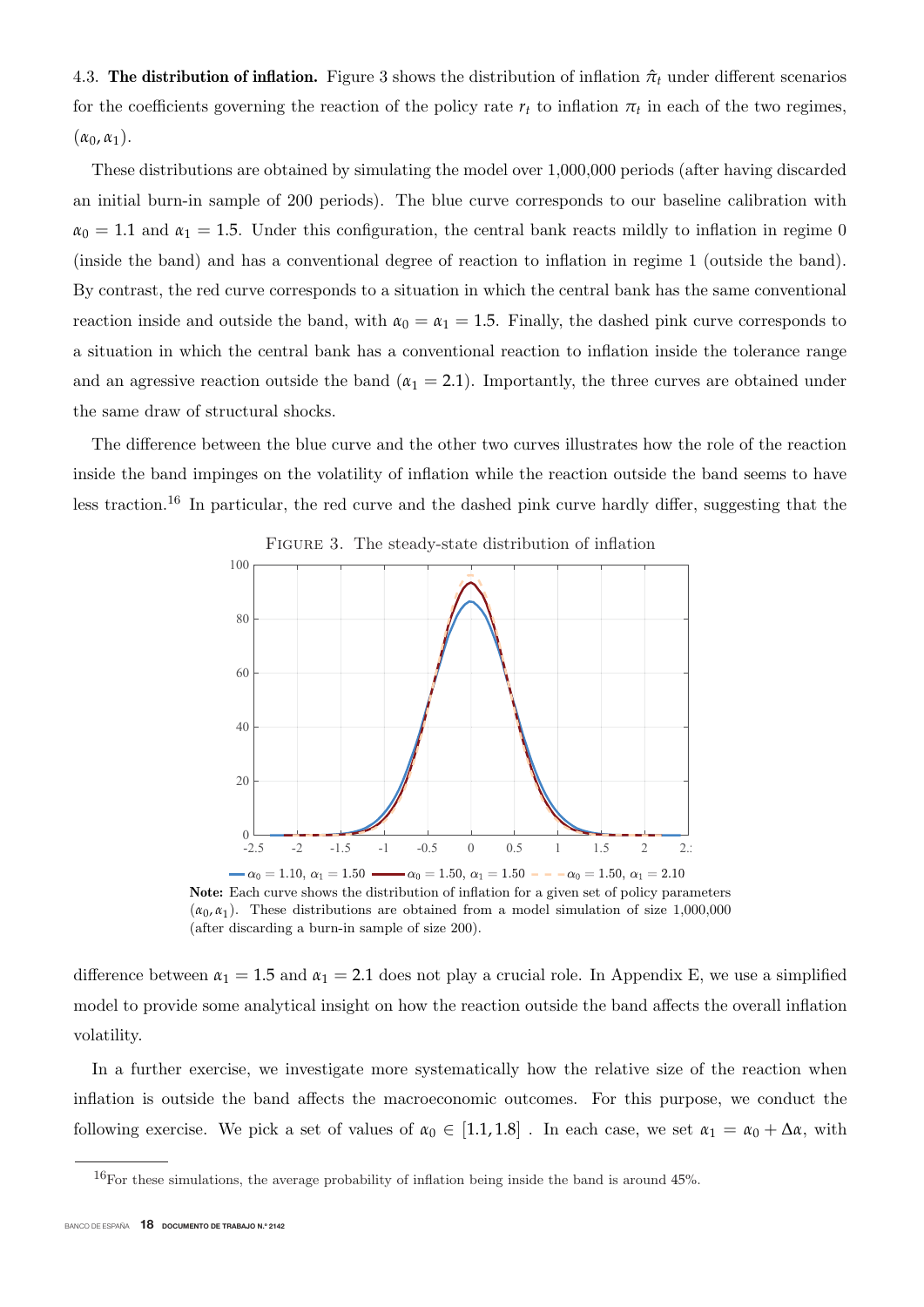4.3. **The distribution of inflation.** Figure 3 shows the distribution of inflation  $\hat{\pi}$ <sub>*t*</sub> under different scenarios for the coefficients governing the reaction of the policy rate  $r_t$  to inflation  $\pi_t$  in each of the two regimes,  $(\alpha_0, \alpha_1).$ 

These distributions are obtained by simulating the model over 1,000,000 periods (after having discarded an initial burn-in sample of 200 periods). The blue curve corresponds to our baseline calibration with  $\alpha_0 = 1.1$  and  $\alpha_1 = 1.5$ . Under this configuration, the central bank reacts mildly to inflation in regime 0 (inside the band) and has a conventional degree of reaction to inflation in regime 1 (outside the band). By contrast, the red curve corresponds to a situation in which the central bank has the same conventional reaction inside and outside the band, with  $\alpha_0 = \alpha_1 = 1.5$ . Finally, the dashed pink curve corresponds to a situation in which the central bank has a conventional reaction to inflation inside the tolerance range and an agressive reaction outside the band  $(\alpha_1 = 2.1)$ . Importantly, the three curves are obtained under the same draw of structural shocks.

The difference between the blue curve and the other two curves illustrates how the role of the reaction inside the band impinges on the volatility of inflation while the reaction outside the band seems to have less traction.<sup>16</sup> In particular, the red curve and the dashed pink curve hardly differ, suggesting that the



Figure 3. The steady-state distribution of inflation

**Note:** Each curve shows the distribution of inflation for a given set of policy parameters  $(\alpha_0, \alpha_1)$ . These distributions are obtained from a model simulation of size 1,000,000 (after discarding a burn-in sample of size 200).

difference between  $\alpha_1 = 1.5$  and  $\alpha_1 = 2.1$  does not play a crucial role. In Appendix E, we use a simplified model to provide some analytical insight on how the reaction outside the band affects the overall inflation volatility.

In a further exercise, we investigate more systematically how the relative size of the reaction when inflation is outside the band affects the macroeconomic outcomes. For this purpose, we conduct the following exercise. We pick a set of values of  $\alpha_0 \in [1.1, 1.8]$ . In each case, we set  $\alpha_1 = \alpha_0 + \Delta \alpha$ , with

 $16$ For these simulations, the average probability of inflation being inside the band is around 45%.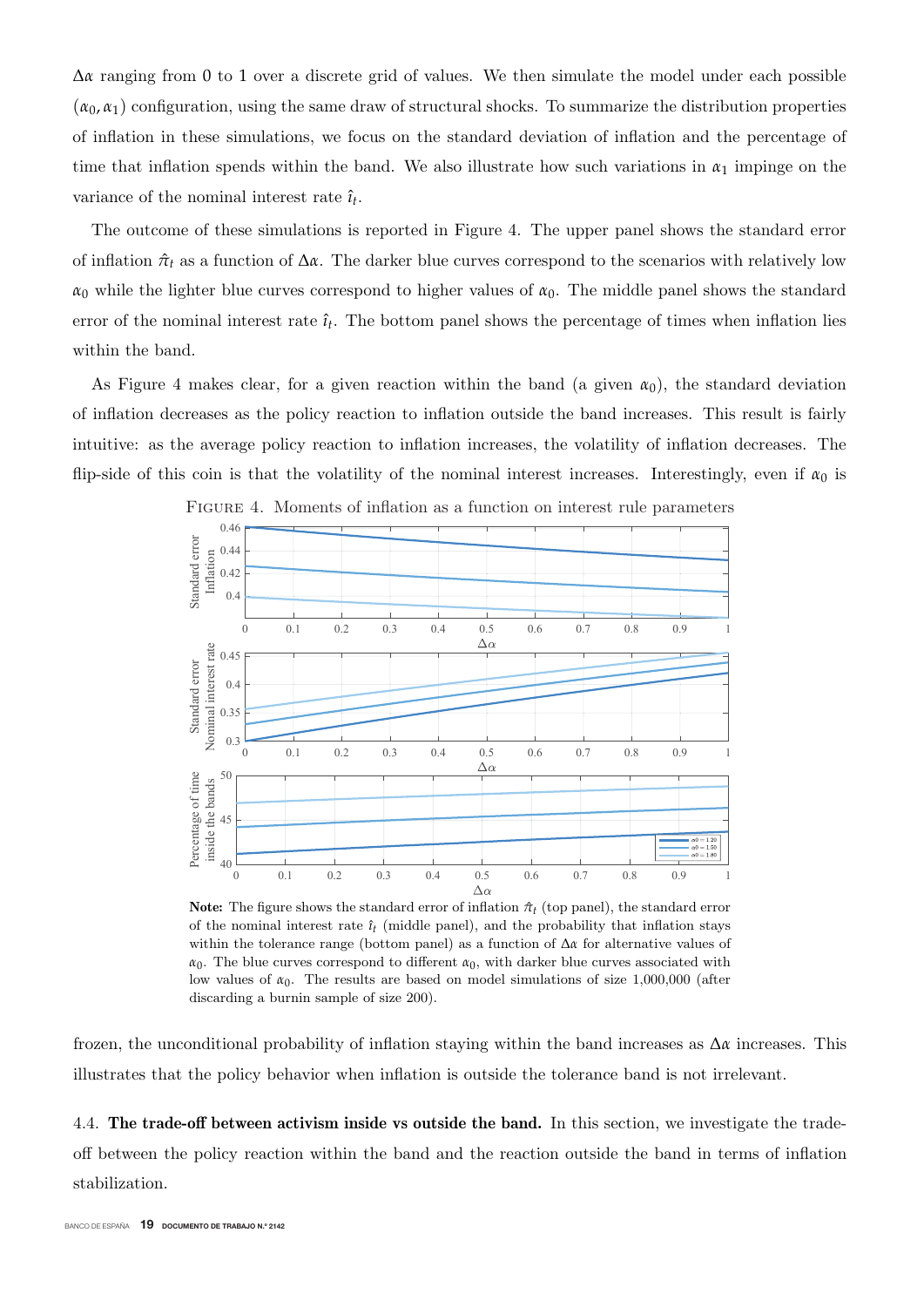$\Delta \alpha$  ranging from 0 to 1 over a discrete grid of values. We then simulate the model under each possible  $(\alpha_0, \alpha_1)$  configuration, using the same draw of structural shocks. To summarize the distribution properties of inflation in these simulations, we focus on the standard deviation of inflation and the percentage of time that inflation spends within the band. We also illustrate how such variations in  $\alpha_1$  impinge on the variance of the nominal interest rate  $\hat{\imath}_t$ .

The outcome of these simulations is reported in Figure 4. The upper panel shows the standard error of inflation  $\hat{\pi}_t$  as a function of  $\Delta \alpha$ . The darker blue curves correspond to the scenarios with relatively low  $\alpha_0$  while the lighter blue curves correspond to higher values of  $\alpha_0$ . The middle panel shows the standard error of the nominal interest rate  $\hat{\imath}_t$ . The bottom panel shows the percentage of times when inflation lies within the band.

As Figure 4 makes clear, for a given reaction within the band (a given  $\alpha_0$ ), the standard deviation of inflation decreases as the policy reaction to inflation outside the band increases. This result is fairly intuitive: as the average policy reaction to inflation increases, the volatility of inflation decreases. The flip-side of this coin is that the volatility of the nominal interest increases. Interestingly, even if  $\alpha_0$  is



Figure 4. Moments of inflation as a function on interest rule parameters

**Note:** The figure shows the standard error of inflation  $\hat{\pi}$ <sup>*t*</sup> (top panel), the standard error of the nominal interest rate  $\hat{\imath}$ <sub>*t*</sub> (middle panel), and the probability that inflation stays within the tolerance range (bottom panel) as a function of Δ*α* for alternative values of  $\alpha_0$ . The blue curves correspond to different  $\alpha_0$ , with darker blue curves associated with low values of  $α_0$ . The results are based on model simulations of size 1,000,000 (after discarding a burnin sample of size 200).

frozen, the unconditional probability of inflation staying within the band increases as Δ*α* increases. This illustrates that the policy behavior when inflation is outside the tolerance band is not irrelevant.

4.4. **The trade-off between activism inside vs outside the band.** In this section, we investigate the tradeoff between the policy reaction within the band and the reaction outside the band in terms of inflation stabilization.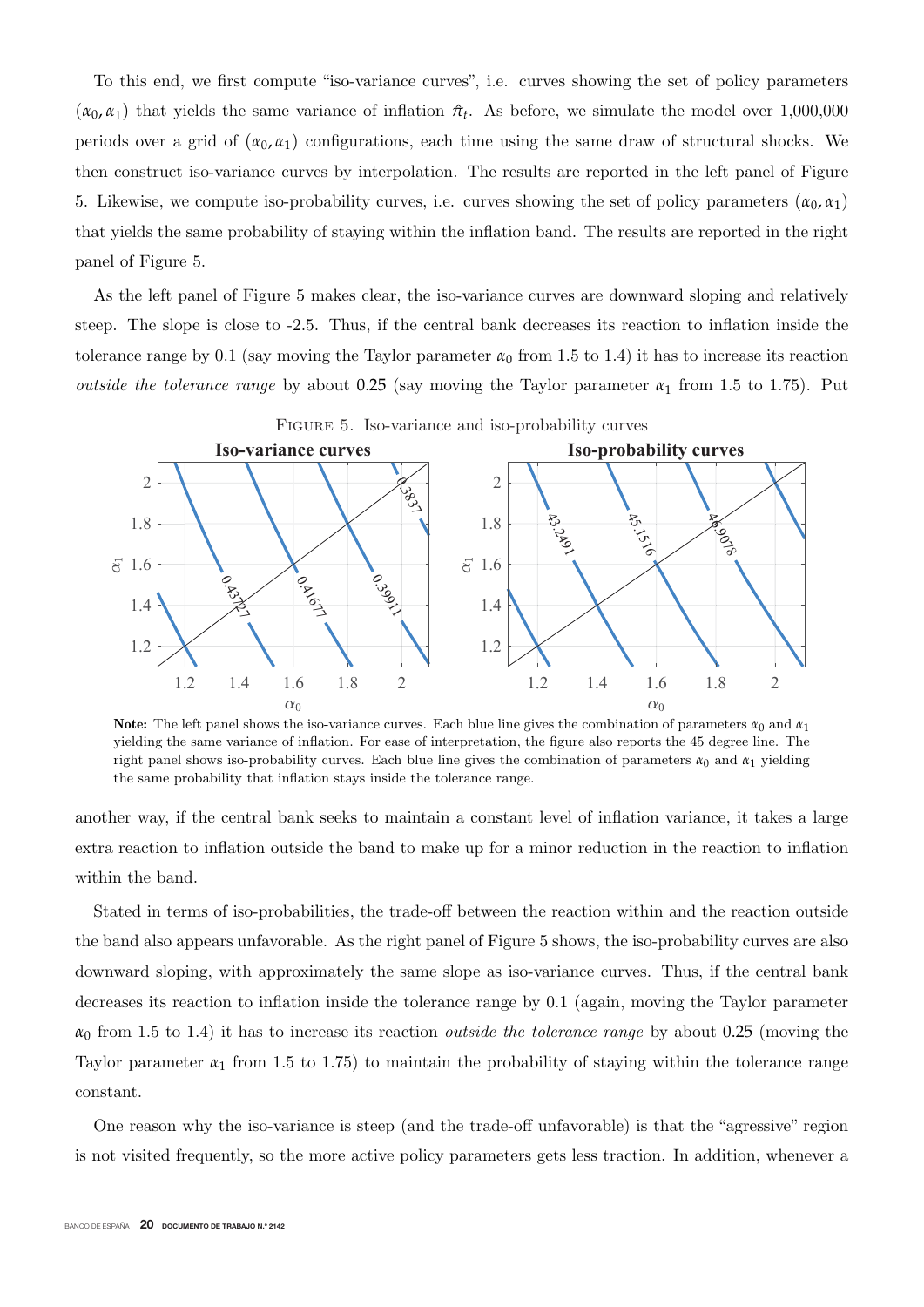To this end, we first compute "iso-variance curves", i.e. curves showing the set of policy parameters  $(\alpha_0, \alpha_1)$  that yields the same variance of inflation  $\hat{\pi}_t$ . As before, we simulate the model over 1,000,000 periods over a grid of  $(\alpha_0, \alpha_1)$  configurations, each time using the same draw of structural shocks. We then construct iso-variance curves by interpolation. The results are reported in the left panel of Figure 5. Likewise, we compute iso-probability curves, i.e. curves showing the set of policy parameters  $(\alpha_0, \alpha_1)$ that yields the same probability of staying within the inflation band. The results are reported in the right panel of Figure 5.

As the left panel of Figure 5 makes clear, the iso-variance curves are downward sloping and relatively steep. The slope is close to -2.5. Thus, if the central bank decreases its reaction to inflation inside the tolerance range by 0.1 (say moving the Taylor parameter  $\alpha_0$  from 1.5 to 1.4) it has to increase its reaction *outside the tolerance range* by about 0.25 (say moving the Taylor parameter  $\alpha_1$  from 1.5 to 1.75). Put



**Note:** The left panel shows the iso-variance curves. Each blue line gives the combination of parameters  $\alpha_0$  and  $\alpha_1$ yielding the same variance of inflation. For ease of interpretation, the figure also reports the 45 degree line. The right panel shows iso-probability curves. Each blue line gives the combination of parameters  $\alpha_0$  and  $\alpha_1$  yielding the same probability that inflation stays inside the tolerance range.

another way, if the central bank seeks to maintain a constant level of inflation variance, it takes a large extra reaction to inflation outside the band to make up for a minor reduction in the reaction to inflation within the band.

Stated in terms of iso-probabilities, the trade-off between the reaction within and the reaction outside the band also appears unfavorable. As the right panel of Figure 5 shows, the iso-probability curves are also downward sloping, with approximately the same slope as iso-variance curves. Thus, if the central bank decreases its reaction to inflation inside the tolerance range by 0.1 (again, moving the Taylor parameter  $\alpha_0$  from 1.5 to 1.4) it has to increase its reaction *outside the tolerance range* by about 0.25 (moving the Taylor parameter  $\alpha_1$  from 1.5 to 1.75) to maintain the probability of staying within the tolerance range constant.

One reason why the iso-variance is steep (and the trade-off unfavorable) is that the "agressive" region is not visited frequently, so the more active policy parameters gets less traction. In addition, whenever a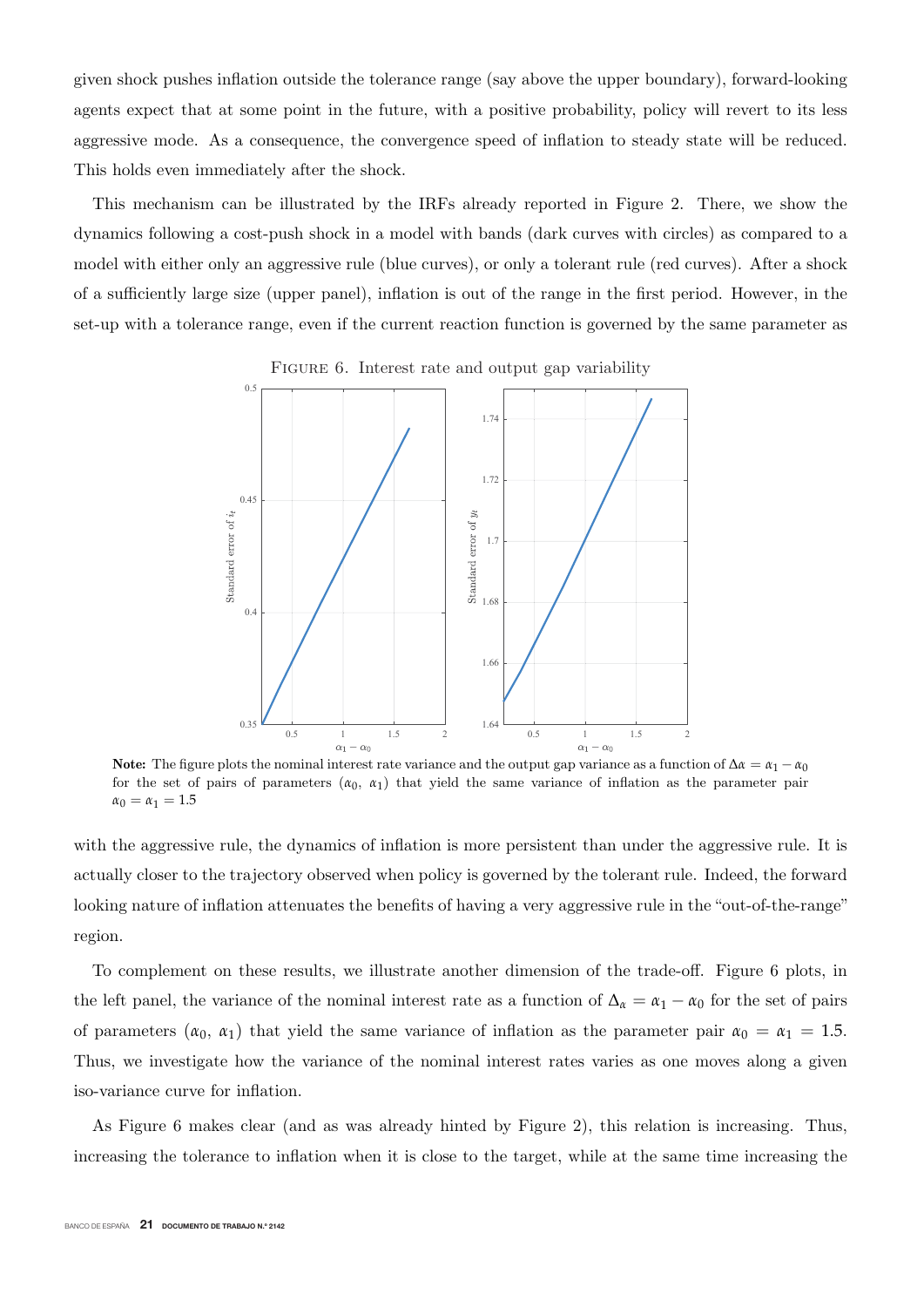given shock pushes inflation outside the tolerance range (say above the upper boundary), forward-looking agents expect that at some point in the future, with a positive probability, policy will revert to its less aggressive mode. As a consequence, the convergence speed of inflation to steady state will be reduced. This holds even immediately after the shock.

This mechanism can be illustrated by the IRFs already reported in Figure 2. There, we show the dynamics following a cost-push shock in a model with bands (dark curves with circles) as compared to a model with either only an aggressive rule (blue curves), or only a tolerant rule (red curves). After a shock of a sufficiently large size (upper panel), inflation is out of the range in the first period. However, in the set-up with a tolerance range, even if the current reaction function is governed by the same parameter as



FIGURE 6. Interest rate and output gap variability

**Note:** The figure plots the nominal interest rate variance and the output gap variance as a function of  $\Delta \alpha = \alpha_1 - \alpha_0$ for the set of pairs of parameters  $(\alpha_0, \alpha_1)$  that yield the same variance of inflation as the parameter pair  $\alpha_0 = \alpha_1 = 1.5$ 

with the aggressive rule, the dynamics of inflation is more persistent than under the aggressive rule. It is actually closer to the trajectory observed when policy is governed by the tolerant rule. Indeed, the forward looking nature of inflation attenuates the benefits of having a very aggressive rule in the "out-of-the-range" region.

To complement on these results, we illustrate another dimension of the trade-off. Figure 6 plots, in the left panel, the variance of the nominal interest rate as a function of  $\Delta_{\alpha} = \alpha_1 - \alpha_0$  for the set of pairs of parameters  $(\alpha_0, \alpha_1)$  that yield the same variance of inflation as the parameter pair  $\alpha_0 = \alpha_1 = 1.5$ . Thus, we investigate how the variance of the nominal interest rates varies as one moves along a given iso-variance curve for inflation.

As Figure 6 makes clear (and as was already hinted by Figure 2), this relation is increasing. Thus, increasing the tolerance to inflation when it is close to the target, while at the same time increasing the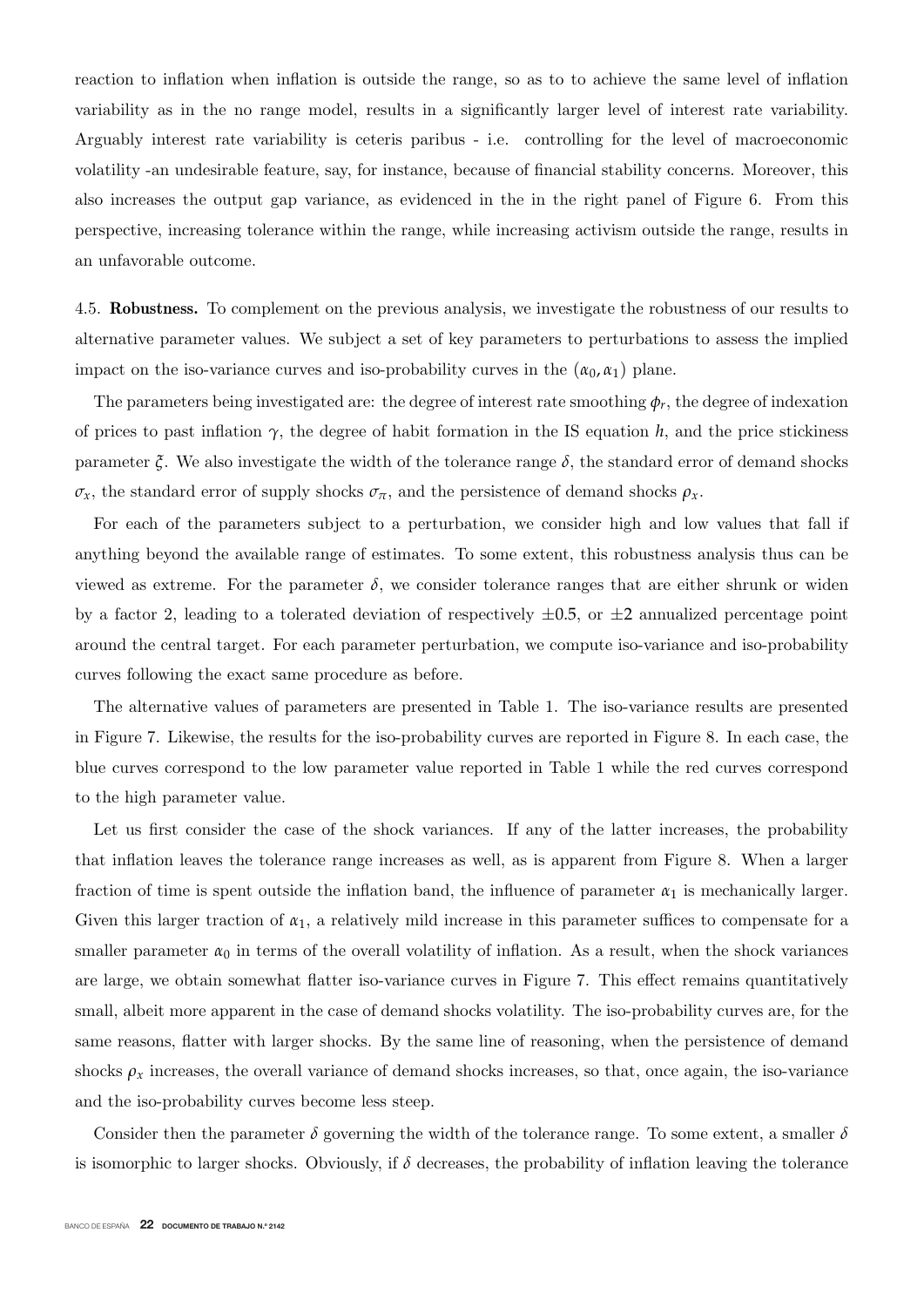reaction to inflation when inflation is outside the range, so as to to achieve the same level of inflation variability as in the no range model, results in a significantly larger level of interest rate variability. Arguably interest rate variability is ceteris paribus - i.e. controlling for the level of macroeconomic volatility -an undesirable feature, say, for instance, because of financial stability concerns. Moreover, this also increases the output gap variance, as evidenced in the in the right panel of Figure 6. From this perspective, increasing tolerance within the range, while increasing activism outside the range, results in an unfavorable outcome.

4.5. **Robustness.** To complement on the previous analysis, we investigate the robustness of our results to alternative parameter values. We subject a set of key parameters to perturbations to assess the implied impact on the iso-variance curves and iso-probability curves in the  $(\alpha_0, \alpha_1)$  plane.

The parameters being investigated are: the degree of interest rate smoothing  $\phi_r$ , the degree of indexation of prices to past inflation  $\gamma$ , the degree of habit formation in the IS equation *h*, and the price stickiness parameter  $\zeta$ . We also investigate the width of the tolerance range  $\delta$ , the standard error of demand shocks *σ*<sub>*x*</sub>, the standard error of supply shocks  $σ_π$ , and the persistence of demand shocks  $ρ_x$ .

For each of the parameters subject to a perturbation, we consider high and low values that fall if anything beyond the available range of estimates. To some extent, this robustness analysis thus can be viewed as extreme. For the parameter  $\delta$ , we consider tolerance ranges that are either shrunk or widen by a factor 2, leading to a tolerated deviation of respectively  $\pm 0.5$ , or  $\pm 2$  annualized percentage point around the central target. For each parameter perturbation, we compute iso-variance and iso-probability curves following the exact same procedure as before.

The alternative values of parameters are presented in Table 1. The iso-variance results are presented in Figure 7. Likewise, the results for the iso-probability curves are reported in Figure 8. In each case, the blue curves correspond to the low parameter value reported in Table 1 while the red curves correspond to the high parameter value.

Let us first consider the case of the shock variances. If any of the latter increases, the probability that inflation leaves the tolerance range increases as well, as is apparent from Figure 8. When a larger fraction of time is spent outside the inflation band, the influence of parameter  $\alpha_1$  is mechanically larger. Given this larger traction of  $\alpha_1$ , a relatively mild increase in this parameter suffices to compensate for a smaller parameter  $\alpha_0$  in terms of the overall volatility of inflation. As a result, when the shock variances are large, we obtain somewhat flatter iso-variance curves in Figure 7. This effect remains quantitatively small, albeit more apparent in the case of demand shocks volatility. The iso-probability curves are, for the same reasons, flatter with larger shocks. By the same line of reasoning, when the persistence of demand shocks  $\rho_x$  increases, the overall variance of demand shocks increases, so that, once again, the iso-variance and the iso-probability curves become less steep.

Consider then the parameter  $\delta$  governing the width of the tolerance range. To some extent, a smaller  $\delta$ is isomorphic to larger shocks. Obviously, if  $\delta$  decreases, the probability of inflation leaving the tolerance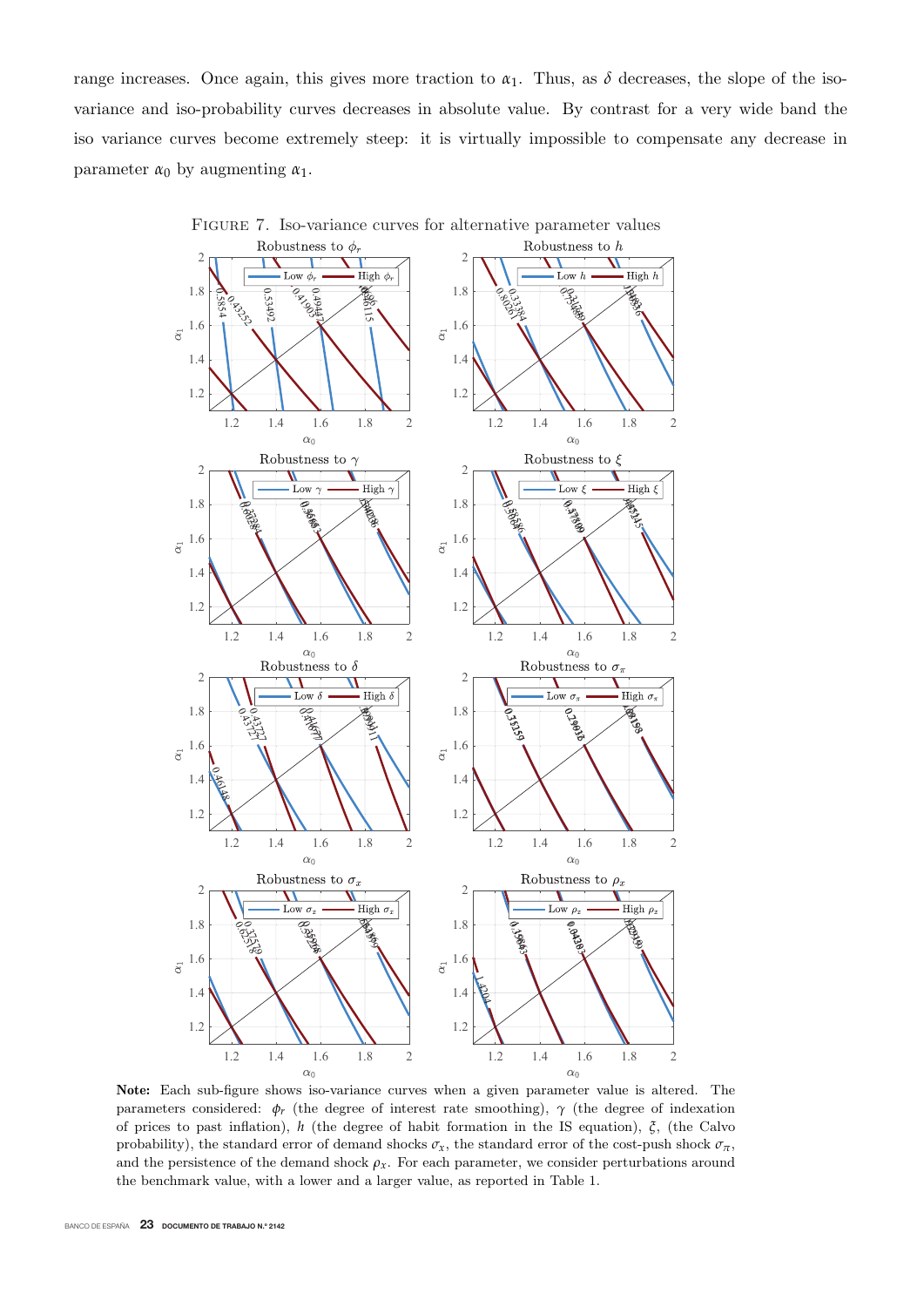range increases. Once again, this gives more traction to  $\alpha_1$ . Thus, as  $\delta$  decreases, the slope of the isovariance and iso-probability curves decreases in absolute value. By contrast for a very wide band the iso variance curves become extremely steep: it is virtually impossible to compensate any decrease in parameter  $\alpha_0$  by augmenting  $\alpha_1$ .



Figure 7. Iso-variance curves for alternative parameter values

**Note:** Each sub-figure shows iso-variance curves when a given parameter value is altered. The parameters considered:  $\phi_r$  (the degree of interest rate smoothing),  $\gamma$  (the degree of indexation of prices to past inflation), *h* (the degree of habit formation in the IS equation), *ξ*, (the Calvo probability), the standard error of demand shocks  $\sigma_x$ , the standard error of the cost-push shock  $\sigma_{\pi}$ , and the persistence of the demand shock  $\rho_x$ . For each parameter, we consider perturbations around the benchmark value, with a lower and a larger value, as reported in Table 1.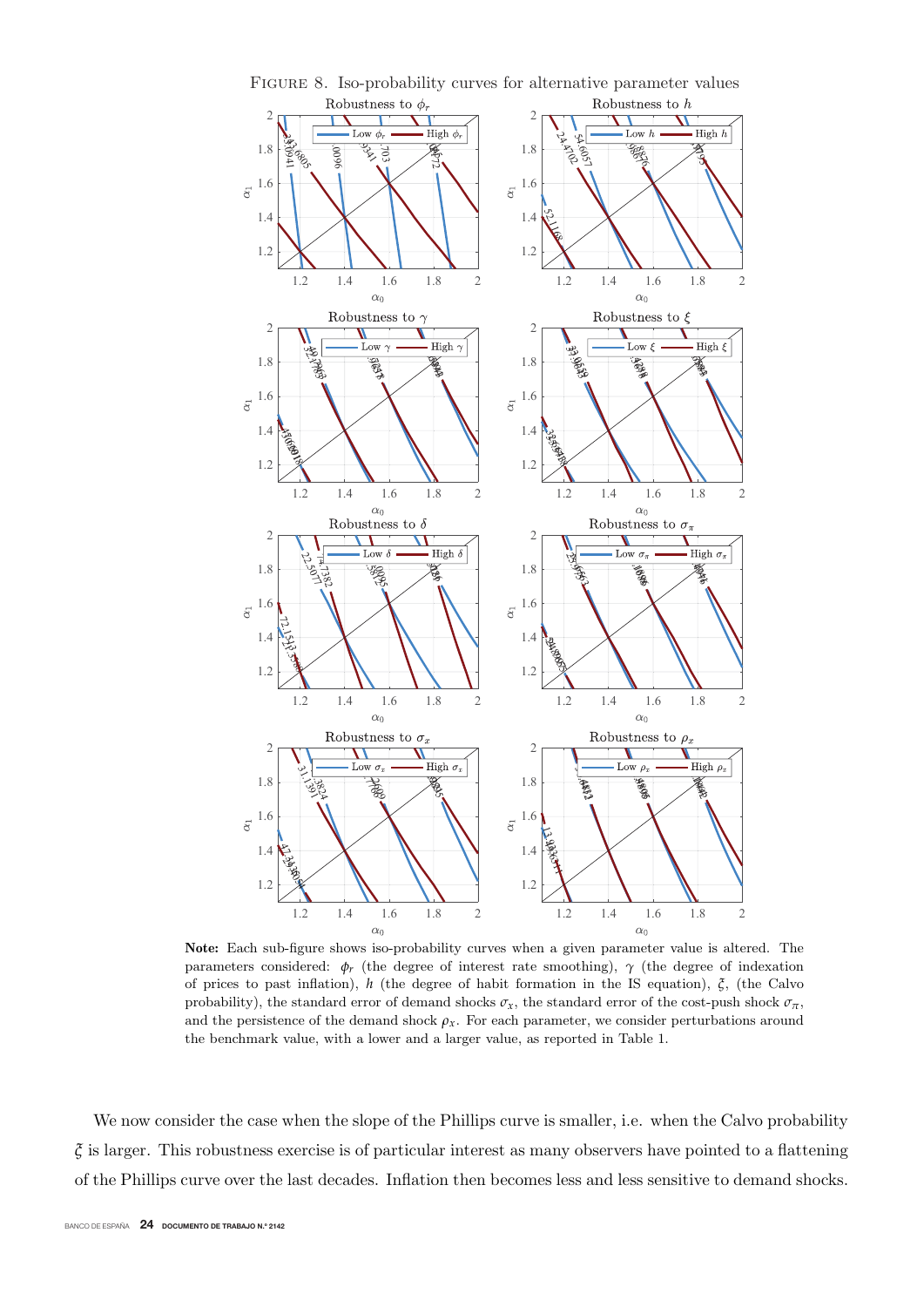

Figure 8. Iso-probability curves for alternative parameter values

**Note:** Each sub-figure shows iso-probability curves when a given parameter value is altered. The parameters considered:  $\phi_r$  (the degree of interest rate smoothing),  $\gamma$  (the degree of indexation of prices to past inflation), *h* (the degree of habit formation in the IS equation), *ξ*, (the Calvo probability), the standard error of demand shocks  $\sigma_x$ , the standard error of the cost-push shock  $\sigma_{\pi}$ , and the persistence of the demand shock  $\rho_x$ . For each parameter, we consider perturbations around the benchmark value, with a lower and a larger value, as reported in Table 1.

We now consider the case when the slope of the Phillips curve is smaller, i.e. when the Calvo probability *ξ* is larger. This robustness exercise is of particular interest as many observers have pointed to a flattening of the Phillips curve over the last decades. Inflation then becomes less and less sensitive to demand shocks.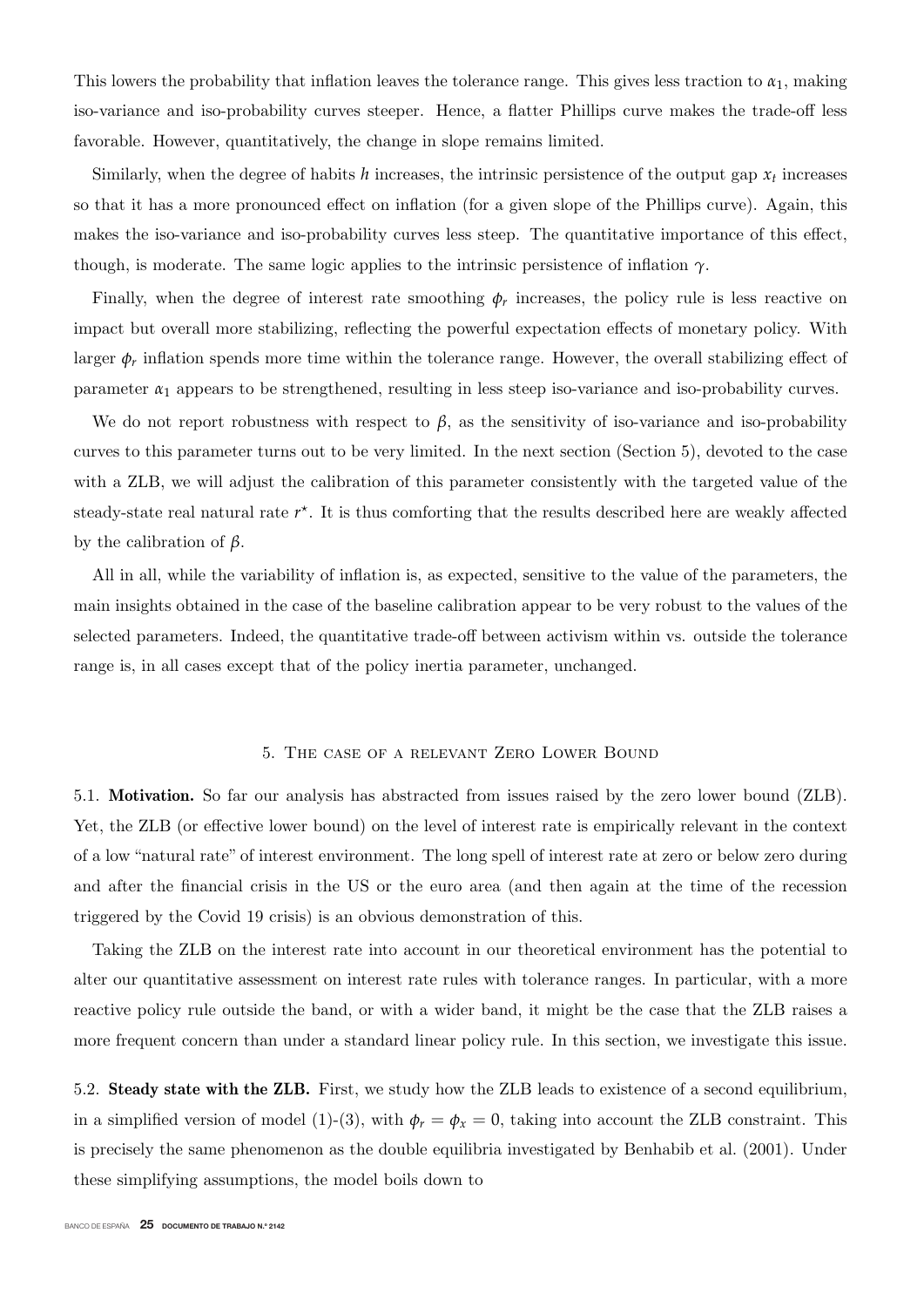This lowers the probability that inflation leaves the tolerance range. This gives less traction to  $\alpha_1$ , making iso-variance and iso-probability curves steeper. Hence, a flatter Phillips curve makes the trade-off less favorable. However, quantitatively, the change in slope remains limited.

Similarly, when the degree of habits  $h$  increases, the intrinsic persistence of the output gap  $x_t$  increases so that it has a more pronounced effect on inflation (for a given slope of the Phillips curve). Again, this makes the iso-variance and iso-probability curves less steep. The quantitative importance of this effect, though, is moderate. The same logic applies to the intrinsic persistence of inflation *γ*.

Finally, when the degree of interest rate smoothing  $\phi_r$  increases, the policy rule is less reactive on impact but overall more stabilizing, reflecting the powerful expectation effects of monetary policy. With larger  $\phi_r$  inflation spends more time within the tolerance range. However, the overall stabilizing effect of parameter  $\alpha_1$  appears to be strengthened, resulting in less steep iso-variance and iso-probability curves.

We do not report robustness with respect to  $\beta$ , as the sensitivity of iso-variance and iso-probability curves to this parameter turns out to be very limited. In the next section (Section 5), devoted to the case with a ZLB, we will adjust the calibration of this parameter consistently with the targeted value of the steady-state real natural rate  $r^*$ . It is thus comforting that the results described here are weakly affected by the calibration of *β*.

All in all, while the variability of inflation is, as expected, sensitive to the value of the parameters, the main insights obtained in the case of the baseline calibration appear to be very robust to the values of the selected parameters. Indeed, the quantitative trade-off between activism within vs. outside the tolerance range is, in all cases except that of the policy inertia parameter, unchanged.

#### 5. The case of a relevant Zero Lower Bound

5.1. **Motivation.** So far our analysis has abstracted from issues raised by the zero lower bound (ZLB). Yet, the ZLB (or effective lower bound) on the level of interest rate is empirically relevant in the context of a low "natural rate" of interest environment. The long spell of interest rate at zero or below zero during and after the financial crisis in the US or the euro area (and then again at the time of the recession triggered by the Covid 19 crisis) is an obvious demonstration of this.

Taking the ZLB on the interest rate into account in our theoretical environment has the potential to alter our quantitative assessment on interest rate rules with tolerance ranges. In particular, with a more reactive policy rule outside the band, or with a wider band, it might be the case that the ZLB raises a more frequent concern than under a standard linear policy rule. In this section, we investigate this issue.

5.2. **Steady state with the ZLB.** First, we study how the ZLB leads to existence of a second equilibrium, in a simplified version of model (1)-(3), with  $\phi_r = \phi_x = 0$ , taking into account the ZLB constraint. This is precisely the same phenomenon as the double equilibria investigated by Benhabib et al. (2001). Under these simplifying assumptions, the model boils down to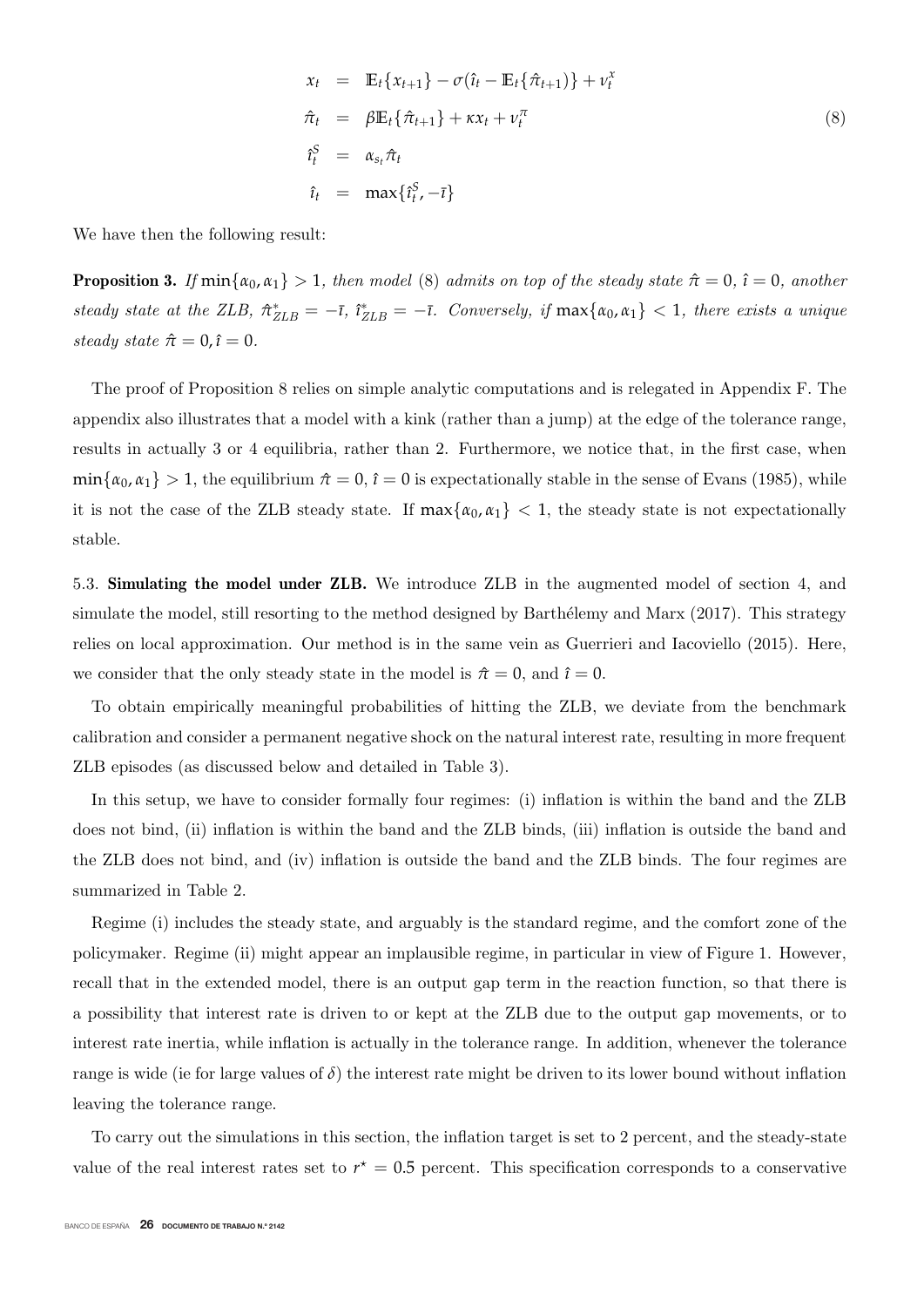$$
x_t = \mathbb{E}_t \{x_{t+1}\} - \sigma(\hat{\imath}_t - \mathbb{E}_t \{\hat{\pi}_{t+1}\} + \nu_t^x
$$
  
\n
$$
\hat{\pi}_t = \beta \mathbb{E}_t \{\hat{\pi}_{t+1}\} + \kappa x_t + \nu_t^{\pi}
$$
  
\n
$$
\hat{\imath}_t^S = \alpha_{s_t} \hat{\pi}_t
$$
  
\n
$$
\hat{\imath}_t = \max \{\hat{\imath}_t^S, -\bar{\imath}\}
$$
\n(8)

We have then the following result:

**Proposition 3.** If  $min\{\alpha_0, \alpha_1\} > 1$ , then model (8) admits on top of the steady state  $\hat{\pi} = 0$ ,  $\hat{\imath} = 0$ , another steady state at the ZLB,  $\hat{\pi}_{\text{ZLB}}^* = -\bar{\imath}$ ,  $\hat{\imath}_{\text{ZLB}}^* = -\bar{\imath}$ . Conversely, if  $\max\{\alpha_0, \alpha_1\} < 1$ , there exists a unique steady state  $\hat{\pi} = 0, \hat{\imath} = 0$ .

The proof of Proposition 8 relies on simple analytic computations and is relegated in Appendix F. The appendix also illustrates that a model with a kink (rather than a jump) at the edge of the tolerance range, results in actually 3 or 4 equilibria, rather than 2. Furthermore, we notice that, in the first case, when  $\min\{\alpha_0, \alpha_1\} > 1$ , the equilibrium  $\hat{\pi} = 0$ ,  $\hat{\imath} = 0$  is expectationally stable in the sense of Evans (1985), while it is not the case of the ZLB steady state. If  $\max{\{\alpha_0, \alpha_1\}} < 1$ , the steady state is not expectationally stable.

5.3. **Simulating the model under ZLB.** We introduce ZLB in the augmented model of section 4, and simulate the model, still resorting to the method designed by Barthélemy and Marx (2017). This strategy relies on local approximation. Our method is in the same vein as Guerrieri and Iacoviello (2015). Here, we consider that the only steady state in the model is  $\hat{\pi} = 0$ , and  $\hat{\imath} = 0$ .

To obtain empirically meaningful probabilities of hitting the ZLB, we deviate from the benchmark calibration and consider a permanent negative shock on the natural interest rate, resulting in more frequent ZLB episodes (as discussed below and detailed in Table 3).

In this setup, we have to consider formally four regimes: (i) inflation is within the band and the ZLB does not bind, (ii) inflation is within the band and the ZLB binds, (iii) inflation is outside the band and the ZLB does not bind, and (iv) inflation is outside the band and the ZLB binds. The four regimes are summarized in Table 2.

Regime (i) includes the steady state, and arguably is the standard regime, and the comfort zone of the policymaker. Regime (ii) might appear an implausible regime, in particular in view of Figure 1. However, recall that in the extended model, there is an output gap term in the reaction function, so that there is a possibility that interest rate is driven to or kept at the ZLB due to the output gap movements, or to interest rate inertia, while inflation is actually in the tolerance range. In addition, whenever the tolerance range is wide (ie for large values of  $\delta$ ) the interest rate might be driven to its lower bound without inflation leaving the tolerance range.

To carry out the simulations in this section, the inflation target is set to 2 percent, and the steady-state value of the real interest rates set to  $r^* = 0.5$  percent. This specification corresponds to a conservative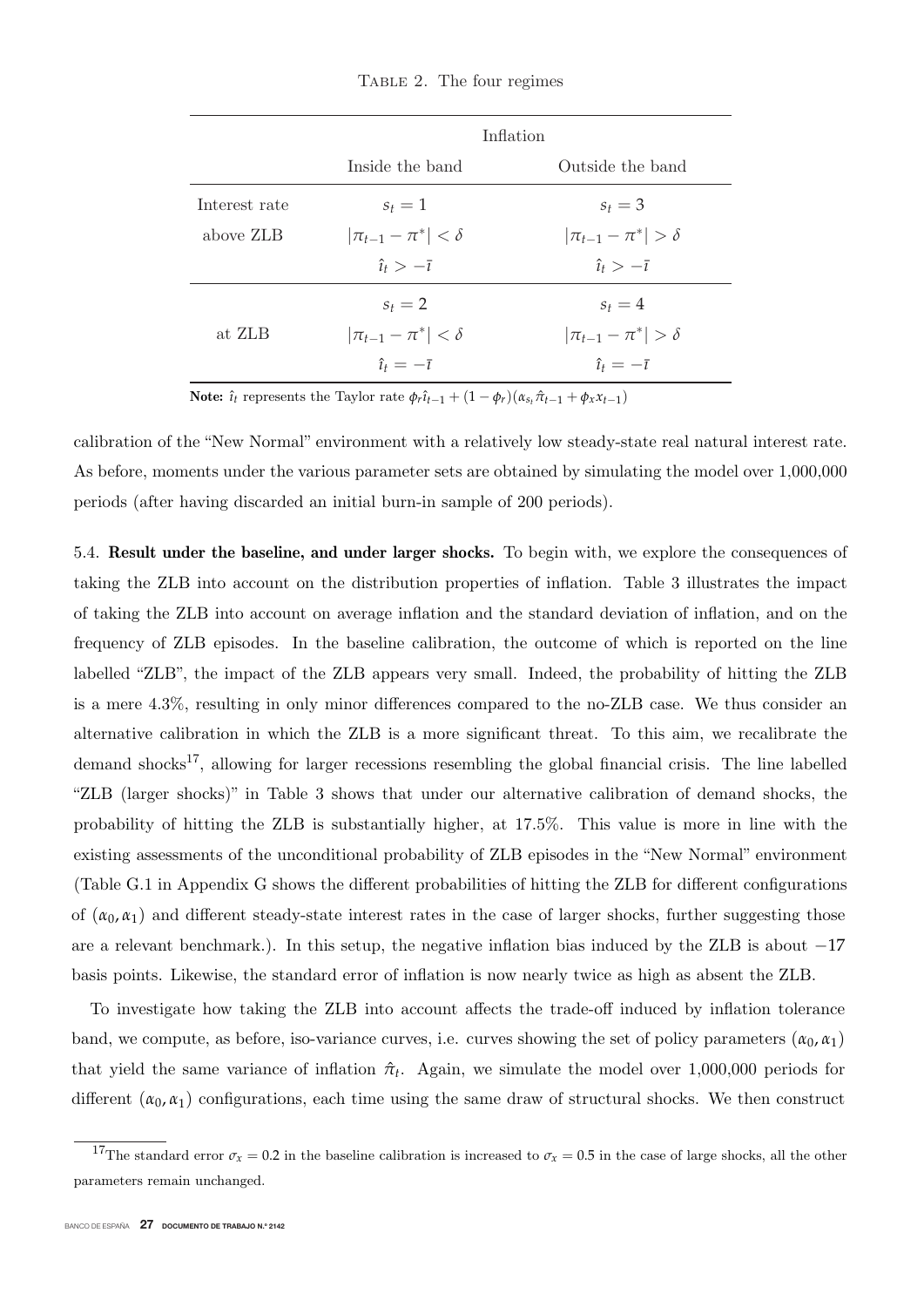Table 2. The four regimes

|               |                             | Inflation                   |
|---------------|-----------------------------|-----------------------------|
|               | Inside the band             | Outside the band            |
| Interest rate | $s_t = 1$                   | $s_t = 3$                   |
| above ZLB     | $ \pi_{t-1}-\pi^* <\delta$  | $ \pi_{t-1}-\pi^* >\delta$  |
|               | $\hat{i}_t > -\overline{i}$ | $\hat{i}_t > -\overline{i}$ |
|               | $s_t = 2$                   | $s_t = 4$                   |
| at ZLB        | $ \pi_{t-1}-\pi^* <\delta$  | $ \pi_{t-1}-\pi^* >\delta$  |
|               | $\hat{i}_t=-\overline{i}$   | $\hat{i}_t=-\overline{i}$   |

**Note:**  $\hat{\imath}_t$  represents the Taylor rate  $\phi_r \hat{\imath}_{t-1} + (1 - \phi_r)(\alpha_{s_t} \hat{\pi}_{t-1} + \phi_x x_{t-1})$ 

calibration of the "New Normal" environment with a relatively low steady-state real natural interest rate. As before, moments under the various parameter sets are obtained by simulating the model over 1,000,000 periods (after having discarded an initial burn-in sample of 200 periods).

5.4. **Result under the baseline, and under larger shocks.** To begin with, we explore the consequences of taking the ZLB into account on the distribution properties of inflation. Table 3 illustrates the impact of taking the ZLB into account on average inflation and the standard deviation of inflation, and on the frequency of ZLB episodes. In the baseline calibration, the outcome of which is reported on the line labelled "ZLB", the impact of the ZLB appears very small. Indeed, the probability of hitting the ZLB is a mere 4.3%, resulting in only minor differences compared to the no-ZLB case. We thus consider an alternative calibration in which the ZLB is a more significant threat. To this aim, we recalibrate the demand shocks<sup>17</sup>, allowing for larger recessions resembling the global financial crisis. The line labelled "ZLB (larger shocks)" in Table 3 shows that under our alternative calibration of demand shocks, the probability of hitting the ZLB is substantially higher, at 17.5%. This value is more in line with the existing assessments of the unconditional probability of ZLB episodes in the "New Normal" environment (Table G.1 in Appendix G shows the different probabilities of hitting the ZLB for different configurations of  $(\alpha_0, \alpha_1)$  and different steady-state interest rates in the case of larger shocks, further suggesting those are a relevant benchmark.). In this setup, the negative inflation bias induced by the ZLB is about <sup>−</sup><sup>17</sup> basis points. Likewise, the standard error of inflation is now nearly twice as high as absent the ZLB.

To investigate how taking the ZLB into account affects the trade-off induced by inflation tolerance band, we compute, as before, iso-variance curves, i.e. curves showing the set of policy parameters  $(\alpha_0, \alpha_1)$ that yield the same variance of inflation  $\hat{\pi}_t$ . Again, we simulate the model over 1,000,000 periods for different  $(\alpha_0, \alpha_1)$  configurations, each time using the same draw of structural shocks. We then construct

<sup>&</sup>lt;sup>17</sup>The standard error  $\sigma_x = 0.2$  in the baseline calibration is increased to  $\sigma_x = 0.5$  in the case of large shocks, all the other parameters remain unchanged.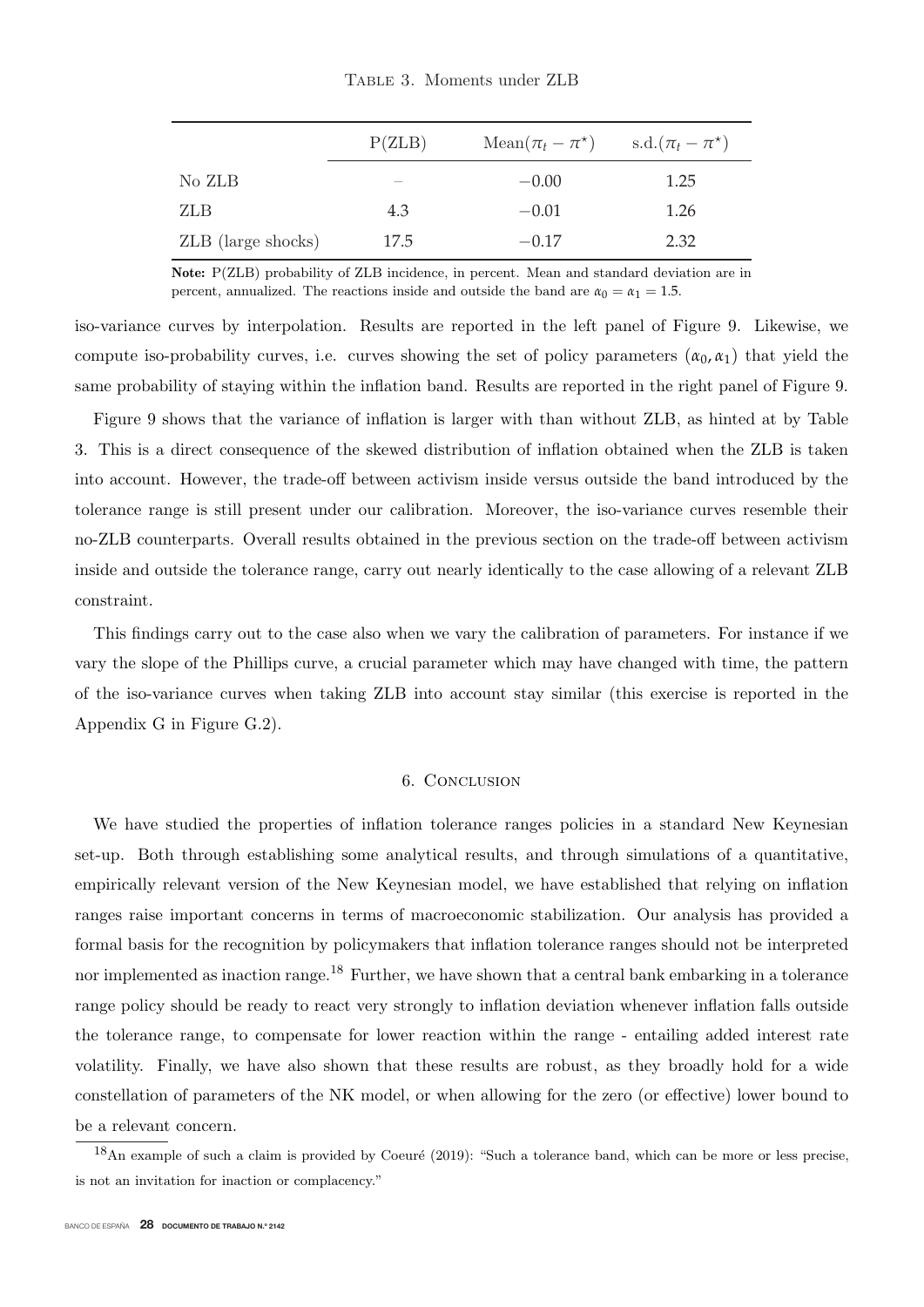|  | TABLE 3. Moments under ZLB |  |
|--|----------------------------|--|
|  |                            |  |

|                    | P(ZLB) | $Mean(\pi_t - \pi^*)$ | s.d. $(\pi_t - \pi^*)$ |
|--------------------|--------|-----------------------|------------------------|
| No ZLB             |        | $-0.00$               | 1.25                   |
| ZLB                | 4.3    | $-0.01$               | 1.26                   |
| ZLB (large shocks) | 17.5   | $-0.17$               | 2.32                   |
|                    |        |                       |                        |

**Note:** P(ZLB) probability of ZLB incidence, in percent. Mean and standard deviation are in percent, annualized. The reactions inside and outside the band are  $\alpha_0 = \alpha_1 = 1.5$ .

iso-variance curves by interpolation. Results are reported in the left panel of Figure 9. Likewise, we compute iso-probability curves, i.e. curves showing the set of policy parameters  $(\alpha_0, \alpha_1)$  that yield the same probability of staying within the inflation band. Results are reported in the right panel of Figure 9.

Figure 9 shows that the variance of inflation is larger with than without ZLB, as hinted at by Table 3. This is a direct consequence of the skewed distribution of inflation obtained when the ZLB is taken into account. However, the trade-off between activism inside versus outside the band introduced by the tolerance range is still present under our calibration. Moreover, the iso-variance curves resemble their no-ZLB counterparts. Overall results obtained in the previous section on the trade-off between activism inside and outside the tolerance range, carry out nearly identically to the case allowing of a relevant ZLB constraint.

This findings carry out to the case also when we vary the calibration of parameters. For instance if we vary the slope of the Phillips curve, a crucial parameter which may have changed with time, the pattern of the iso-variance curves when taking ZLB into account stay similar (this exercise is reported in the Appendix G in Figure G.2).

#### 6. Conclusion

We have studied the properties of inflation tolerance ranges policies in a standard New Keynesian set-up. Both through establishing some analytical results, and through simulations of a quantitative, empirically relevant version of the New Keynesian model, we have established that relying on inflation ranges raise important concerns in terms of macroeconomic stabilization. Our analysis has provided a formal basis for the recognition by policymakers that inflation tolerance ranges should not be interpreted nor implemented as inaction range.<sup>18</sup> Further, we have shown that a central bank embarking in a tolerance range policy should be ready to react very strongly to inflation deviation whenever inflation falls outside the tolerance range, to compensate for lower reaction within the range - entailing added interest rate volatility. Finally, we have also shown that these results are robust, as they broadly hold for a wide constellation of parameters of the NK model, or when allowing for the zero (or effective) lower bound to be a relevant concern.

 $\frac{18}{18}$ An example of such a claim is provided by Coeuré (2019): "Such a tolerance band, which can be more or less precise, is not an invitation for inaction or complacency."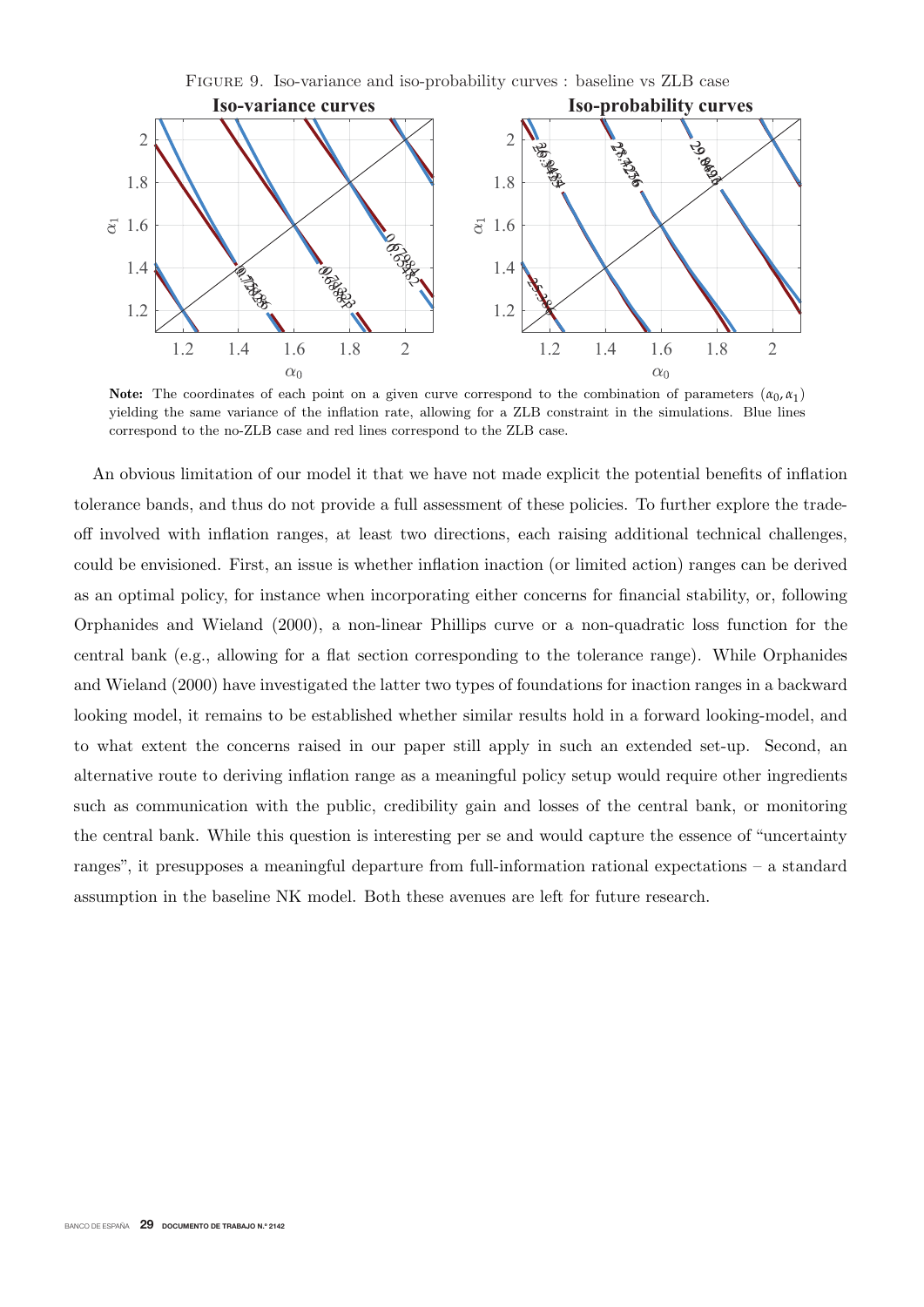

**Note:** The coordinates of each point on a given curve correspond to the combination of parameters  $(\alpha_0, \alpha_1)$ yielding the same variance of the inflation rate, allowing for a ZLB constraint in the simulations. Blue lines correspond to the no-ZLB case and red lines correspond to the ZLB case.

An obvious limitation of our model it that we have not made explicit the potential benefits of inflation tolerance bands, and thus do not provide a full assessment of these policies. To further explore the tradeoff involved with inflation ranges, at least two directions, each raising additional technical challenges, could be envisioned. First, an issue is whether inflation inaction (or limited action) ranges can be derived as an optimal policy, for instance when incorporating either concerns for financial stability, or, following Orphanides and Wieland (2000), a non-linear Phillips curve or a non-quadratic loss function for the central bank (e.g., allowing for a flat section corresponding to the tolerance range). While Orphanides and Wieland (2000) have investigated the latter two types of foundations for inaction ranges in a backward looking model, it remains to be established whether similar results hold in a forward looking-model, and to what extent the concerns raised in our paper still apply in such an extended set-up. Second, an alternative route to deriving inflation range as a meaningful policy setup would require other ingredients such as communication with the public, credibility gain and losses of the central bank, or monitoring the central bank. While this question is interesting per se and would capture the essence of "uncertainty ranges", it presupposes a meaningful departure from full-information rational expectations – a standard assumption in the baseline NK model. Both these avenues are left for future research.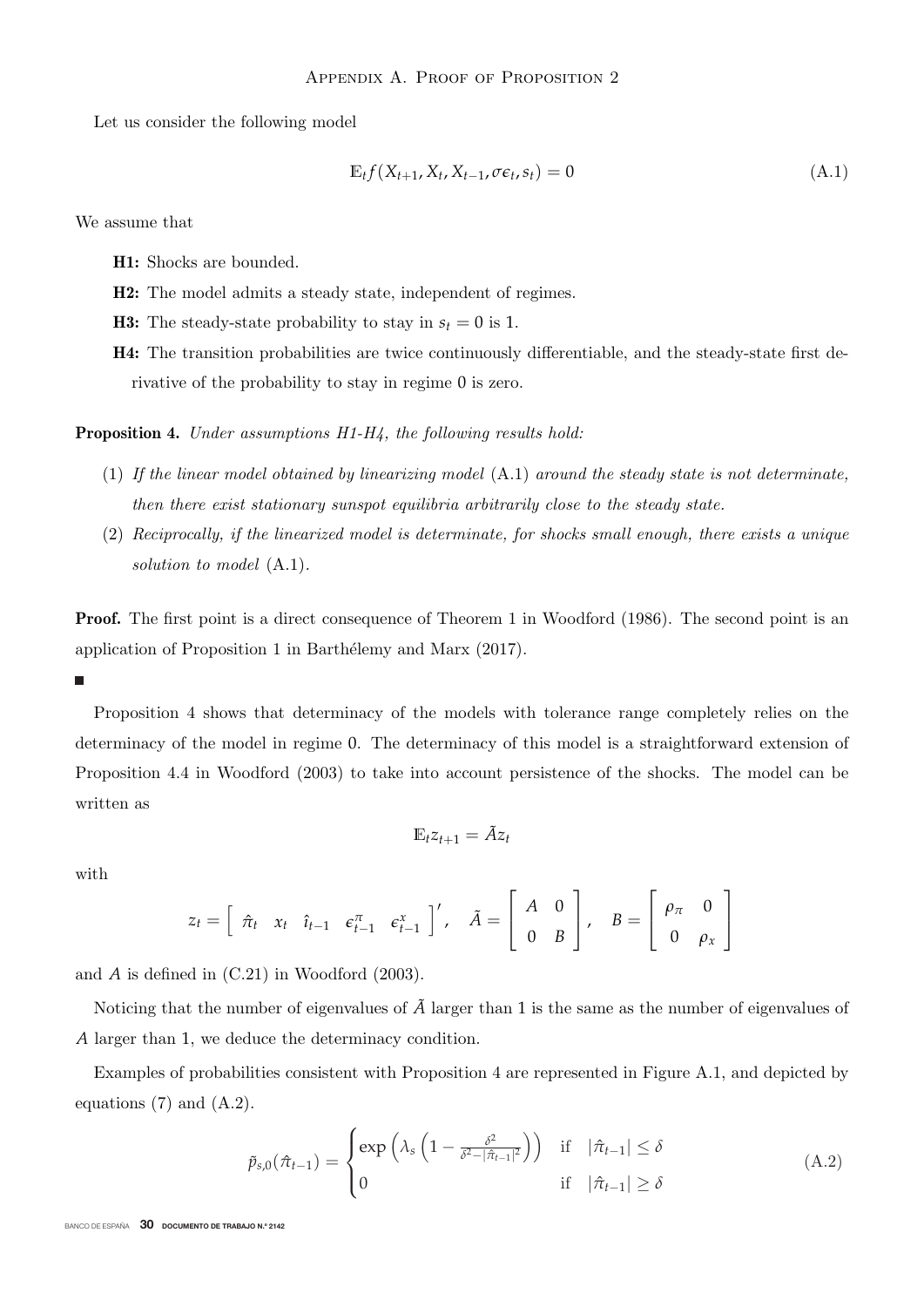Let us consider the following model

$$
\mathbb{E}_t f(X_{t+1}, X_t, X_{t-1}, \sigma \epsilon_t, s_t) = 0 \tag{A.1}
$$

We assume that

**H1:** Shocks are bounded.

**H2:** The model admits a steady state, independent of regimes.

**H3:** The steady-state probability to stay in  $s_t = 0$  is 1.

**H4:** The transition probabilities are twice continuously differentiable, and the steady-state first derivative of the probability to stay in regime 0 is zero.

**Proposition 4.** Under assumptions H1-H4, the following results hold:

- (1) If the linear model obtained by linearizing model (A.1) around the steady state is not determinate, then there exist stationary sunspot equilibria arbitrarily close to the steady state.
- (2) Reciprocally, if the linearized model is determinate, for shocks small enough, there exists a unique solution to model  $(A.1)$ .

**Proof.** The first point is a direct consequence of Theorem 1 in Woodford (1986). The second point is an application of Proposition 1 in Barthélemy and Marx (2017).

#### п

Proposition 4 shows that determinacy of the models with tolerance range completely relies on the determinacy of the model in regime 0. The determinacy of this model is a straightforward extension of Proposition 4.4 in Woodford (2003) to take into account persistence of the shocks. The model can be written as

$$
\mathbb{E}_t z_{t+1} = \tilde{A} z_t
$$

with

$$
z_t = \begin{bmatrix} \hat{\pi}_t & x_t & \hat{\imath}_{t-1} & \varepsilon_{t-1}^{\pi} & \varepsilon_{t-1}^{\pi} \end{bmatrix}', \quad \tilde{A} = \begin{bmatrix} A & 0 \\ 0 & B \end{bmatrix}, \quad B = \begin{bmatrix} \rho_{\pi} & 0 \\ 0 & \rho_{\pi} \end{bmatrix}
$$

and *A* is defined in (C.21) in Woodford (2003).

Noticing that the number of eigenvalues of  $\tilde{A}$  larger than 1 is the same as the number of eigenvalues of *<sup>A</sup>* larger than 1, we deduce the determinacy condition.

Examples of probabilities consistent with Proposition 4 are represented in Figure A.1, and depicted by equations (7) and (A.2).

$$
\tilde{p}_{s,0}(\hat{\pi}_{t-1}) = \begin{cases}\n\exp\left(\lambda_s \left(1 - \frac{\delta^2}{\delta^2 - |\hat{\pi}_{t-1}|^2}\right)\right) & \text{if } |\hat{\pi}_{t-1}| \le \delta \\
0 & \text{if } |\hat{\pi}_{t-1}| \ge \delta\n\end{cases}
$$
\n(A.2)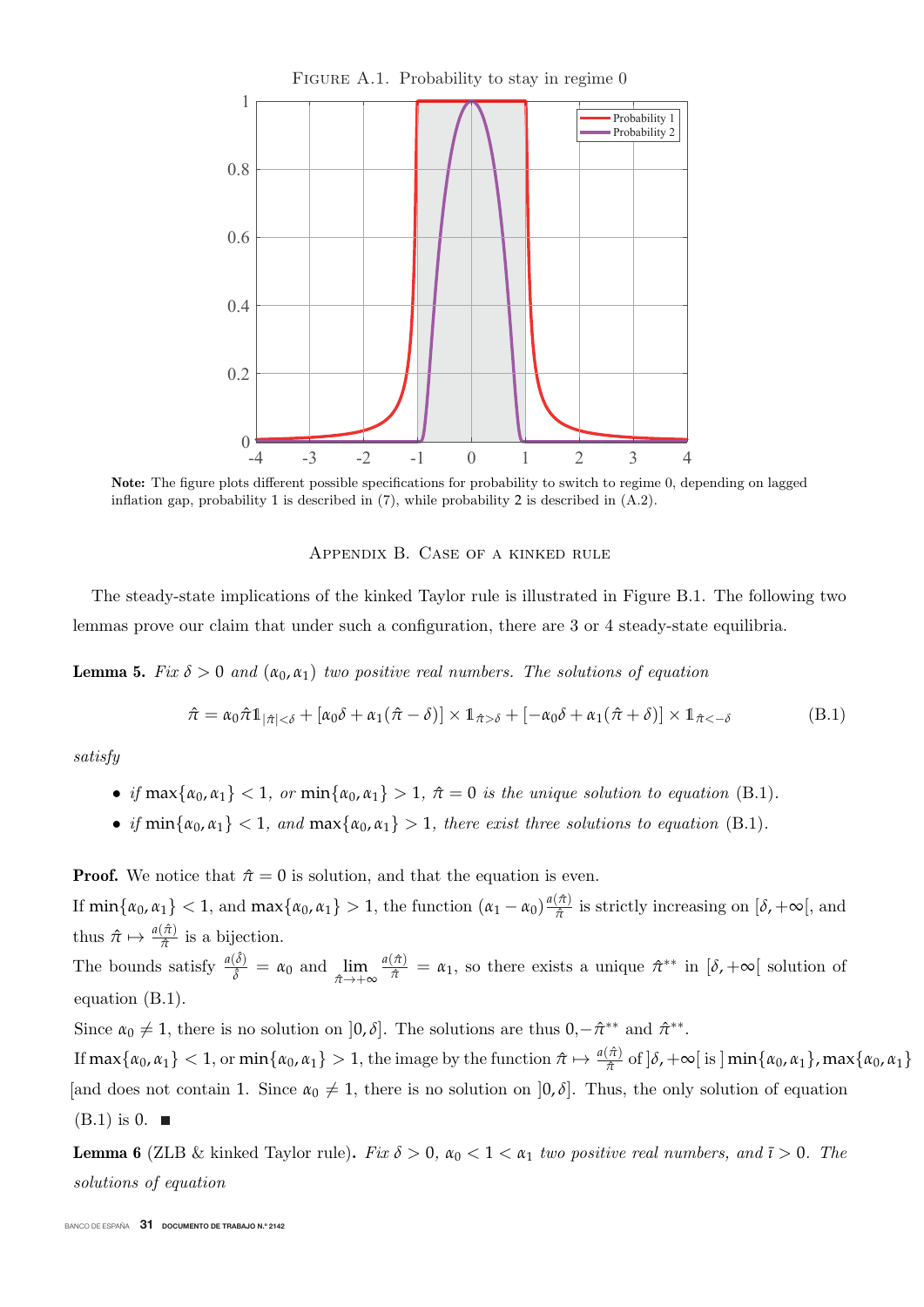

**Note:** The figure plots different possible specifications for probability to switch to regime 0, depending on lagged inflation gap, probability 1 is described in (7), while probability 2 is described in (A.2).

Appendix B. Case of a kinked rule

The steady-state implications of the kinked Taylor rule is illustrated in Figure B.1. The following two lemmas prove our claim that under such a configuration, there are 3 or 4 steady-state equilibria.

**Lemma 5.** Fix  $\delta > 0$  and  $(\alpha_0, \alpha_1)$  two positive real numbers. The solutions of equation

$$
\hat{\pi} = \alpha_0 \hat{\pi} \mathbb{1}_{|\hat{\pi}| < \delta} + [\alpha_0 \delta + \alpha_1 (\hat{\pi} - \delta)] \times \mathbb{1}_{\hat{\pi} > \delta} + [-\alpha_0 \delta + \alpha_1 (\hat{\pi} + \delta)] \times \mathbb{1}_{\hat{\pi} < -\delta}
$$
(B.1)

satisfy

- if  $\max{\alpha_0, \alpha_1} < 1$ , or  $\min{\alpha_0, \alpha_1} > 1$ ,  $\hat{\pi} = 0$  is the unique solution to equation (B.1).
- if  $\min\{\alpha_0, \alpha_1\} < 1$ , and  $\max\{\alpha_0, \alpha_1\} > 1$ , there exist three solutions to equation (B.1).

**Proof.** We notice that  $\hat{\pi} = 0$  is solution, and that the equation is even. If  $\min{\{\alpha_0, \alpha_1\}} < 1$ , and  $\max{\{\alpha_0, \alpha_1\}} > 1$ , the function  $(\alpha_1 - \alpha_0) \frac{a(\hat{\pi})}{\hat{\pi}}$  is strictly increasing on  $[\delta, +\infty]$ , and thus  $\hat{\pi} \mapsto \frac{a(\hat{\pi})}{\hat{\pi}}$  is a bijection.

The bounds satisfy  $\frac{a(\hat{\delta})}{\hat{s}}$  $\frac{\partial}{\partial \hat{\delta}} = \alpha_0$  and  $\lim_{\hat{\pi} \to +\infty}$  $\frac{a(\hat{\pi})}{\hat{\pi}} = \alpha_1$ , so there exists a unique  $\hat{\pi}^{**}$  in  $[\delta, +\infty]$  solution of equation (B.1).

Since  $\alpha_0 \neq 1$ , there is no solution on  $]0, \delta]$ . The solutions are thus  $0, -\hat{\pi}^{**}$  and  $\hat{\pi}^{**}$ .

If  $\max{\{\alpha_0, \alpha_1\}} < 1$ , or  $\min{\{\alpha_0, \alpha_1\}} > 1$ , the image by the function  $\hat{\pi} \mapsto \frac{a(\hat{\pi})}{\hat{\pi}}$  of  $]\delta$ ,  $+\infty$ [ is ]  $\min{\{\alpha_0, \alpha_1\}}$ ,  $\max{\{\alpha_0, \alpha_1\}}$ [and does not contain 1. Since  $\alpha_0 \neq 1$ , there is no solution on  $]0, \delta]$ . Thus, the only solution of equation  $(B.1)$  is 0.  $\blacksquare$ 

**Lemma 6** (ZLB & kinked Taylor rule). Fix  $\delta > 0$ ,  $\alpha_0 < 1 < \alpha_1$  two positive real numbers, and  $\bar{\iota} > 0$ . The solutions of equation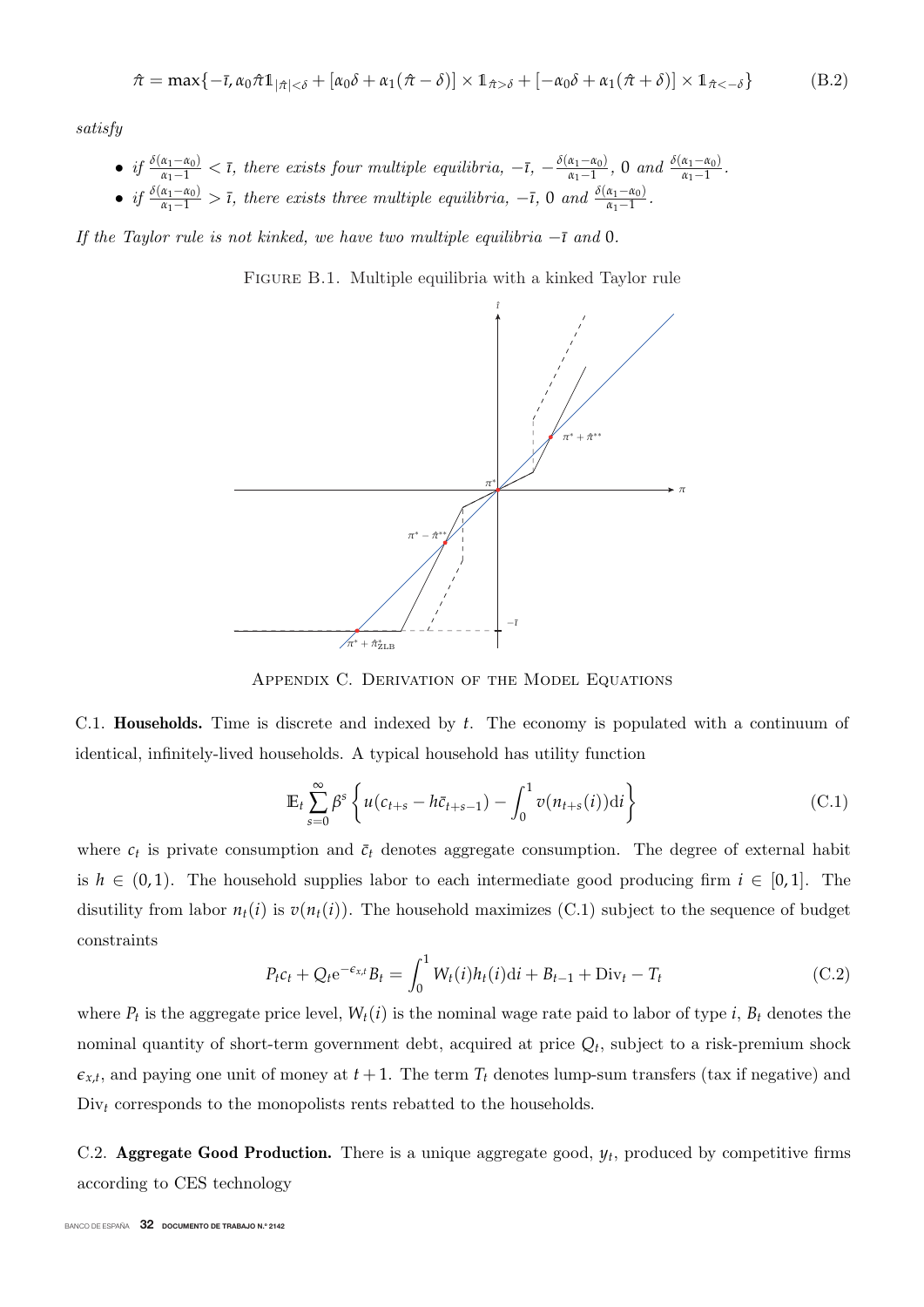$$
\hat{\pi} = \max\{-\bar{\imath}, \alpha_0 \hat{\pi} \mathbb{1}_{|\hat{\pi}| < \delta} + [\alpha_0 \delta + \alpha_1 (\hat{\pi} - \delta)] \times \mathbb{1}_{\hat{\pi} > \delta} + [-\alpha_0 \delta + \alpha_1 (\hat{\pi} + \delta)] \times \mathbb{1}_{\hat{\pi} < -\delta}\}
$$
(B.2)

satisfy

- if  $\frac{\delta(\alpha_1 \alpha_0)}{\alpha_1 1}$  < *τ*, there exists four multiple equilibria,  $-\bar{t}$ ,  $-\frac{\delta(\alpha_1 \alpha_0)}{\alpha_1 1}$ , 0 and  $\frac{\delta(\alpha_1 \alpha_0)}{\alpha_1 1}$ .
- if  $\frac{\delta(\alpha_1 \alpha_0)}{\alpha_1 1} > \bar{\imath}$ , there exists three multiple equilibria,  $-\bar{\imath}$ , 0 and  $\frac{\delta(\alpha_1 \alpha_0)}{\alpha_1 1}$ .

If the Taylor rule is not kinked, we have two multiple equilibria  $-\bar{\iota}$  and 0.

FIGURE B.1. Multiple equilibria with a kinked Taylor rule



Appendix C. Derivation of the Model Equations

C.1. **Households.** Time is discrete and indexed by *t*. The economy is populated with a continuum of identical, infinitely-lived households. A typical household has utility function

$$
\mathbb{E}_t \sum_{s=0}^{\infty} \beta^s \left\{ u(c_{t+s} - h\bar{c}_{t+s-1}) - \int_0^1 v(n_{t+s}(i)) \mathrm{d}i \right\} \tag{C.1}
$$

where  $c_t$  is private consumption and  $\bar{c}_t$  denotes aggregate consumption. The degree of external habit is  $h \in (0,1)$ . The household supplies labor to each intermediate good producing firm  $i \in [0,1]$ . The disutility from labor  $n_t(i)$  is  $v(n_t(i))$ . The household maximizes (C.1) subject to the sequence of budget constraints

$$
P_t c_t + Q_t e^{-\epsilon_{x,t}} B_t = \int_0^1 W_t(i) h_t(i) \mathrm{d}i + B_{t-1} + \text{Div}_t - T_t \tag{C.2}
$$

where  $P_t$  is the aggregate price level,  $W_t(i)$  is the nominal wage rate paid to labor of type *i*,  $B_t$  denotes the nominal quantity of short-term government debt, acquired at price  $Q_t$ , subject to a risk-premium shock  $\epsilon_{x,t}$ , and paying one unit of money at  $t+1$ . The term  $T_t$  denotes lump-sum transfers (tax if negative) and Div<sub>t</sub> corresponds to the monopolists rents rebatted to the households.

C.2. **Aggregate Good Production.** There is a unique aggregate good,  $y_t$ , produced by competitive firms according to CES technology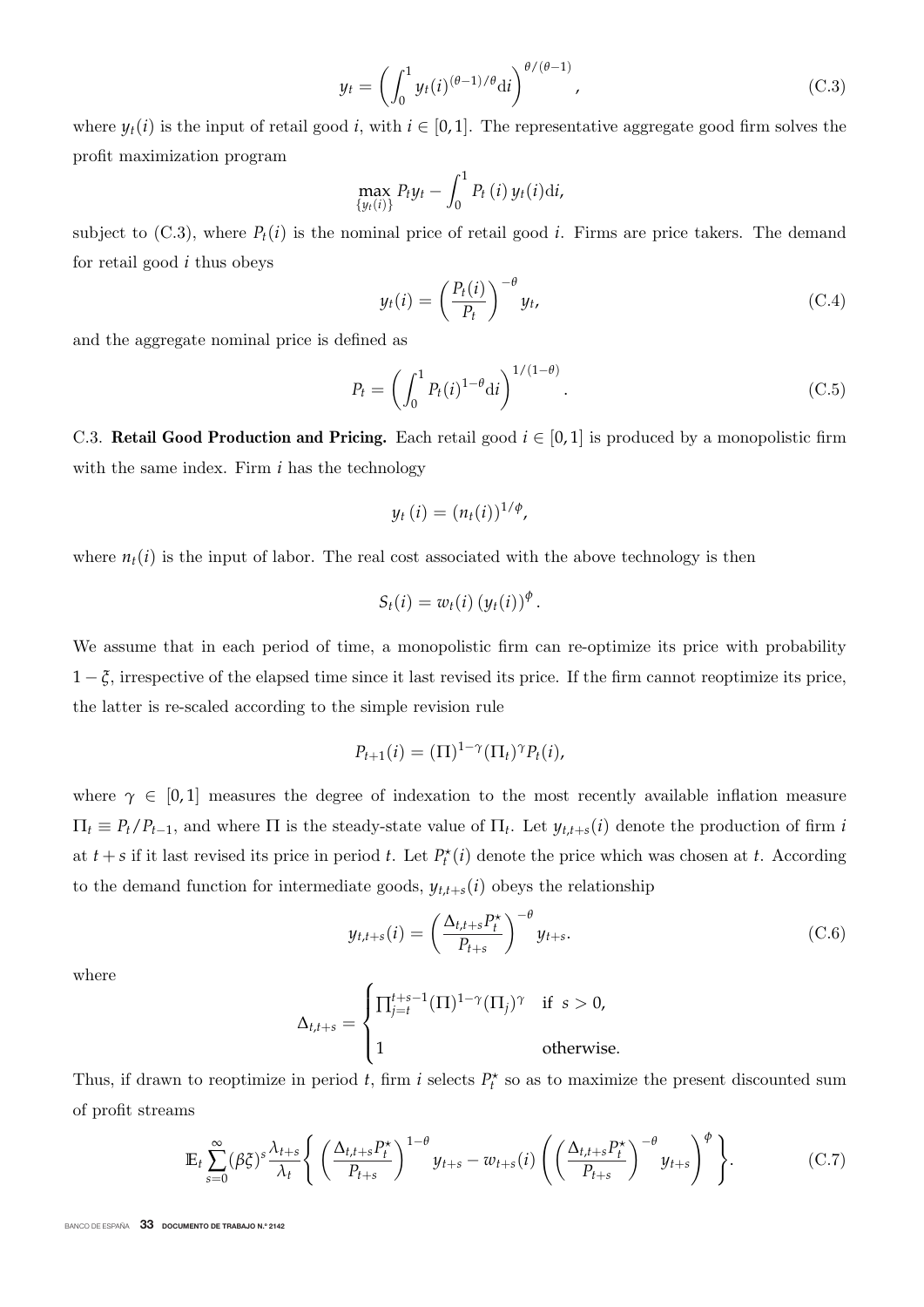$$
y_t = \left(\int_0^1 y_t(i)^{(\theta - 1)/\theta} \mathrm{d}i\right)^{\theta/(\theta - 1)},\tag{C.3}
$$

where  $y_t(i)$  is the input of retail good *i*, with  $i \in [0,1]$ . The representative aggregate good firm solves the profit maximization program

$$
\max_{\{y_t(i)\}} P_t y_t - \int_0^1 P_t(i) y_t(i) \mathrm{d}i,
$$

subject to  $(C.3)$ , where  $P_t(i)$  is the nominal price of retail good *i*. Firms are price takers. The demand for retail good *i* thus obeys

$$
y_t(i) = \left(\frac{P_t(i)}{P_t}\right)^{-\theta} y_t,\tag{C.4}
$$

and the aggregate nominal price is defined as

$$
P_t = \left(\int_0^1 P_t(i)^{1-\theta} \mathrm{d}i\right)^{1/(1-\theta)}.\tag{C.5}
$$

C.3. **Retail Good Production and Pricing.** Each retail good  $i \in [0,1]$  is produced by a monopolistic firm with the same index. Firm *i* has the technology

$$
y_t(i) = (n_t(i))^{1/\phi},
$$

where  $n_t(i)$  is the input of labor. The real cost associated with the above technology is then

$$
S_t(i) = w_t(i) (y_t(i))^{\phi}.
$$

We assume that in each period of time, a monopolistic firm can re-optimize its price with probability  $1-\xi$ , irrespective of the elapsed time since it last revised its price. If the firm cannot reoptimize its price, the latter is re-scaled according to the simple revision rule

$$
P_{t+1}(i) = (\Pi)^{1-\gamma}(\Pi_t)^\gamma P_t(i),
$$

where  $\gamma \in [0,1]$  measures the degree of indexation to the most recently available inflation measure  $\Pi_t \equiv P_t/P_{t-1}$ , and where  $\Pi$  is the steady-state value of  $\Pi_t$ . Let  $y_{t,t+s}(i)$  denote the production of firm *i* at  $t + s$  if it last revised its price in period *t*. Let  $P_t^*(i)$  denote the price which was chosen at *t*. According to the demand function for intermediate goods,  $y_{t,t+s}(i)$  obeys the relationship

$$
y_{t,t+s}(i) = \left(\frac{\Delta_{t,t+s} P_t^*}{P_{t+s}}\right)^{-\theta} y_{t+s}.
$$
\n(C.6)

where

$$
\Delta_{t,t+s} = \begin{cases} \prod_{j=t}^{t+s-1} (\Pi)^{1-\gamma} (\Pi_j)^{\gamma} & \text{if } s > 0, \\ 1 & \text{otherwise.} \end{cases}
$$

Thus, if drawn to reoptimize in period *t*, firm *i* selects  $P_t^*$  so as to maximize the present discounted sum of profit streams

$$
\mathbb{E}_{t} \sum_{s=0}^{\infty} (\beta \zeta)^{s} \frac{\lambda_{t+s}}{\lambda_{t}} \left\{ \left( \frac{\Delta_{t,t+s} P_{t}^{*}}{P_{t+s}} \right)^{1-\theta} y_{t+s} - w_{t+s}(i) \left( \left( \frac{\Delta_{t,t+s} P_{t}^{*}}{P_{t+s}} \right)^{-\theta} y_{t+s} \right)^{\phi} \right\}.
$$
 (C.7)

BANCO DE ESPAÑA 33 DOCUMENTO DE TRABAJO N.º 2142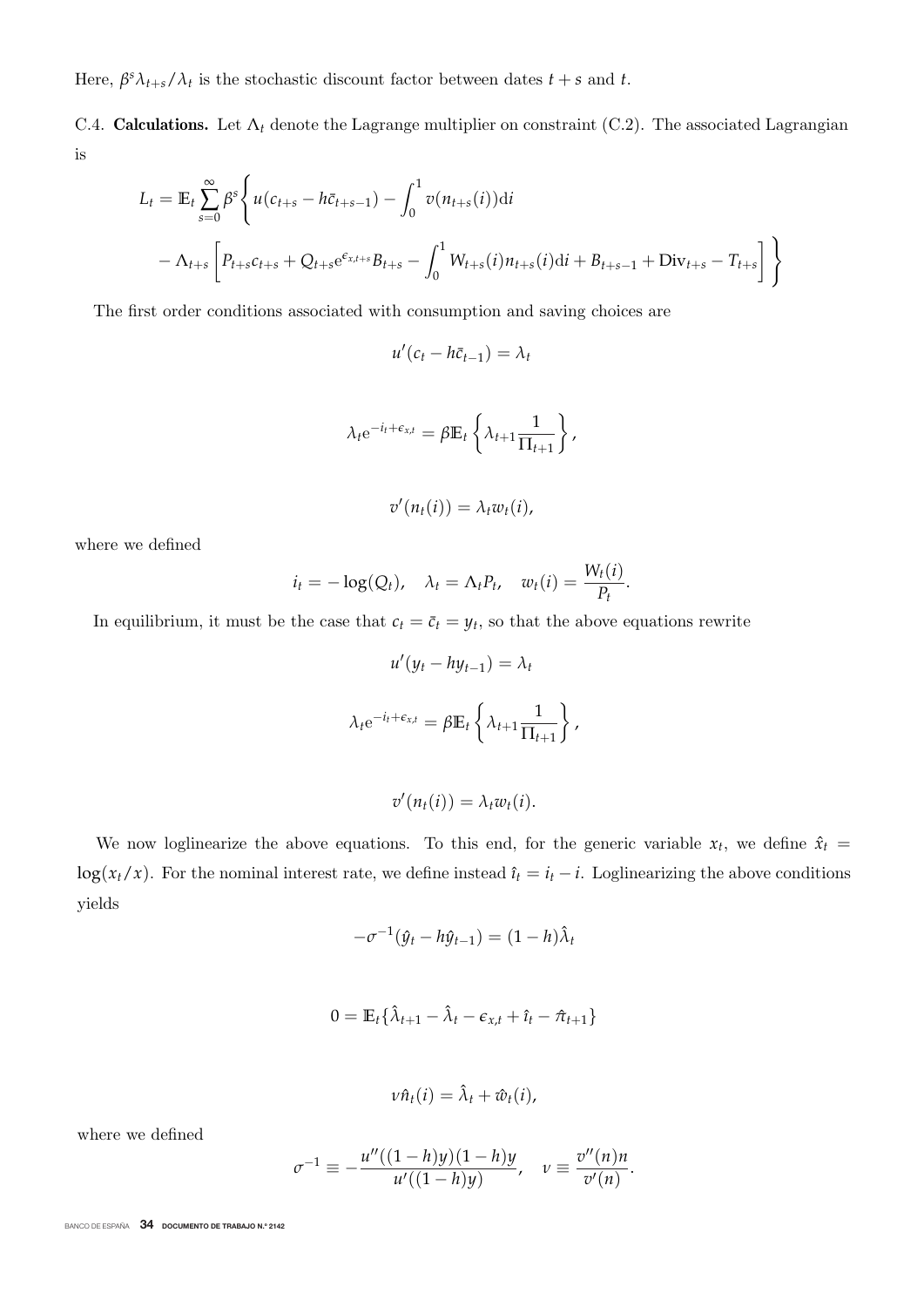Here,  $\beta^s \lambda_{t+s} / \lambda_t$  is the stochastic discount factor between dates  $t + s$  and  $t$ .

C.4. **Calculations.** Let  $\Lambda_t$  denote the Lagrange multiplier on constraint (C.2). The associated Lagrangian is

$$
L_{t} = \mathbb{E}_{t} \sum_{s=0}^{\infty} \beta^{s} \Bigg\{ u(c_{t+s} - h\bar{c}_{t+s-1}) - \int_{0}^{1} v(n_{t+s}(i)) dt
$$
  
 
$$
- \Lambda_{t+s} \Bigg[ P_{t+s} c_{t+s} + Q_{t+s} e^{\epsilon_{x,t+s}} B_{t+s} - \int_{0}^{1} W_{t+s}(i) n_{t+s}(i) dt + B_{t+s-1} + \text{Div}_{t+s} - T_{t+s} \Bigg] \Bigg\}
$$

The first order conditions associated with consumption and saving choices are

$$
u'(c_t - h\bar{c}_{t-1}) = \lambda_t
$$

$$
\lambda_t e^{-i_t + \epsilon_{x,t}} = \beta \mathbb{E}_t \left\{ \lambda_{t+1} \frac{1}{\Pi_{t+1}} \right\},\,
$$

$$
v'(n_t(i))=\lambda_t w_t(i),
$$

where we defined

$$
i_t = -\log(Q_t), \quad \lambda_t = \Lambda_t P_t, \quad w_t(i) = \frac{W_t(i)}{P_t}
$$

In equilibrium, it must be the case that  $c_t = \bar{c}_t = y_t$ , so that the above equations rewrite

$$
u'(y_t - hy_{t-1}) = \lambda_t
$$

$$
\lambda_t e^{-i_t + \epsilon_{x,t}} = \beta \mathbb{E}_t \left\{ \lambda_{t+1} \frac{1}{\Pi_{t+1}} \right\},
$$

$$
v'(n_t(i))=\lambda_t w_t(i).
$$

We now loglinearize the above equations. To this end, for the generic variable  $x_t$ , we define  $\hat{x}_t$  = log( $x_t/x$ ). For the nominal interest rate, we define instead  $\hat{i}_t = i_t - i$ . Loglinearizing the above conditions yields

$$
-\sigma^{-1}(\hat{y}_t - h\hat{y}_{t-1}) = (1 - h)\hat{\lambda}_t
$$

$$
0 = \mathbb{E}_t \{ \hat{\lambda}_{t+1} - \hat{\lambda}_t - \epsilon_{x,t} + \hat{\iota}_t - \hat{\pi}_{t+1} \}
$$

$$
\nu\hat{n}_t(i)=\hat{\lambda}_t+\hat{w}_t(i),
$$

where we defined

$$
\sigma^{-1} \equiv -\frac{u''((1-h)y)(1-h)y}{u'((1-h)y)}, \quad v \equiv \frac{v''(n)n}{v'(n)}.
$$

BANCO DE ESPAÑA 34 DOCUMENTO DE TRABAJO N.º 2142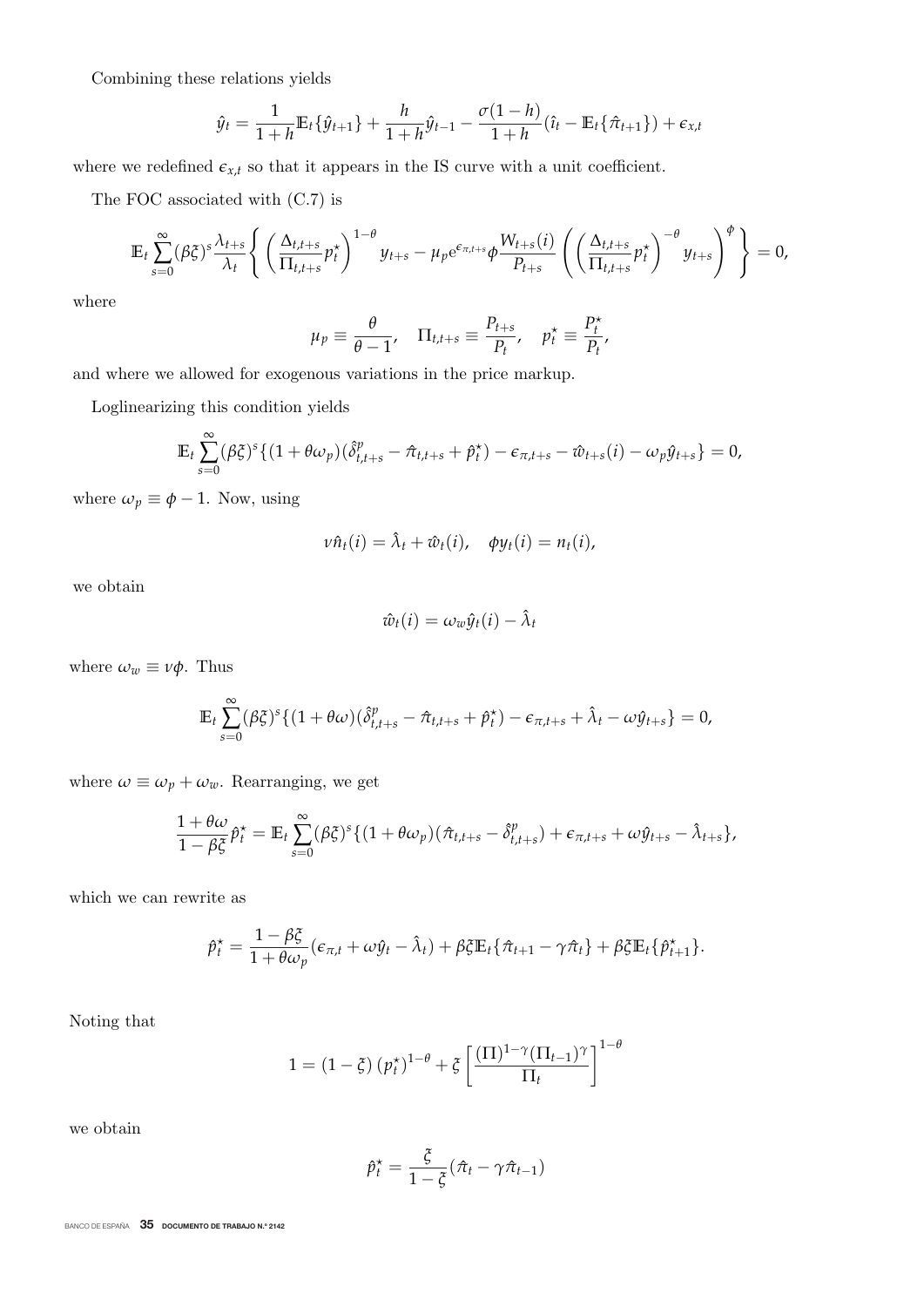Combining these relations yields

$$
\hat{y}_t = \frac{1}{1+h} \mathbb{E}_t \{ \hat{y}_{t+1} \} + \frac{h}{1+h} \hat{y}_{t-1} - \frac{\sigma(1-h)}{1+h} (\hat{t}_t - \mathbb{E}_t \{ \hat{\pi}_{t+1} \}) + \epsilon_{x,t}
$$

where we redefined  $\epsilon_{x,t}$  so that it appears in the IS curve with a unit coefficient.

The FOC associated with (C.7) is

$$
\mathbb{E}_t \sum_{s=0}^{\infty} (\beta \xi)^s \frac{\lambda_{t+s}}{\lambda_t} \left\{ \left( \frac{\Delta_{t,t+s}}{\Pi_{t,t+s}} p_t^{\star} \right)^{1-\theta} y_{t+s} - \mu_p e^{\epsilon_{\pi,t+s}} \phi \frac{W_{t+s}(i)}{P_{t+s}} \left( \left( \frac{\Delta_{t,t+s}}{\Pi_{t,t+s}} p_t^{\star} \right)^{-\theta} y_{t+s} \right)^{\phi} \right\} = 0,
$$

where

$$
\mu_p \equiv \frac{\theta}{\theta - 1}, \quad \Pi_{t, t+s} \equiv \frac{P_{t+s}}{P_t}, \quad p_t^* \equiv \frac{P_t^*}{P_t},
$$

and where we allowed for exogenous variations in the price markup.

Loglinearizing this condition yields

$$
\mathbb{E}_t \sum_{s=0}^{\infty} (\beta \xi)^s \{ (1 + \theta \omega_p)(\hat{\delta}_{t,t+s}^p - \hat{\pi}_{t,t+s} + \hat{p}_t^{\star}) - \epsilon_{\pi,t+s} - \hat{w}_{t+s}(i) - \omega_p \hat{y}_{t+s} \} = 0,
$$

where  $\omega_p \equiv \phi - 1$ . Now, using

$$
v\hat{n}_t(i) = \hat{\lambda}_t + \hat{w}_t(i), \quad \phi y_t(i) = n_t(i),
$$

we obtain

$$
\hat{w}_t(i) = \omega_w \hat{y}_t(i) - \hat{\lambda}_t
$$

where  $\omega_w \equiv v\phi$ . Thus

$$
\mathbb{E}_t \sum_{s=0}^{\infty} (\beta \xi)^s \{ (1 + \theta \omega) (\hat{\delta}_{t,t+s}^p - \hat{\pi}_{t,t+s} + \hat{p}_t^*) - \epsilon_{\pi,t+s} + \hat{\lambda}_t - \omega \hat{y}_{t+s} \} = 0,
$$

where  $\omega \equiv \omega_p + \omega_w$ . Rearranging, we get

$$
\frac{1+\theta\omega}{1-\beta\xi}\hat{p}_t^* = \mathbb{E}_t \sum_{s=0}^{\infty} (\beta\xi)^s \{ (1+\theta\omega_p)(\hat{\pi}_{t,t+s} - \hat{\delta}_{t,t+s}^p) + \epsilon_{\pi,t+s} + \omega \hat{y}_{t+s} - \hat{\lambda}_{t+s} \},
$$

which we can rewrite as

$$
\hat{p}_t^* = \frac{1 - \beta \xi}{1 + \theta \omega_p} (\epsilon_{\pi, t} + \omega \hat{y}_t - \hat{\lambda}_t) + \beta \xi \mathbb{E}_t {\hat{\pi}_{t+1} - \gamma \hat{\pi}_t } + \beta \xi \mathbb{E}_t {\hat{\rho}_{t+1}^* }.
$$

Noting that

$$
1 = (1 - \xi) (p_t^{\star})^{1 - \theta} + \xi \left[ \frac{(\Pi)^{1 - \gamma} (\Pi_{t-1})^{\gamma}}{\Pi_t} \right]^{1 - \theta}
$$

we obtain

$$
\hat{p}_t^* = \frac{\xi}{1-\xi}(\hat{\pi}_t - \gamma \hat{\pi}_{t-1})
$$

BANCO DE ESPAÑA 35 DOCUMENTO DE TRABAJO N.º 2142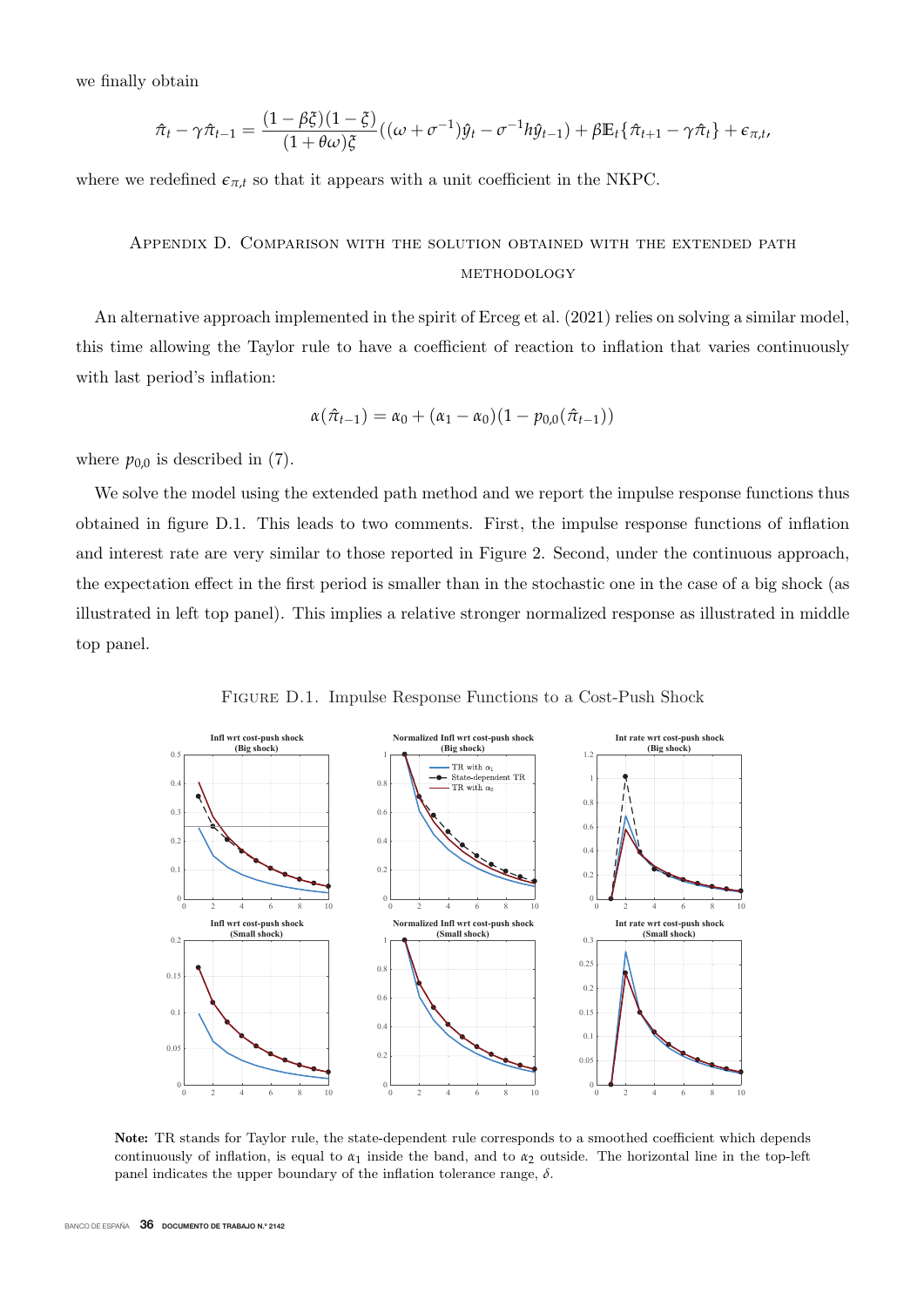we finally obtain

$$
\hat{\pi}_t - \gamma \hat{\pi}_{t-1} = \frac{(1 - \beta \xi)(1 - \xi)}{(1 + \theta \omega)\xi}((\omega + \sigma^{-1})\hat{y}_t - \sigma^{-1}h\hat{y}_{t-1}) + \beta \mathbb{E}_t{\hat{\pi}_{t+1} - \gamma \hat{\pi}_t} + \epsilon_{\pi, t},
$$

where we redefined  $\epsilon_{\pi,t}$  so that it appears with a unit coefficient in the NKPC.

# Appendix D. Comparison with the solution obtained with the extended path methodology

An alternative approach implemented in the spirit of Erceg et al. (2021) relies on solving a similar model, this time allowing the Taylor rule to have a coefficient of reaction to inflation that varies continuously with last period's inflation:

$$
\alpha(\hat{\pi}_{t-1}) = \alpha_0 + (\alpha_1 - \alpha_0)(1 - p_{0,0}(\hat{\pi}_{t-1}))
$$

where  $p_{0,0}$  is described in (7).

We solve the model using the extended path method and we report the impulse response functions thus obtained in figure D.1. This leads to two comments. First, the impulse response functions of inflation and interest rate are very similar to those reported in Figure 2. Second, under the continuous approach, the expectation effect in the first period is smaller than in the stochastic one in the case of a big shock (as illustrated in left top panel). This implies a relative stronger normalized response as illustrated in middle top panel.

Figure D.1. Impulse Response Functions to a Cost-Push Shock



**Note:** TR stands for Taylor rule, the state-dependent rule corresponds to a smoothed coefficient which depends continuously of inflation, is equal to  $\alpha_1$  inside the band, and to  $\alpha_2$  outside. The horizontal line in the top-left panel indicates the upper boundary of the inflation tolerance range,  $\delta$ .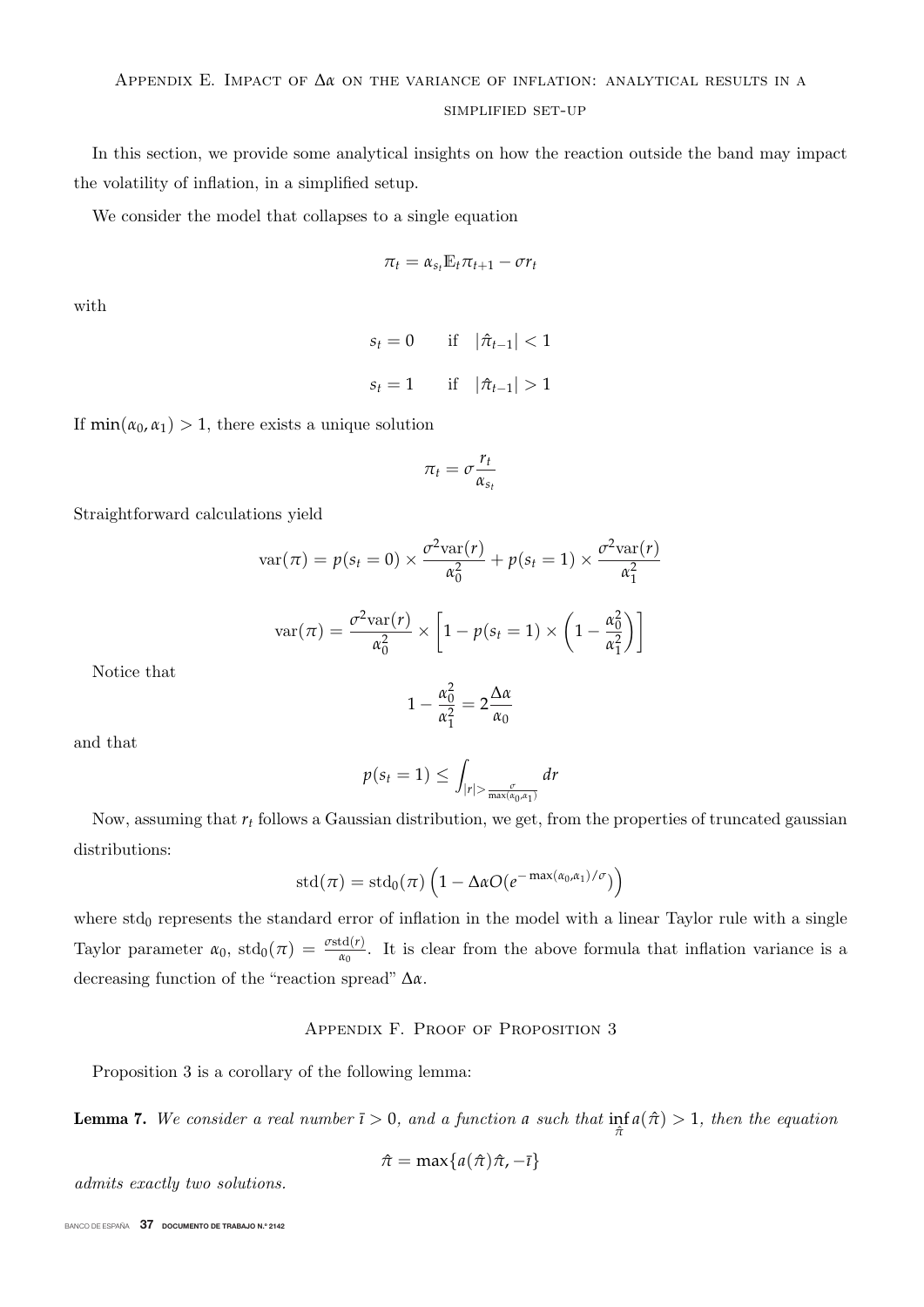#### simplified set-up

In this section, we provide some analytical insights on how the reaction outside the band may impact the volatility of inflation, in a simplified setup.

We consider the model that collapses to a single equation

$$
\pi_t = \alpha_{s_t} \mathbb{E}_t \pi_{t+1} - \sigma r_t
$$

with

 $s_t = 0$  if  $|\hat{\pi}_{t-1}| < 1$  $s_t = 1$  if  $|\hat{\pi}_{t-1}| > 1$ 

If  $\min(\alpha_0, \alpha_1) > 1$ , there exists a unique solution

$$
\pi_t = \sigma \frac{r_t}{\alpha_{s_t}}
$$

Straightforward calculations yield

$$
\operatorname{var}(\pi) = p(s_t = 0) \times \frac{\sigma^2 \operatorname{var}(r)}{\alpha_0^2} + p(s_t = 1) \times \frac{\sigma^2 \operatorname{var}(r)}{\alpha_1^2}
$$

$$
\operatorname{var}(\pi) = \frac{\sigma^2 \operatorname{var}(r)}{\alpha_0^2} \times \left[1 - p(s_t = 1) \times \left(1 - \frac{\alpha_0^2}{\alpha_1^2}\right)\right]
$$

$$
1 - \frac{\alpha_0^2}{\alpha_1^2} = 2\frac{\Delta\alpha}{\alpha_0}
$$

and that

Notice that

$$
p(s_t = 1) \leq \int_{|r| > \frac{\sigma}{\max(\alpha_0, \alpha_1)}} dr
$$

Now, assuming that  $r_t$  follows a Gaussian distribution, we get, from the properties of truncated gaussian distributions:

$$
\text{std}(\pi) = \text{std}_0(\pi) \left( 1 - \Delta \alpha O(e^{-\max(\alpha_0, \alpha_1)/\sigma}) \right)
$$

where  $\text{std}_0$  represents the standard error of inflation in the model with a linear Taylor rule with a single Taylor parameter  $\alpha_0$ ,  $\text{std}_0(\pi) = \frac{\sigma \text{std}(r)}{\alpha_0}$ . It is clear from the above formula that inflation variance is a decreasing function of the "reaction spread" Δ*α*.

# APPENDIX F. PROOF OF PROPOSITION 3

Proposition 3 is a corollary of the following lemma:

**Lemma 7.** We consider a real number  $\bar{i} > 0$ , and a function *a* such that  $\inf_{\hat{\pi}} a(\hat{\pi}) > 1$ , then the equation

$$
\hat{\pi} = \max\{a(\hat{\pi})\hat{\pi}, -\bar{\imath}\}
$$

admits exactly two solutions.

BANCO DE ESPAÑA 37 DOCUMENTO DE TRABAJO N.º 2142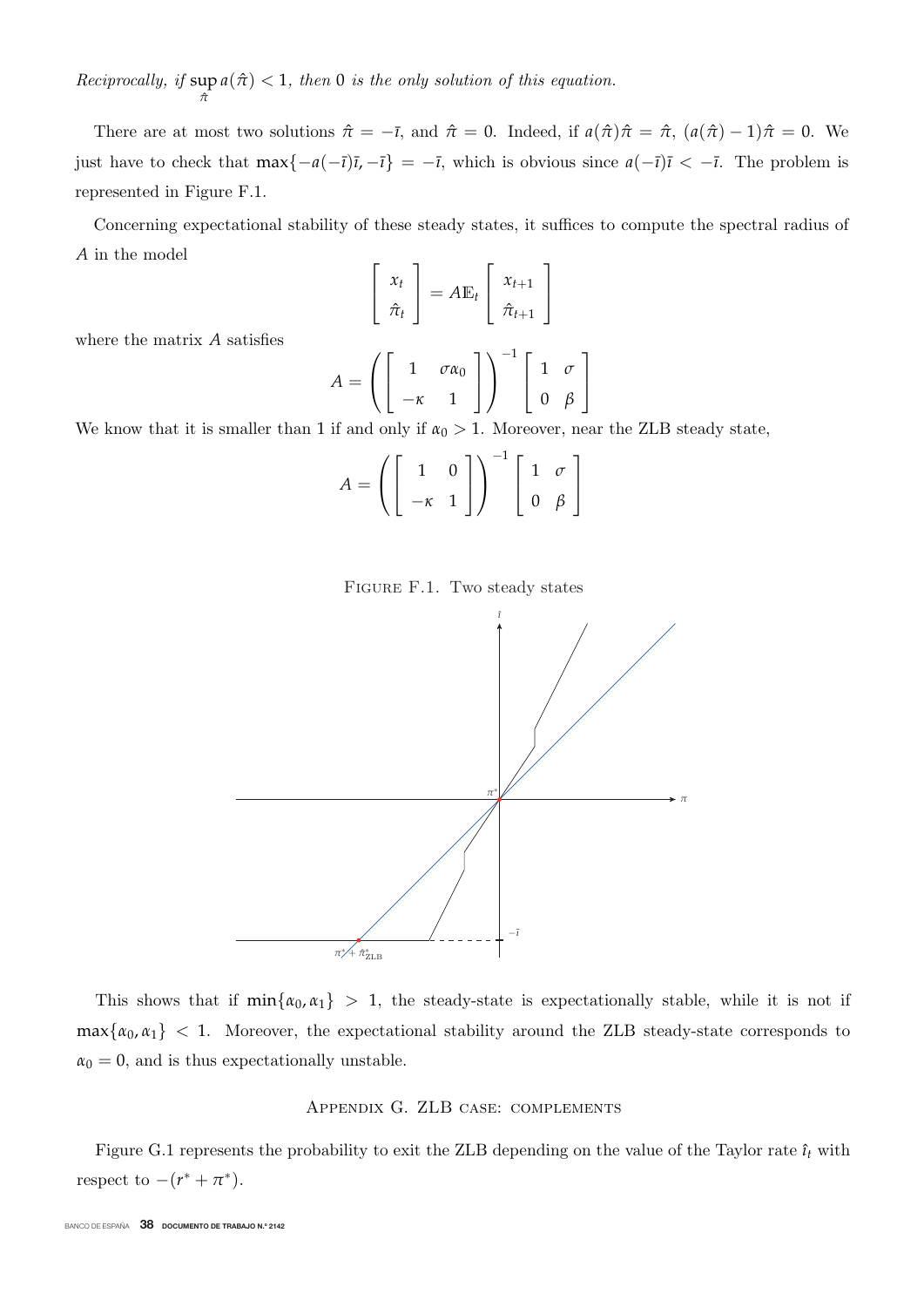Reciprocally, if  $\sup_{\hat{\pi}} a(\hat{\pi}) < 1$ , then 0 is the only solution of this equation.

There are at most two solutions  $\hat{\pi} = -\bar{\imath}$ , and  $\hat{\pi} = 0$ . Indeed, if  $a(\hat{\pi})\hat{\pi} = \hat{\pi}$ ,  $(a(\hat{\pi}) - 1)\hat{\pi} = 0$ . We just have to check that  $\max\{-a(-\bar{t})\bar{t}, -\bar{t}\} = -\bar{t}$ , which is obvious since  $a(-\bar{t})\bar{t} < -\bar{t}$ . The problem is represented in Figure F.1.

Concerning expectational stability of these steady states, it suffices to compute the spectral radius of *A* in the model

$$
\begin{bmatrix} x_t \\ \hat{\pi}_t \end{bmatrix} = A \mathbb{E}_t \begin{bmatrix} x_{t+1} \\ \hat{\pi}_{t+1} \end{bmatrix}
$$

where the matrix *A* satisfies

$$
A = \left( \begin{bmatrix} 1 & \sigma \alpha_0 \\ -\kappa & 1 \end{bmatrix} \right)^{-1} \begin{bmatrix} 1 & \sigma \\ 0 & \beta \end{bmatrix}
$$

We know that it is smaller than 1 if and only if  $\alpha_0 > 1$ . Moreover, near the ZLB steady state,

$$
A = \left( \left[ \begin{array}{cc} 1 & 0 \\ -\kappa & 1 \end{array} \right] \right)^{-1} \left[ \begin{array}{cc} 1 & \sigma \\ 0 & \beta \end{array} \right]
$$





This shows that if  $min\{\alpha_0, \alpha_1\} > 1$ , the steady-state is expectationally stable, while it is not if  $max\{\alpha_0, \alpha_1\}$  < 1. Moreover, the expectational stability around the ZLB steady-state corresponds to  $\alpha_0 = 0$ , and is thus expectationally unstable.

# Appendix G. ZLB case: complements

Figure G.1 represents the probability to exit the ZLB depending on the value of the Taylor rate  $\hat{\imath}_t$  with respect to  $-(r^* + \pi^*)$ .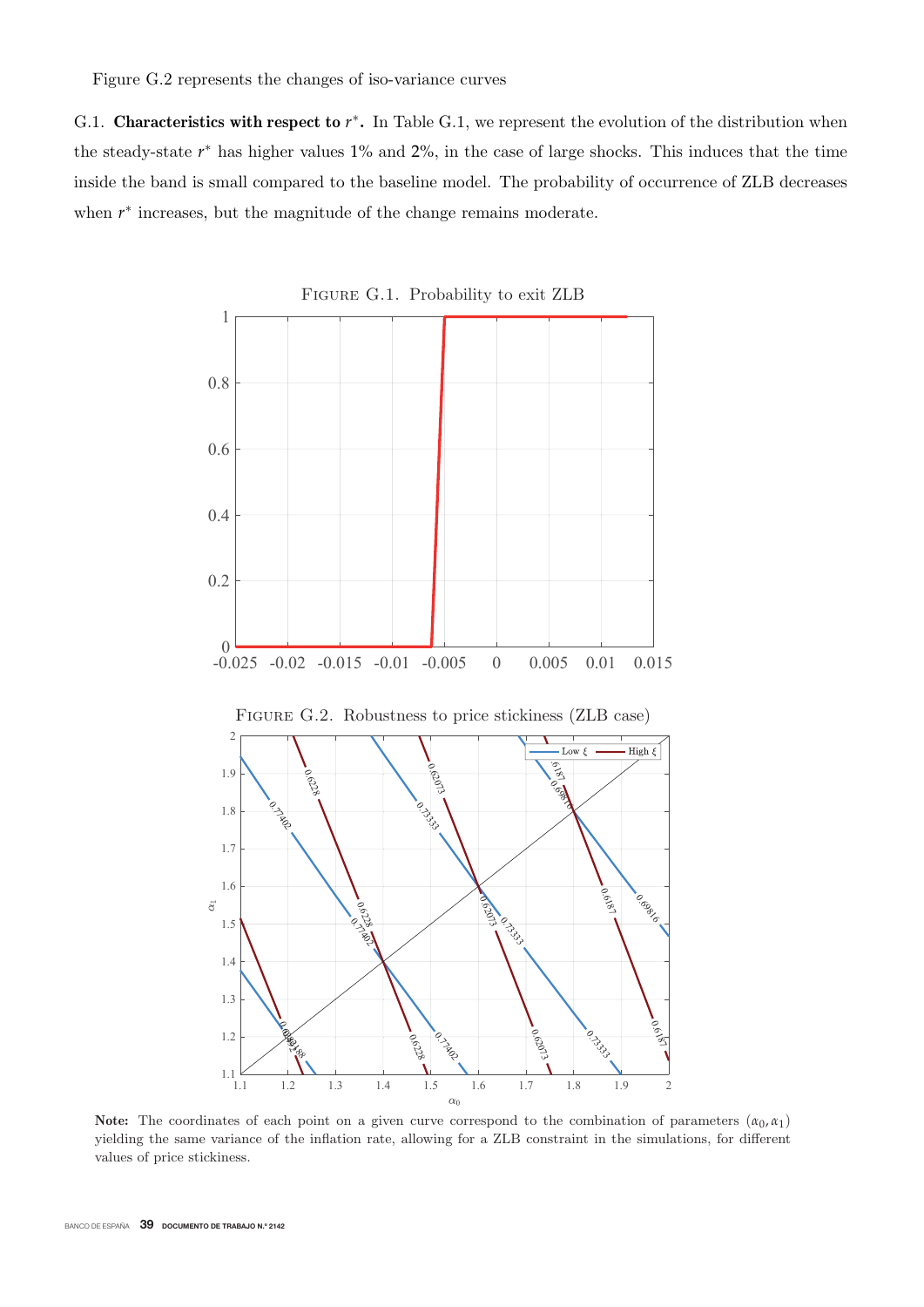Figure G.2 represents the changes of iso-variance curves

G.1. **Characteristics with respect to**  $r^*$ . In Table G.1, we represent the evolution of the distribution when the steady-state  $r^*$  has higher values 1% and 2%, in the case of large shocks. This induces that the time inside the band is small compared to the baseline model. The probability of occurrence of ZLB decreases when *r*<sup>∗</sup> increases, but the magnitude of the change remains moderate.



**Note:** The coordinates of each point on a given curve correspond to the combination of parameters  $(\alpha_0, \alpha_1)$ yielding the same variance of the inflation rate, allowing for a ZLB constraint in the simulations, for different values of price stickiness.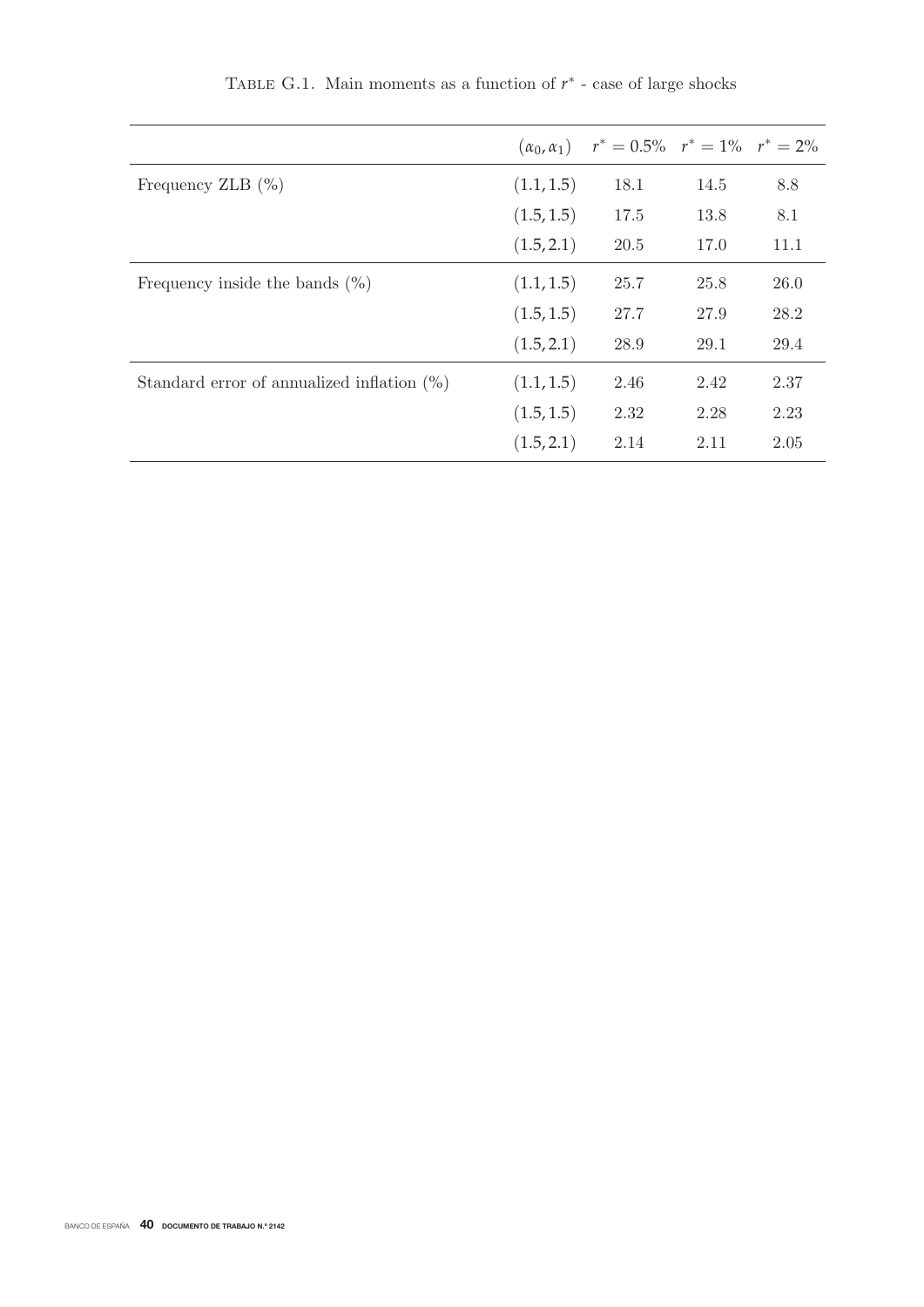|                                               |            | $(\alpha_0, \alpha_1)$ $r^* = 0.5\%$ $r^* = 1\%$ $r^* = 2\%$ |      |      |
|-----------------------------------------------|------------|--------------------------------------------------------------|------|------|
| Frequency ZLB $(\% )$                         | (1.1, 1.5) | 18.1                                                         | 14.5 | 8.8  |
|                                               | (1.5, 1.5) | 17.5                                                         | 13.8 | 8.1  |
|                                               | (1.5, 2.1) | 20.5                                                         | 17.0 | 11.1 |
| Frequency inside the bands $(\% )$            | (1.1, 1.5) | 25.7                                                         | 25.8 | 26.0 |
|                                               | (1.5, 1.5) | 27.7                                                         | 27.9 | 28.2 |
|                                               | (1.5, 2.1) | 28.9                                                         | 29.1 | 29.4 |
| Standard error of annualized inflation $(\%)$ | (1.1, 1.5) | 2.46                                                         | 2.42 | 2.37 |
|                                               | (1.5, 1.5) | 2.32                                                         | 2.28 | 2.23 |
|                                               | (1.5, 2.1) | 2.14                                                         | 2.11 | 2.05 |

TABLE G.1. Main moments as a function of  $r<sup>*</sup>$  - case of large shocks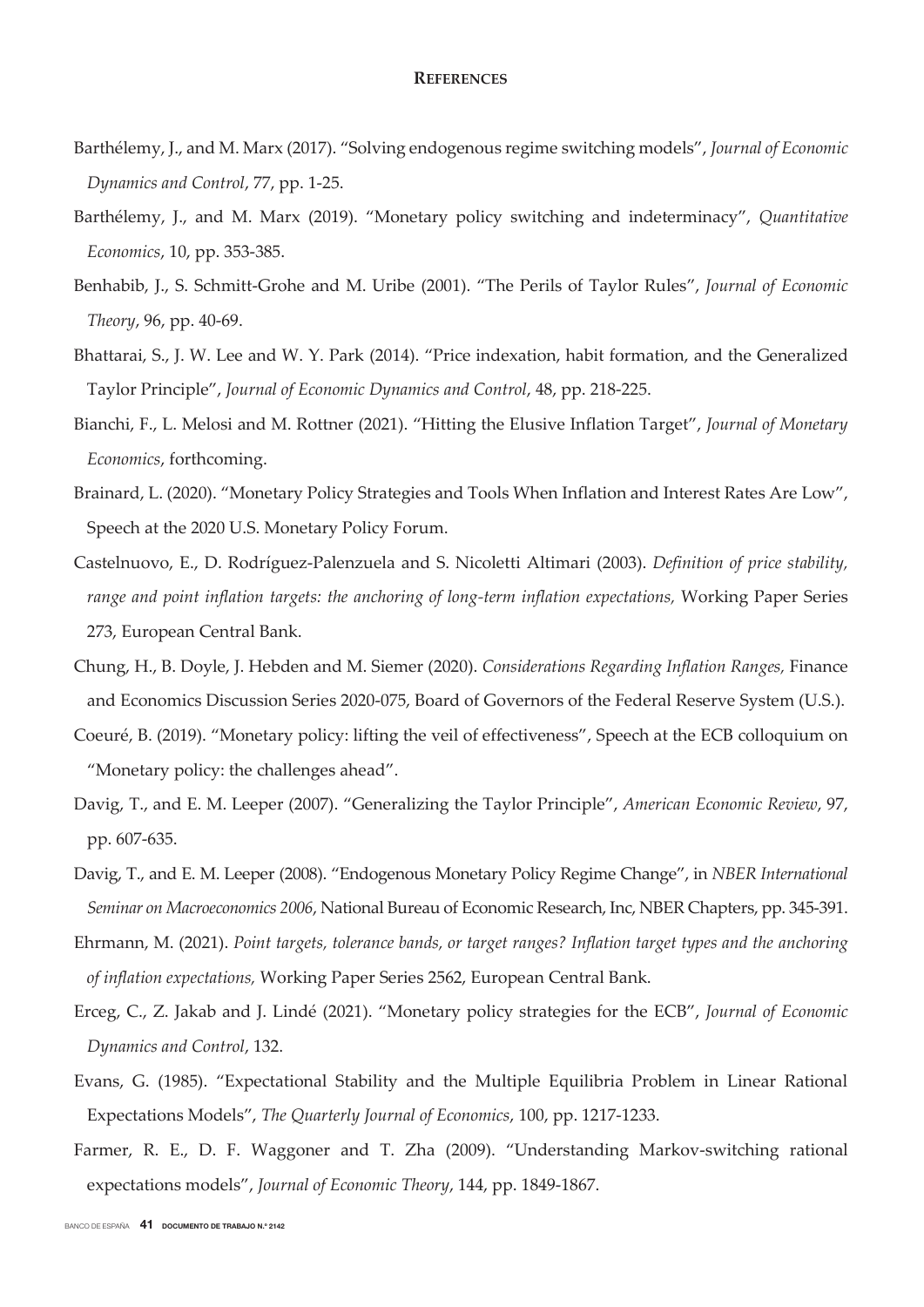# **REFERENCES**

- Barthélemy, J., and M. Marx (2017). "Solving endogenous regime switching models", *Journal of Economic Dynamics and Control*, 77, pp. 1-25.
- Barthélemy, J., and M. Marx (2019). "Monetary policy switching and indeterminacy", *Quantitative Economics*, 10, pp. 353-385.
- Benhabib, J., S. Schmitt-Grohe and M. Uribe (2001). "The Perils of Taylor Rules", *Journal of Economic Theory*, 96, pp. 40-69.
- Bhattarai, S., J. W. Lee and W. Y. Park (2014). "Price indexation, habit formation, and the Generalized Taylor Principle", *Journal of Economic Dynamics and Control*, 48, pp. 218-225.
- Bianchi, F., L. Melosi and M. Rottner (2021). "Hitting the Elusive Inflation Target", *Journal of Monetary Economics*, forthcoming.
- Brainard, L. (2020). "Monetary Policy Strategies and Tools When Inflation and Interest Rates Are Low", Speech at the 2020 U.S. Monetary Policy Forum.
- Castelnuovo, E., D. Rodríguez-Palenzuela and S. Nicoletti Altimari (2003). *Definition of price stability,*  range and point inflation targets: the anchoring of long-term inflation expectations, Working Paper Series 273, European Central Bank.
- Chung, H., B. Doyle, J. Hebden and M. Siemer (2020). *Considerations Regarding Inflation Ranges,* Finance and Economics Discussion Series 2020-075, Board of Governors of the Federal Reserve System (U.S.).
- Coeuré, B. (2019). "Monetary policy: lifting the veil of effectiveness", Speech at the ECB colloquium on "Monetary policy: the challenges ahead".
- Davig, T., and E. M. Leeper (2007). "Generalizing the Taylor Principle", *American Economic Review*, 97, pp. 607-635.
- Davig, T., and E. M. Leeper (2008). "Endogenous Monetary Policy Regime Change", in *NBER International Seminar on Macroeconomics 2006*, National Bureau of Economic Research, Inc, NBER Chapters, pp. 345-391.
- Ehrmann, M. (2021). *Point targets, tolerance bands, or target ranges? Inflation target types and the anchoring of inflation expectations,* Working Paper Series 2562, European Central Bank.
- Erceg, C., Z. Jakab and J. Lindé (2021). "Monetary policy strategies for the ECB", *Journal of Economic Dynamics and Control*, 132.
- Evans, G. (1985). "Expectational Stability and the Multiple Equilibria Problem in Linear Rational Expectations Models", *The Quarterly Journal of Economics*, 100, pp. 1217-1233.
- Farmer, R. E., D. F. Waggoner and T. Zha (2009). "Understanding Markov-switching rational expectations models", *Journal of Economic Theory*, 144, pp. 1849-1867.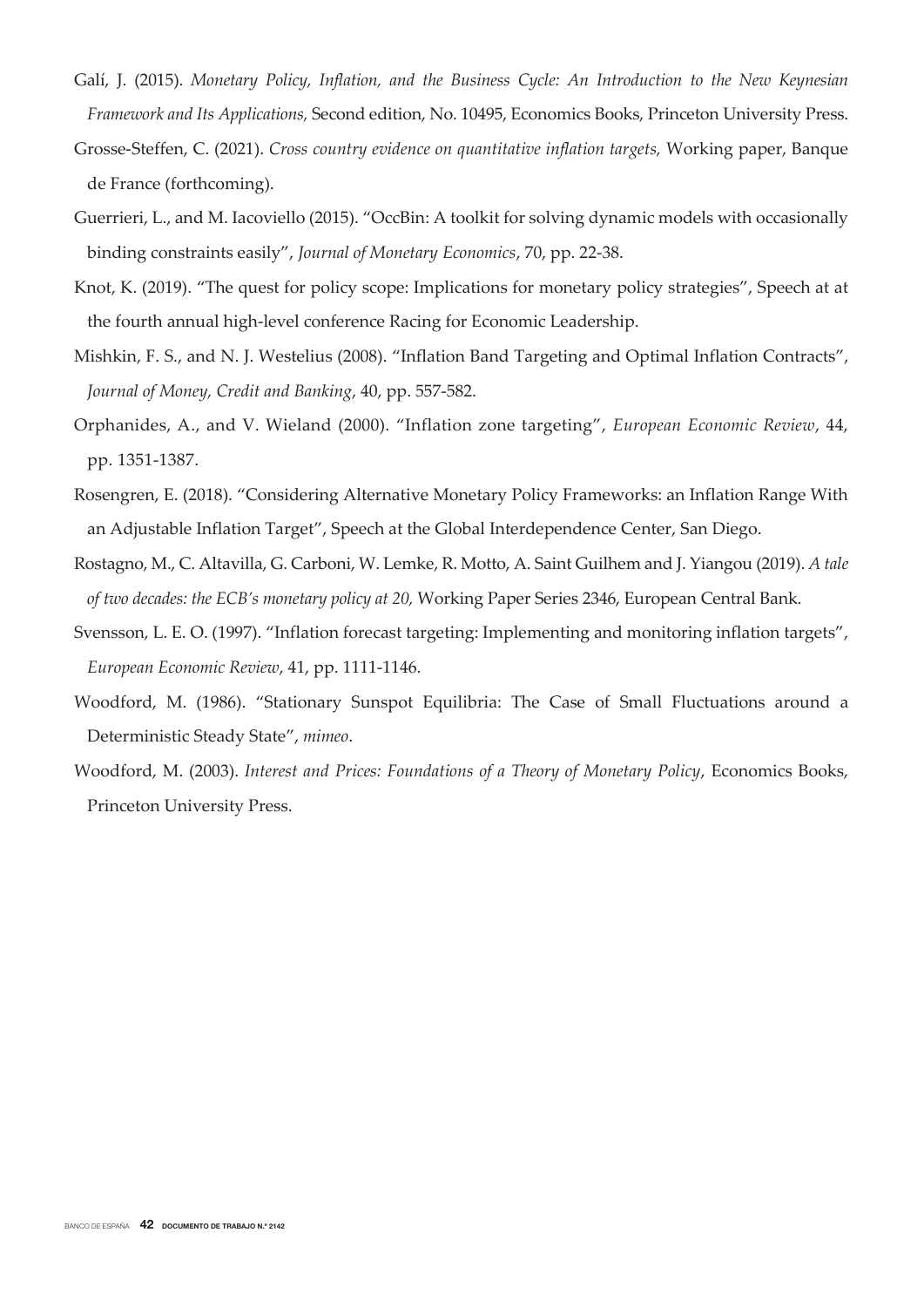- Galí, J. (2015). *Monetary Policy, Inflation, and the Business Cycle: An Introduction to the New Keynesian Framework and Its Applications,* Second edition, No. 10495, Economics Books, Princeton University Press.
- Grosse-Steffen, C. (2021). *Cross country evidence on quantitative inflation targets,* Working paper, Banque de France (forthcoming).
- Guerrieri, L., and M. Iacoviello (2015). "OccBin: A toolkit for solving dynamic models with occasionally binding constraints easily", *Journal of Monetary Economics*, 70, pp. 22-38.
- Knot, K. (2019). "The quest for policy scope: Implications for monetary policy strategies", Speech at at the fourth annual high-level conference Racing for Economic Leadership.
- Mishkin, F. S., and N. J. Westelius (2008). "Inflation Band Targeting and Optimal Inflation Contracts", *Journal of Money, Credit and Banking*, 40, pp. 557-582.
- Orphanides, A., and V. Wieland (2000). "Inflation zone targeting", *European Economic Review*, 44, pp. 1351-1387.
- Rosengren, E. (2018). "Considering Alternative Monetary Policy Frameworks: an Inflation Range With an Adjustable Inflation Target", Speech at the Global Interdependence Center, San Diego.
- Rostagno, M., C. Altavilla, G. Carboni, W. Lemke, R. Motto, A. Saint Guilhem and J. Yiangou (2019). *A tale of two decades: the ECB's monetary policy at 20,* Working Paper Series 2346, European Central Bank.
- Svensson, L. E. O. (1997). "Inflation forecast targeting: Implementing and monitoring inflation targets", *European Economic Review*, 41, pp. 1111-1146.
- Woodford, M. (1986). "Stationary Sunspot Equilibria: The Case of Small Fluctuations around a Deterministic Steady State", *mimeo*.
- Woodford, M. (2003). *Interest and Prices: Foundations of a Theory of Monetary Policy*, Economics Books, Princeton University Press.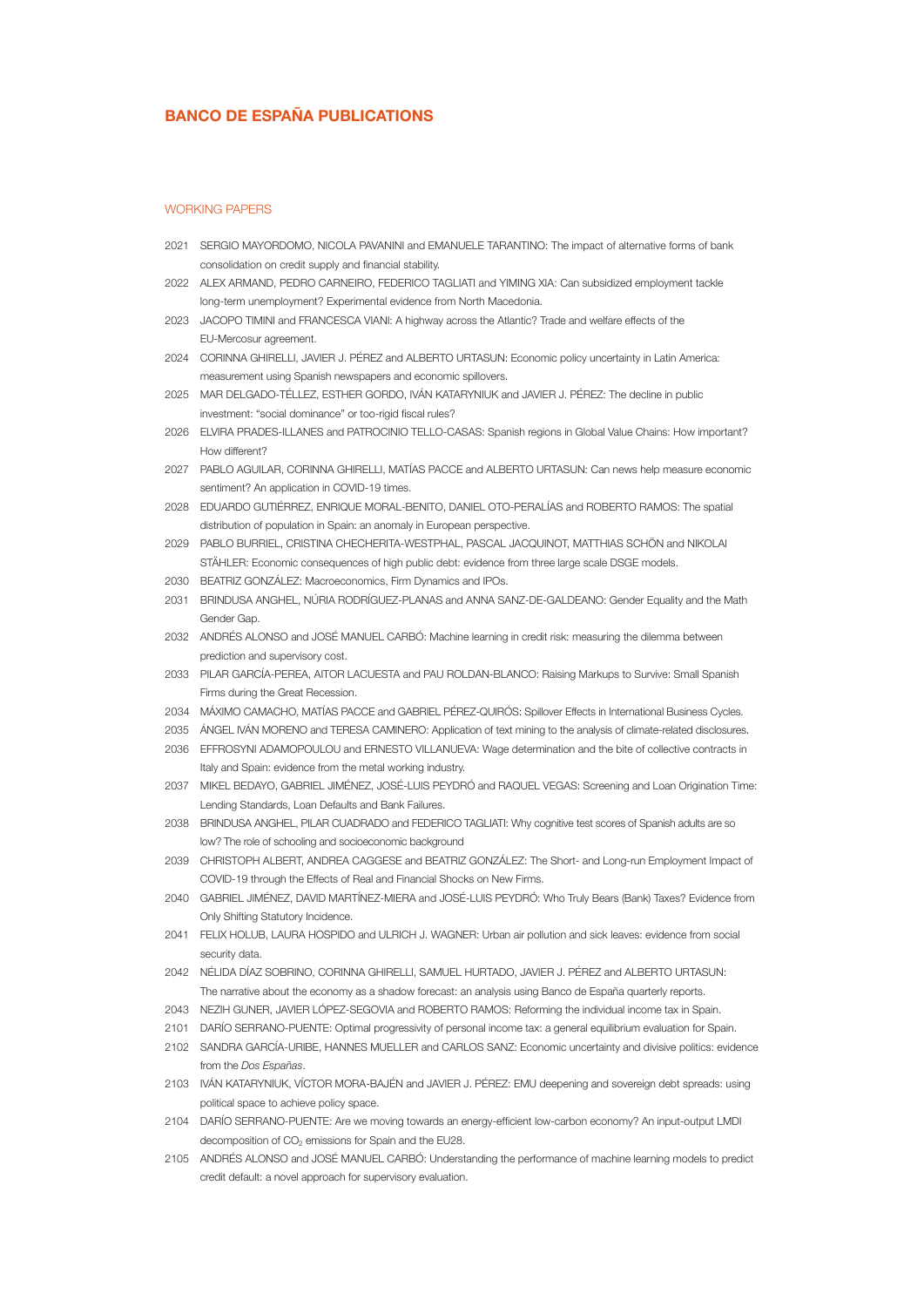# BANCO DE ESPAÑA PUBLICATIONS

#### WORKING PAPERS

- 2021 SERGIO MAYORDOMO, NICOLA PAVANINI and EMANUELE TARANTINO: The impact of alternative forms of bank consolidation on credit supply and financial stability.
- 2022 ALEX ARMAND, PEDRO CARNEIRO, FEDERICO TAGLIATI and YIMING XIA: Can subsidized employment tackle long-term unemployment? Experimental evidence from North Macedonia.
- 2023 JACOPO TIMINI and FRANCESCA VIANI: A highway across the Atlantic? Trade and welfare effects of the EU-Mercosur agreement.
- 2024 CORINNA GHIRELLI, JAVIER J. PÉREZ and ALBERTO URTASUN: Economic policy uncertainty in Latin America: measurement using Spanish newspapers and economic spillovers.
- 2025 MAR DELGADO-TÉLLEZ, ESTHER GORDO, IVÁN KATARYNIUK and JAVIER J. PÉREZ: The decline in public investment: "social dominance" or too-rigid fiscal rules?
- 2026 ELVIRA PRADES-ILLANES and PATROCINIO TELLO-CASAS: Spanish regions in Global Value Chains: How important? How different?
- 2027 PABLO AGUILAR, CORINNA GHIRELLI, MATÍAS PACCE and ALBERTO URTASUN: Can news help measure economic sentiment? An application in COVID-19 times.
- 2028 EDUARDO GUTIÉRREZ, ENRIQUE MORAL-BENITO, DANIEL OTO-PERALÍAS and ROBERTO RAMOS: The spatial distribution of population in Spain: an anomaly in European perspective.
- 2029 PABLO BURRIEL, CRISTINA CHECHERITA-WESTPHAL, PASCAL JACQUINOT, MATTHIAS SCHÖN and NIKOLAI STÄHLER: Economic consequences of high public debt: evidence from three large scale DSGE models.
- 2030 BEATRIZ GONZÁLEZ: Macroeconomics, Firm Dynamics and IPOs.
- 2031 BRINDUSA ANGHEL, NÚRIA RODRÍGUEZ-PLANAS and ANNA SANZ-DE-GALDEANO: Gender Equality and the Math Gender Gap.
- 2032 ANDRÉS ALONSO and JOSÉ MANUEL CARBÓ: Machine learning in credit risk: measuring the dilemma between prediction and supervisory cost.
- 2033 PILAR GARCÍA-PEREA, AITOR LACUESTA and PAU ROLDAN-BLANCO: Raising Markups to Survive: Small Spanish Firms during the Great Recession.
- 2034 MÁXIMO CAMACHO, MATÍAS PACCE and GABRIEL PÉREZ-QUIRÓS: Spillover Effects in International Business Cycles.
- 2035 ÁNGEL IVÁN MORENO and TERESA CAMINERO: Application of text mining to the analysis of climate-related disclosures.
- 2036 EFFROSYNI ADAMOPOULOU and ERNESTO VILLANUEVA: Wage determination and the bite of collective contracts in Italy and Spain: evidence from the metal working industry.
- 2037 MIKEL BEDAYO, GABRIEL JIMÉNEZ, JOSÉ-LUIS PEYDRÓ and RAQUEL VEGAS: Screening and Loan Origination Time: Lending Standards, Loan Defaults and Bank Failures.
- 2038 BRINDUSA ANGHEL, PILAR CUADRADO and FEDERICO TAGLIATI: Why cognitive test scores of Spanish adults are so low? The role of schooling and socioeconomic background
- 2039 CHRISTOPH ALBERT, ANDREA CAGGESE and BEATRIZ GONZÁLEZ: The Short- and Long-run Employment Impact of COVID-19 through the Effects of Real and Financial Shocks on New Firms.
- 2040 GABRIEL JIMÉNEZ, DAVID MARTÍNEZ-MIERA and JOSÉ-LUIS PEYDRÓ: Who Truly Bears (Bank) Taxes? Evidence from Only Shifting Statutory Incidence.
- 2041 FELIX HOLUB, LAURA HOSPIDO and ULRICH J. WAGNER: Urban air pollution and sick leaves: evidence from social security data.
- 2042 NÉLIDA DÍAZ SOBRINO, CORINNA GHIRELLI, SAMUEL HURTADO, JAVIER J. PÉREZ and ALBERTO URTASUN: The narrative about the economy as a shadow forecast: an analysis using Banco de España quarterly reports.
- 2043 NEZIH GUNER, JAVIER LÓPEZ-SEGOVIA and ROBERTO RAMOS: Reforming the individual income tax in Spain.
- 2101 DARÍO SERRANO-PUENTE: Optimal progressivity of personal income tax: a general equilibrium evaluation for Spain.
- 2102 SANDRA GARCÍA-URIBE, HANNES MUELLER and CARLOS SANZ: Economic uncertainty and divisive politics: evidence from the *Dos Españas*.
- 2103 IVÁN KATARYNIUK, VÍCTOR MORA-BAJÉN and JAVIER J. PÉREZ: EMU deepening and sovereign debt spreads: using political space to achieve policy space.
- 2104 DARÍO SERRANO-PUENTE: Are we moving towards an energy-efficient low-carbon economy? An input-output LMDI decomposition of CO<sub>2</sub> emissions for Spain and the EU28.
- 2105 ANDRÉS ALONSO and JOSÉ MANUEL CARBÓ: Understanding the performance of machine learning models to predict credit default: a novel approach for supervisory evaluation.